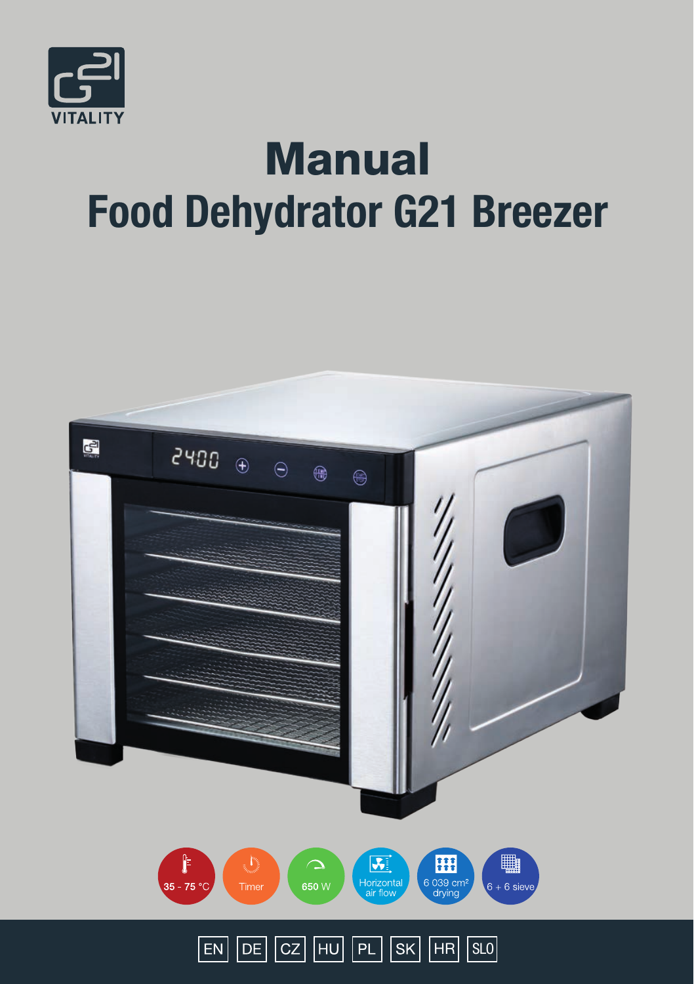

# **Manual** Food Dehydrator G21 Breezer

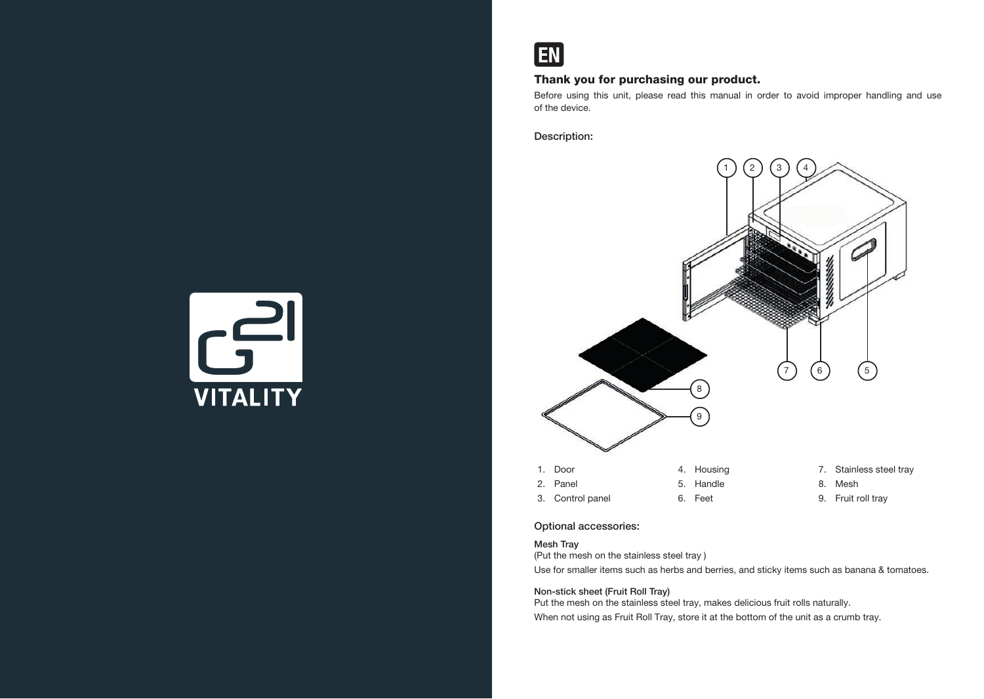

# Thank you for purchasing our product.

Before using this unit, please read this manual in order to avoid improper handling and use of the device.

Description:



## Optional accessories:

# Mesh Tray

(Put the mesh on the stainless steel tray )

Use for smaller items such as herbs and berries, and sticky items such as banana & tomatoes.

## Non-stick sheet (Fruit Roll Tray)

Put the mesh on the stainless steel tray, makes delicious fruit rolls naturally. When not using as Fruit Roll Tray, store it at the bottom of the unit as a crumb tray.

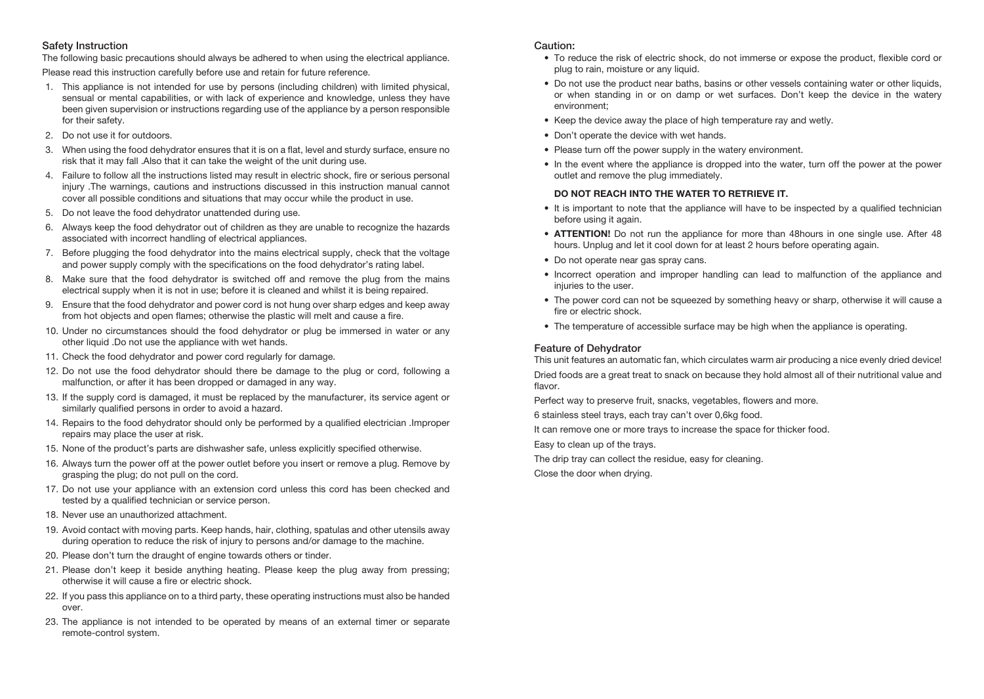## Safety Instruction

The following basic precautions should always be adhered to when using the electrical appliance.

Please read this instruction carefully before use and retain for future reference.

- 1. This appliance is not intended for use by persons (including children) with limited physical, sensual or mental capabilities, or with lack of experience and knowledge, unless they have been given supervision or instructions regarding use of the appliance by a person responsible for their safety.
- 2. Do not use it for outdoors.
- 3. When using the food dehydrator ensures that it is on a flat, level and sturdy surface, ensure no risk that it may fall .Also that it can take the weight of the unit during use.
- 4. Failure to follow all the instructions listed may result in electric shock, fire or serious personal injury .The warnings, cautions and instructions discussed in this instruction manual cannot cover all possible conditions and situations that may occur while the product in use.
- 5. Do not leave the food dehydrator unattended during use.
- 6. Always keep the food dehydrator out of children as they are unable to recognize the hazards associated with incorrect handling of electrical appliances.
- 7. Before plugging the food dehydrator into the mains electrical supply, check that the voltage and power supply comply with the specifications on the food dehydrator's rating label.
- 8. Make sure that the food dehydrator is switched off and remove the plug from the mains electrical supply when it is not in use; before it is cleaned and whilst it is being repaired.
- 9. Ensure that the food dehydrator and power cord is not hung over sharp edges and keep away from hot objects and open flames; otherwise the plastic will melt and cause a fire.
- 10. Under no circumstances should the food dehydrator or plug be immersed in water or any other liquid .Do not use the appliance with wet hands.
- 11. Check the food dehydrator and power cord regularly for damage.
- 12. Do not use the food dehydrator should there be damage to the plug or cord, following a malfunction, or after it has been dropped or damaged in any way.
- 13. If the supply cord is damaged, it must be replaced by the manufacturer, its service agent or similarly qualified persons in order to avoid a hazard.
- 14. Repairs to the food dehydrator should only be performed by a qualified electrician .Improper repairs may place the user at risk.
- 15. None of the product's parts are dishwasher safe, unless explicitly specified otherwise.
- 16. Always turn the power off at the power outlet before you insert or remove a plug. Remove by grasping the plug; do not pull on the cord.
- 17. Do not use your appliance with an extension cord unless this cord has been checked and tested by a qualified technician or service person.
- 18. Never use an unauthorized attachment.
- 19. Avoid contact with moving parts. Keep hands, hair, clothing, spatulas and other utensils away during operation to reduce the risk of injury to persons and/or damage to the machine.
- 20. Please don't turn the draught of engine towards others or tinder.
- 21. Please don't keep it beside anything heating. Please keep the plug away from pressing; otherwise it will cause a fire or electric shock.
- 22. If you pass this appliance on to a third party, these operating instructions must also be handed over.
- 23. The appliance is not intended to be operated by means of an external timer or separate remote-control system.

#### Caution:

- To reduce the risk of electric shock, do not immerse or expose the product, flexible cord or plug to rain, moisture or any liquid.
- Do not use the product near baths, basins or other vessels containing water or other liquids, or when standing in or on damp or wet surfaces. Don't keep the device in the watery environment;
- Keep the device away the place of high temperature ray and wetly.
- Don't operate the device with wet hands.
- Please turn off the power supply in the watery environment.
- In the event where the appliance is dropped into the water, turn off the power at the power outlet and remove the plug immediately.

#### DO NOT REACH INTO THE WATER TO RETRIEVE IT.

- It is important to note that the appliance will have to be inspected by a qualified technician before using it again.
- ATTENTION! Do not run the appliance for more than 48hours in one single use. After 48 hours. Unplug and let it cool down for at least 2 hours before operating again.
- Do not operate near gas spray cans.
- Incorrect operation and improper handling can lead to malfunction of the appliance and injuries to the user.
- The power cord can not be squeezed by something heavy or sharp, otherwise it will cause a fire or electric shock.
- The temperature of accessible surface may be high when the appliance is operating.

# Feature of Dehydrator

This unit features an automatic fan, which circulates warm air producing a nice evenly dried device! Dried foods are a great treat to snack on because they hold almost all of their nutritional value and flavor.

Perfect way to preserve fruit, snacks, vegetables, flowers and more.

6 stainless steel trays, each tray can't over 0,6kg food.

It can remove one or more trays to increase the space for thicker food.

Easy to clean up of the trays.

The drip tray can collect the residue, easy for cleaning.

Close the door when drying.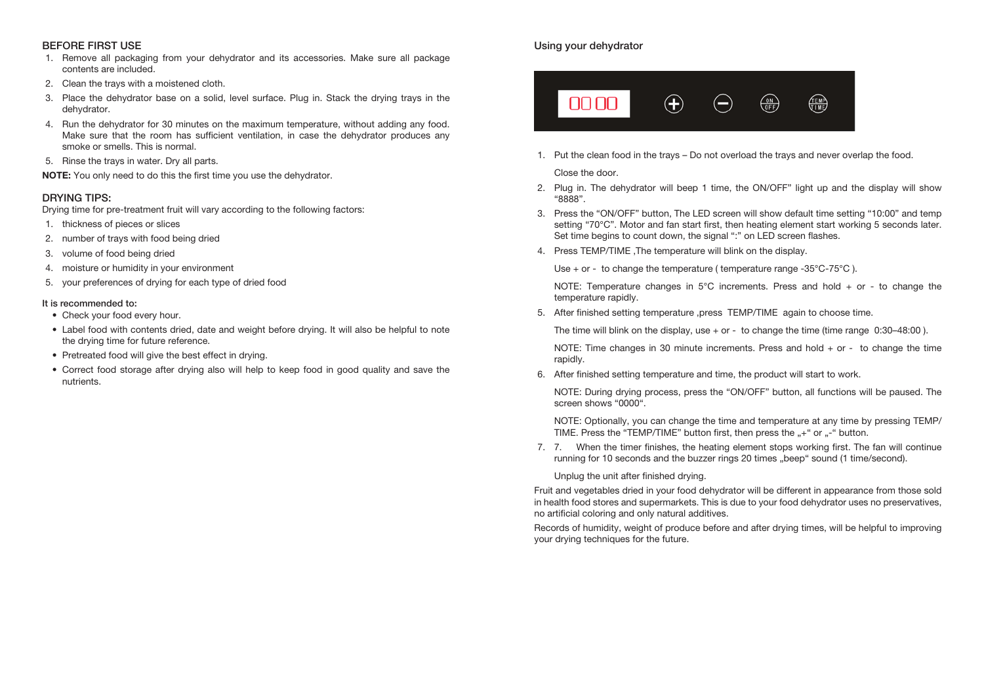# BEFORE FIRST USE

- 1. Remove all packaging from your dehydrator and its accessories. Make sure all package contents are included.
- 2. Clean the trays with a moistened cloth.
- 3. Place the dehydrator base on a solid, level surface. Plug in. Stack the drying trays in the dehydrator.
- 4. Run the dehydrator for 30 minutes on the maximum temperature, without adding any food. Make sure that the room has sufficient ventilation, in case the dehydrator produces any smoke or smells. This is normal.
- 5. Rinse the trays in water. Dry all parts.

NOTE: You only need to do this the first time you use the dehydrator.

## DRYING TIPS:

Drying time for pre-treatment fruit will vary according to the following factors:

- 1. thickness of pieces or slices
- 2. number of trays with food being dried
- 3. volume of food being dried
- 4. moisture or humidity in your environment
- 5. your preferences of drying for each type of dried food

#### It is recommended to:

- Check your food every hour.
- Label food with contents dried, date and weight before drying. It will also be helpful to note the drying time for future reference.
- Pretreated food will give the best effect in drying.
- Correct food storage after drying also will help to keep food in good quality and save the nutrients.

# Using your dehydrator



1. Put the clean food in the trays – Do not overload the trays and never overlap the food.

#### Close the door.

- 2. Plug in. The dehydrator will beep 1 time, the ON/OFF" light up and the display will show "8888".
- 3. Press the "ON/OFF" button, The LED screen will show default time setting "10:00" and temp setting "70°C". Motor and fan start first, then heating element start working 5 seconds later. Set time begins to count down, the signal ":" on LED screen flashes.
- 4. Press TEMP/TIME ,The temperature will blink on the display.

Use  $+$  or - to change the temperature ( temperature range -35 $^{\circ}$ C-75 $^{\circ}$ C ).

NOTE: Temperature changes in  $5^{\circ}$ C increments. Press and hold + or - to change the temperature rapidly.

5. After finished setting temperature ,press TEMP/TIME again to choose time.

The time will blink on the display, use  $+$  or  $-$  to change the time (time range 0:30–48:00).

NOTE: Time changes in 30 minute increments. Press and hold + or - to change the time rapidly.

6. After finished setting temperature and time, the product will start to work.

NOTE: During drying process, press the "ON/OFF" button, all functions will be paused. The screen shows "0000"

NOTE: Optionally, you can change the time and temperature at any time by pressing TEMP/ TIME. Press the "TEMP/TIME" button first, then press the ...+" or ..-" button.

7. 7. When the timer finishes, the heating element stops working first. The fan will continue running for 10 seconds and the buzzer rings 20 times "beep" sound (1 time/second).

Unplug the unit after finished drying.

Fruit and vegetables dried in your food dehydrator will be different in appearance from those sold in health food stores and supermarkets. This is due to your food dehydrator uses no preservatives, no artificial coloring and only natural additives.

Records of humidity, weight of produce before and after drying times, will be helpful to improving your drying techniques for the future.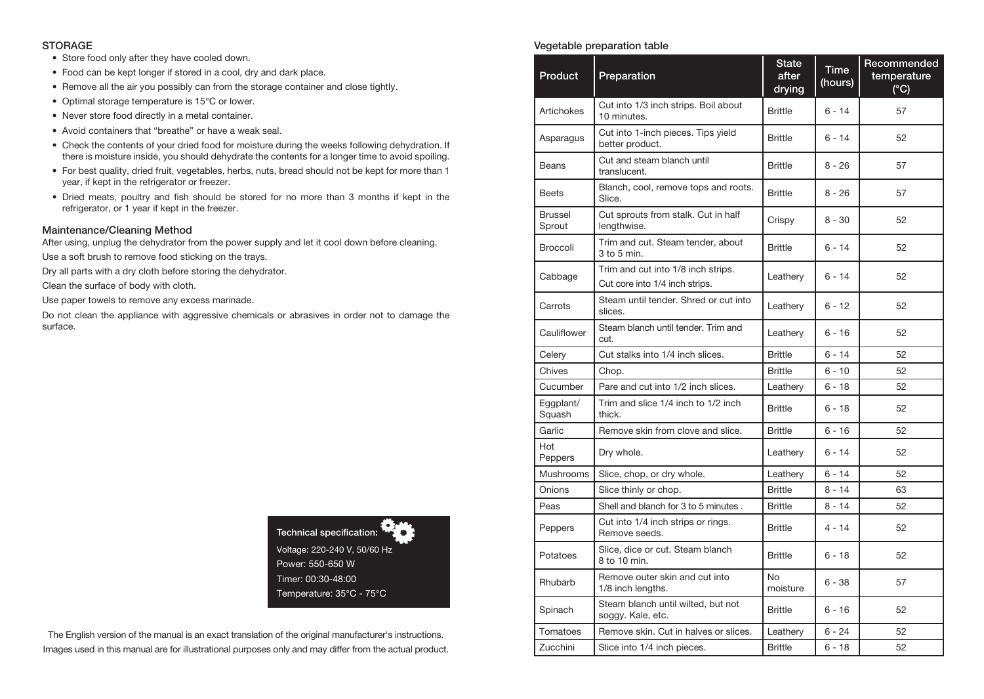#### **STORAGE**

- Store food only after they have cooled down.
- Food can be kept longer if stored in a cool, dry and dark place.
- Remove all the air you possibly can from the storage container and close tightly.
- Optimal storage temperature is 15°C or lower.
- Never store food directly in a metal container.
- Avoid containers that "breathe" or have a weak seal.
- Check the contents of your dried food for moisture during the weeks following dehydration. If there is moisture inside, you should dehydrate the contents for a longer time to avoid spoiling.
- For best quality, dried fruit, vegetables, herbs, nuts, bread should not be kept for more than 1 year, if kept in the refrigerator or freezer.
- Dried meats, poultry and fish should be stored for no more than 3 months if kept in the refrigerator, or 1 year if kept in the freezer.

#### Maintenance/Cleaning Method

After using, unplug the dehydrator from the power supply and let it cool down before cleaning.

Use a soft brush to remove food sticking on the trays.

Dry all parts with a dry cloth before storing the dehydrator.

Clean the surface of body with cloth.

Use paper towels to remove any excess marinade.

Do not clean the appliance with aggressive chemicals or abrasives in order not to damage the surface.

> Technical specification: Voltage: 220-240 V, 50/60 Hz Power: 550-650 W Timer: 00:30-48:00 Temperature: 35°C - 75°C

The English version of the manual is an exact translation of the original manufacturer's instructions. Images used in this manual are for illustrational purposes only and may differ from the actual product.

# Vegetable preparation table

| Product                  | Preparation                                                          | <b>State</b><br>after<br>drying | <b>Time</b><br>(hours) | Recommended<br>temperature<br>(C) |
|--------------------------|----------------------------------------------------------------------|---------------------------------|------------------------|-----------------------------------|
| Artichokes               | Cut into 1/3 inch strips. Boil about<br>10 minutes.                  | <b>Brittle</b>                  | $6 - 14$               | 57                                |
| Asparagus                | Cut into 1-inch pieces. Tips yield<br>better product.                | <b>Brittle</b>                  | $6 - 14$               | 52                                |
| <b>Beans</b>             | Cut and steam blanch until<br>translucent.                           | <b>Brittle</b>                  | 8 - 26                 | 57                                |
| <b>Beets</b>             | Blanch, cool, remove tops and roots.<br>Slice.                       | <b>Brittle</b>                  | $8 - 26$               | 57                                |
| <b>Brussel</b><br>Sprout | Cut sprouts from stalk. Cut in half<br>lengthwise.                   | Crispy                          | $8 - 30$               | 52                                |
| <b>Broccoli</b>          | Trim and cut. Steam tender, about<br>$3$ to $5$ min.                 | <b>Brittle</b>                  | $6 - 14$               | 52                                |
| Cabbage                  | Trim and cut into 1/8 inch strips.<br>Cut core into 1/4 inch strips. | Leathery                        | $6 - 14$               | 52                                |
| Carrots                  | Steam until tender. Shred or cut into<br>slices.                     | Leathery                        | $6 - 12$               | 52                                |
| Cauliflower              | Steam blanch until tender. Trim and<br>cut.                          | Leathery                        | 6 - 16                 | 52                                |
| Celery                   | Cut stalks into 1/4 inch slices.                                     | <b>Brittle</b>                  | $6 - 14$               | 52                                |
| Chives                   | Chop.                                                                | <b>Brittle</b>                  | $6 - 10$               | 52                                |
| Cucumber                 | Pare and cut into 1/2 inch slices.                                   | Leathery                        | $6 - 18$               | 52                                |
| Eggplant/<br>Squash      | Trim and slice 1/4 inch to 1/2 inch<br>thick.                        | <b>Brittle</b>                  | $6 - 18$               | 52                                |
| Garlic                   | Remove skin from clove and slice.                                    | <b>Brittle</b>                  | $6 - 16$               | 52                                |
| Hot<br>Peppers           | Dry whole.                                                           | Leathery                        | 6 - 14                 | 52                                |
| <b>Mushrooms</b>         | Slice, chop, or dry whole.                                           | Leathery                        | $6 - 14$               | 52                                |
| Onions                   | Slice thinly or chop.                                                | <b>Brittle</b>                  | $8 - 14$               | 63                                |
| Peas                     | Shell and blanch for 3 to 5 minutes.                                 | <b>Brittle</b>                  | $8 - 14$               | 52                                |
| Peppers                  | Cut into 1/4 inch strips or rings.<br>Remove seeds.                  | <b>Brittle</b>                  | 4 - 14                 | 52                                |
| Potatoes                 | Slice, dice or cut. Steam blanch<br>8 to 10 min.                     | <b>Brittle</b>                  | $6 - 18$               | 52                                |
| Rhubarb                  | Remove outer skin and cut into<br>1/8 inch lengths.                  | No<br>moisture                  | 6 - 38                 | 57                                |
| Spinach                  | Steam blanch until wilted, but not<br>soggy. Kale, etc.              | <b>Brittle</b>                  | $6 - 16$               | 52                                |
| Tomatoes                 | Remove skin. Cut in halves or slices.                                | Leathery                        | 6 - 24                 | 52                                |
| Zucchini                 | Slice into 1/4 inch pieces.                                          | <b>Brittle</b>                  | $6 - 18$               | 52                                |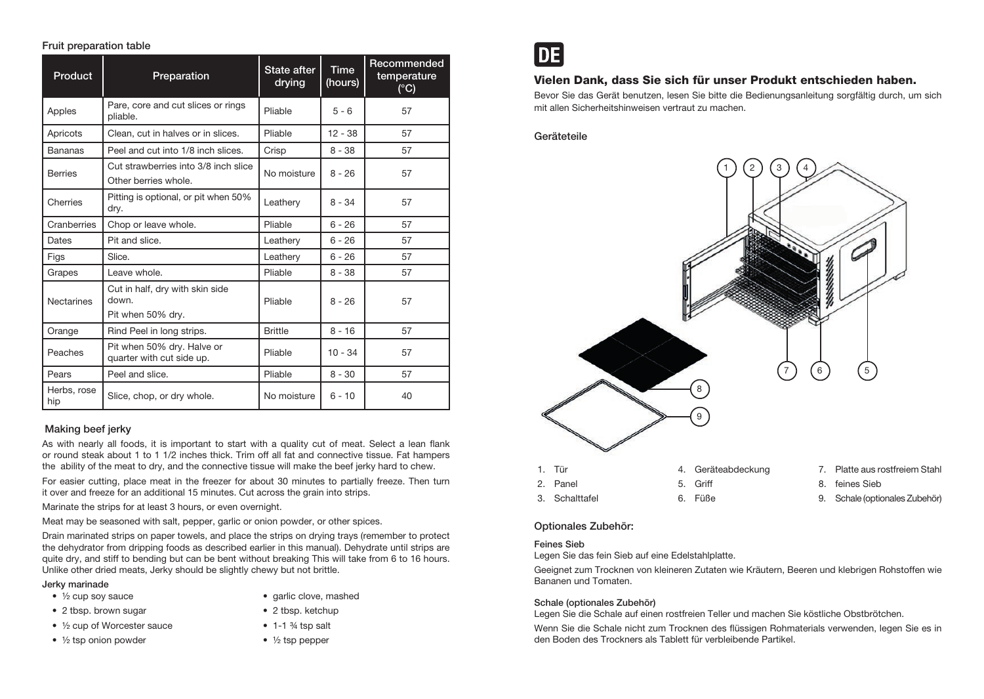# Fruit preparation table

| <b>Product</b>     | Preparation                                                   | <b>State after</b><br>drying | <b>Time</b><br>(hours) | Recommended<br>temperature<br>(C) |
|--------------------|---------------------------------------------------------------|------------------------------|------------------------|-----------------------------------|
| Apples             | Pare, core and cut slices or rings<br>pliable.                | Pliable                      | $5 - 6$                | 57                                |
| Apricots           | Clean, cut in halves or in slices.                            | Pliable                      | $12 - 38$              | 57                                |
| <b>Bananas</b>     | Peel and cut into 1/8 inch slices.                            | Crisp                        | $8 - 38$               | 57                                |
| <b>Berries</b>     | Cut strawberries into 3/8 inch slice<br>Other berries whole.  | No moisture                  | $8 - 26$               | 57                                |
| Cherries           | Pitting is optional, or pit when 50%<br>dry.                  | Leathery                     | $8 - 34$               | 57                                |
| Cranberries        | Chop or leave whole.                                          | Pliable                      | $6 - 26$               | 57                                |
| Dates              | Pit and slice.                                                | Leathery                     | $6 - 26$               | 57                                |
| Figs               | Slice.                                                        | Leathery                     | $6 - 26$               | 57                                |
| Grapes             | Leave whole.                                                  | Pliable                      | $8 - 38$               | 57                                |
| <b>Nectarines</b>  | Cut in half, dry with skin side<br>down.<br>Pit when 50% dry. | Pliable                      | $8 - 26$               | 57                                |
| Orange             | Rind Peel in long strips.                                     | <b>Brittle</b>               | $8 - 16$               | 57                                |
| Peaches            | Pit when 50% dry. Halve or<br>quarter with cut side up.       | Pliable                      | $10 - 34$              | 57                                |
| Pears              | Peel and slice.                                               | Pliable                      | $8 - 30$               | 57                                |
| Herbs, rose<br>hip | Slice, chop, or dry whole.                                    | No moisture                  | $6 - 10$               | 40                                |

## Making beef jerky

As with nearly all foods, it is important to start with a quality cut of meat. Select a lean flank or round steak about 1 to 1 1/2 inches thick. Trim off all fat and connective tissue. Fat hampers the ability of the meat to dry, and the connective tissue will make the beef jerky hard to chew.

For easier cutting, place meat in the freezer for about 30 minutes to partially freeze. Then turn it over and freeze for an additional 15 minutes. Cut across the grain into strips.

Marinate the strips for at least 3 hours, or even overnight.

Meat may be seasoned with salt, pepper, garlic or onion powder, or other spices.

Drain marinated strips on paper towels, and place the strips on drying trays (remember to protect the dehydrator from dripping foods as described earlier in this manual). Dehydrate until strips are quite dry, and stiff to bending but can be bent without breaking This will take from 6 to 16 hours. Unlike other dried meats, Jerky should be slightly chewy but not brittle.

#### Jerky marinade

- $\frac{1}{2}$  cup soy sauce
- 2 tbsp. brown sugar
- ½ cup of Worcester sauce
- $\bullet$   $\frac{1}{2}$  tsp onion powder
- garlic clove, mashed
- 2 tbsp. ketchup
- $\bullet$  1-1  $\frac{3}{4}$  tsp salt
- $\bullet$   $\frac{1}{2}$  tsp pepper

|--|

# Vielen Dank, dass Sie sich für unser Produkt entschieden haben.

Bevor Sie das Gerät benutzen, lesen Sie bitte die Bedienungsanleitung sorgfältig durch, um sich mit allen Sicherheitshinweisen vertraut zu machen.

## Geräteteile



## Optionales Zubehör:

#### Feines Sieb

Legen Sie das fein Sieb auf eine Edelstahlplatte.

Geeignet zum Trocknen von kleineren Zutaten wie Kräutern, Beeren und klebrigen Rohstoffen wie Bananen und Tomaten.

#### Schale (optionales Zubehör)

Legen Sie die Schale auf einen rostfreien Teller und machen Sie köstliche Obstbrötchen.

Wenn Sie die Schale nicht zum Trocknen des flüssigen Rohmaterials verwenden, legen Sie es in den Boden des Trockners als Tablett für verbleibende Partikel.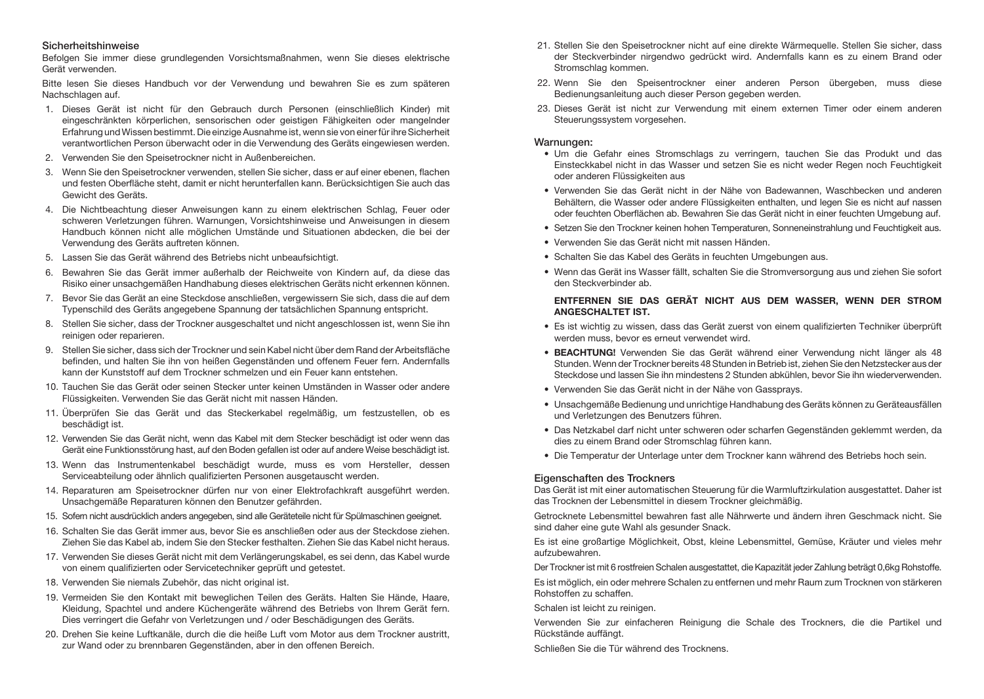#### Sicherheitshinweise

Befolgen Sie immer diese grundlegenden Vorsichtsmaßnahmen, wenn Sie dieses elektrische Gerät verwenden.

Bitte lesen Sie dieses Handbuch vor der Verwendung und bewahren Sie es zum späteren Nachschlagen auf.

- 1. Dieses Gerät ist nicht für den Gebrauch durch Personen (einschließlich Kinder) mit eingeschränkten körperlichen, sensorischen oder geistigen Fähigkeiten oder mangelnder Erfahrung und Wissen bestimmt. Die einzige Ausnahme ist, wenn sie von einer für ihre Sicherheit verantwortlichen Person überwacht oder in die Verwendung des Geräts eingewiesen werden.
- 2. Verwenden Sie den Speisetrockner nicht in Außenbereichen.
- 3. Wenn Sie den Speisetrockner verwenden, stellen Sie sicher, dass er auf einer ebenen, flachen und festen Oberfläche steht, damit er nicht herunterfallen kann. Berücksichtigen Sie auch das Gewicht des Geräts.
- 4. Die Nichtbeachtung dieser Anweisungen kann zu einem elektrischen Schlag, Feuer oder schweren Verletzungen führen. Warnungen, Vorsichtshinweise und Anweisungen in diesem Handbuch können nicht alle möglichen Umstände und Situationen abdecken, die bei der Verwendung des Geräts auftreten können.
- 5. Lassen Sie das Gerät während des Betriebs nicht unbeaufsichtigt.
- 6. Bewahren Sie das Gerät immer außerhalb der Reichweite von Kindern auf, da diese das Risiko einer unsachgemäßen Handhabung dieses elektrischen Geräts nicht erkennen können.
- 7. Bevor Sie das Gerät an eine Steckdose anschließen, vergewissern Sie sich, dass die auf dem Typenschild des Geräts angegebene Spannung der tatsächlichen Spannung entspricht.
- 8. Stellen Sie sicher, dass der Trockner ausgeschaltet und nicht angeschlossen ist, wenn Sie ihn reinigen oder reparieren.
- 9. Stellen Sie sicher, dass sich der Trockner und sein Kabel nicht über dem Rand der Arbeitsfläche befinden, und halten Sie ihn von heißen Gegenständen und offenem Feuer fern. Andernfalls kann der Kunststoff auf dem Trockner schmelzen und ein Feuer kann entstehen.
- 10. Tauchen Sie das Gerät oder seinen Stecker unter keinen Umständen in Wasser oder andere Flüssigkeiten. Verwenden Sie das Gerät nicht mit nassen Händen.
- 11. Überprüfen Sie das Gerät und das Steckerkabel regelmäßig, um festzustellen, ob es beschädigt ist.
- 12. Verwenden Sie das Gerät nicht, wenn das Kabel mit dem Stecker beschädigt ist oder wenn das Gerät eine Funktionsstörung hast, auf den Boden gefallen ist oder auf andere Weise beschädigt ist.
- 13. Wenn das Instrumentenkabel beschädigt wurde, muss es vom Hersteller, dessen Serviceabteilung oder ähnlich qualifizierten Personen ausgetauscht werden.
- 14. Reparaturen am Speisetrockner dürfen nur von einer Elektrofachkraft ausgeführt werden. Unsachgemäße Reparaturen können den Benutzer gefährden.
- 15. Sofern nicht ausdrücklich anders angegeben, sind alle Geräteteile nicht für Spülmaschinen geeignet.
- 16. Schalten Sie das Gerät immer aus, bevor Sie es anschließen oder aus der Steckdose ziehen. Ziehen Sie das Kabel ab, indem Sie den Stecker festhalten. Ziehen Sie das Kabel nicht heraus.
- 17. Verwenden Sie dieses Gerät nicht mit dem Verlängerungskabel, es sei denn, das Kabel wurde von einem qualifizierten oder Servicetechniker geprüft und getestet.
- 18. Verwenden Sie niemals Zubehör, das nicht original ist.
- 19. Vermeiden Sie den Kontakt mit beweglichen Teilen des Geräts. Halten Sie Hände, Haare, Kleidung, Spachtel und andere Küchengeräte während des Betriebs von Ihrem Gerät fern. Dies verringert die Gefahr von Verletzungen und / oder Beschädigungen des Geräts.
- 20. Drehen Sie keine Luftkanäle, durch die die heiße Luft vom Motor aus dem Trockner austritt, zur Wand oder zu brennbaren Gegenständen, aber in den offenen Bereich.
- 21. Stellen Sie den Speisetrockner nicht auf eine direkte Wärmequelle. Stellen Sie sicher, dass der Steckverbinder nirgendwo gedrückt wird. Andernfalls kann es zu einem Brand oder Stromschlag kommen.
- 22. Wenn Sie den Speisentrockner einer anderen Person übergeben, muss diese Bedienungsanleitung auch dieser Person gegeben werden.
- 23. Dieses Gerät ist nicht zur Verwendung mit einem externen Timer oder einem anderen Steuerungssystem vorgesehen.

#### Warnungen:

- Um die Gefahr eines Stromschlags zu verringern, tauchen Sie das Produkt und das Einsteckkabel nicht in das Wasser und setzen Sie es nicht weder Regen noch Feuchtigkeit oder anderen Flüssigkeiten aus
- Verwenden Sie das Gerät nicht in der Nähe von Badewannen, Waschbecken und anderen Behältern, die Wasser oder andere Flüssigkeiten enthalten, und legen Sie es nicht auf nassen oder feuchten Oberflächen ab. Bewahren Sie das Gerät nicht in einer feuchten Umgebung auf.
- Setzen Sie den Trockner keinen hohen Temperaturen, Sonneneinstrahlung und Feuchtigkeit aus.
- Verwenden Sie das Gerät nicht mit nassen Händen.
- Schalten Sie das Kabel des Geräts in feuchten Umgebungen aus.
- Wenn das Gerät ins Wasser fällt, schalten Sie die Stromversorgung aus und ziehen Sie sofort den Steckverbinder ab.

#### ENTFERNEN SIE DAS GERÄT NICHT AUS DEM WASSER, WENN DER STROM ANGESCHALTET IST.

- Es ist wichtig zu wissen, dass das Gerät zuerst von einem qualifizierten Techniker überprüft werden muss, bevor es erneut verwendet wird.
- BEACHTUNG! Verwenden Sie das Gerät während einer Verwendung nicht länger als 48 Stunden. Wenn der Trockner bereits 48 Stunden in Betrieb ist, ziehen Sie den Netzstecker aus der Steckdose und lassen Sie ihn mindestens 2 Stunden abkühlen, bevor Sie ihn wiederverwenden.
- Verwenden Sie das Gerät nicht in der Nähe von Gassprays.
- Unsachgemäße Bedienung und unrichtige Handhabung des Geräts können zu Geräteausfällen und Verletzungen des Benutzers führen.
- Das Netzkabel darf nicht unter schweren oder scharfen Gegenständen geklemmt werden, da dies zu einem Brand oder Stromschlag führen kann.
- Die Temperatur der Unterlage unter dem Trockner kann während des Betriebs hoch sein.

# Eigenschaften des Trockners

Das Gerät ist mit einer automatischen Steuerung für die Warmluftzirkulation ausgestattet. Daher ist das Trocknen der Lebensmittel in diesem Trockner gleichmäßig.

Getrocknete Lebensmittel bewahren fast alle Nährwerte und ändern ihren Geschmack nicht. Sie sind daher eine gute Wahl als gesunder Snack.

Es ist eine großartige Möglichkeit, Obst, kleine Lebensmittel, Gemüse, Kräuter und vieles mehr aufzubewahren.

Der Trockner ist mit 6 rostfreien Schalen ausgestattet, die Kapazität jeder Zahlung beträgt 0,6kg Rohstoffe.

Es ist möglich, ein oder mehrere Schalen zu entfernen und mehr Raum zum Trocknen von stärkeren Rohstoffen zu schaffen.

#### Schalen ist leicht zu reinigen.

Verwenden Sie zur einfacheren Reinigung die Schale des Trockners, die die Partikel und Rückstände auffängt.

Schließen Sie die Tür während des Trocknens.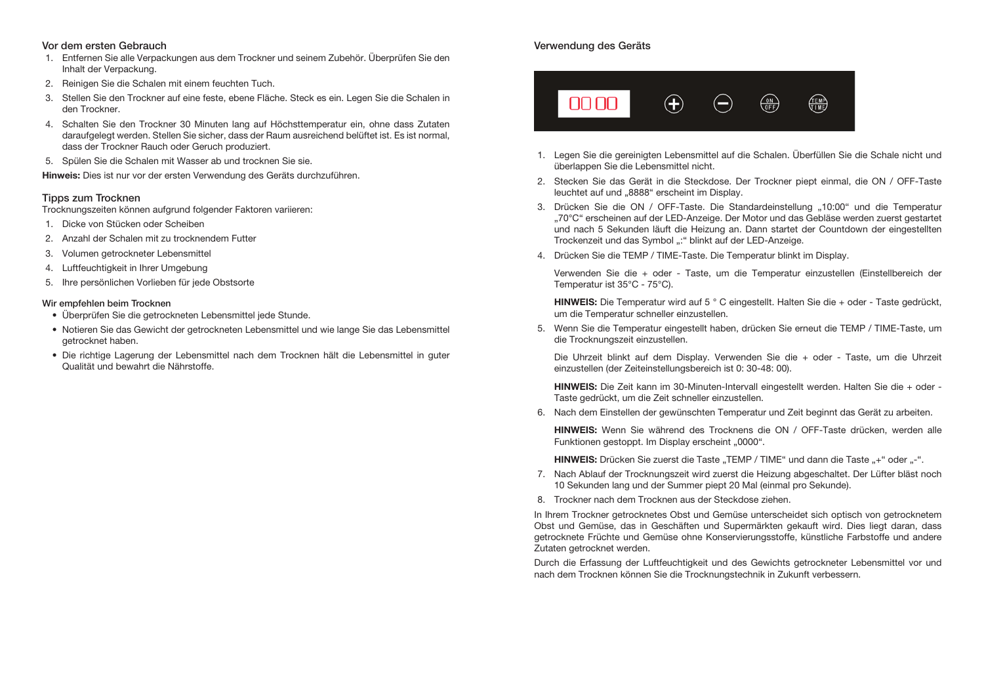#### Vor dem ersten Gebrauch

- 1. Entfernen Sie alle Verpackungen aus dem Trockner und seinem Zubehör. Überprüfen Sie den Inhalt der Verpackung.
- 2. Reinigen Sie die Schalen mit einem feuchten Tuch.
- 3. Stellen Sie den Trockner auf eine feste, ebene Fläche. Steck es ein. Legen Sie die Schalen in den Trockner.
- 4. Schalten Sie den Trockner 30 Minuten lang auf Höchsttemperatur ein, ohne dass Zutaten daraufgelegt werden. Stellen Sie sicher, dass der Raum ausreichend belüftet ist. Es ist normal, dass der Trockner Rauch oder Geruch produziert.
- 5. Spülen Sie die Schalen mit Wasser ab und trocknen Sie sie.

Hinweis: Dies ist nur vor der ersten Verwendung des Geräts durchzuführen.

## Tipps zum Trocknen

Trocknungszeiten können aufgrund folgender Faktoren variieren:

- 1. Dicke von Stücken oder Scheiben
- 2. Anzahl der Schalen mit zu trocknendem Futter
- 3. Volumen getrockneter Lebensmittel
- 4. Luftfeuchtigkeit in Ihrer Umgebung
- 5. Ihre persönlichen Vorlieben für jede Obstsorte

#### Wir empfehlen beim Trocknen

- Überprüfen Sie die getrockneten Lebensmittel jede Stunde.
- Notieren Sie das Gewicht der getrockneten Lebensmittel und wie lange Sie das Lebensmittel getrocknet haben.
- Die richtige Lagerung der Lebensmittel nach dem Trocknen hält die Lebensmittel in guter Qualität und bewahrt die Nährstoffe.

# Verwendung des Geräts



- 1. Legen Sie die gereinigten Lebensmittel auf die Schalen. Überfüllen Sie die Schale nicht und überlappen Sie die Lebensmittel nicht.
- 2. Stecken Sie das Gerät in die Steckdose. Der Trockner piept einmal, die ON / OFF-Taste leuchtet auf und "8888" erscheint im Display.
- 3. Drücken Sie die ON / OFF-Taste. Die Standardeinstellung "10:00" und die Temperatur "70°C" erscheinen auf der LED-Anzeige. Der Motor und das Gebläse werden zuerst gestartet und nach 5 Sekunden läuft die Heizung an. Dann startet der Countdown der eingestellten Trockenzeit und das Symbol ..: " blinkt auf der LED-Anzeige.
- 4. Drücken Sie die TEMP / TIME-Taste. Die Temperatur blinkt im Display.

Verwenden Sie die + oder - Taste, um die Temperatur einzustellen (Einstellbereich der Temperatur ist 35°C - 75°C).

HINWEIS: Die Temperatur wird auf 5 ° C eingestellt. Halten Sie die + oder - Taste gedrückt, um die Temperatur schneller einzustellen.

5. Wenn Sie die Temperatur eingestellt haben, drücken Sie erneut die TEMP / TIME-Taste, um die Trocknungszeit einzustellen.

Die Uhrzeit blinkt auf dem Display. Verwenden Sie die + oder - Taste, um die Uhrzeit einzustellen (der Zeiteinstellungsbereich ist 0: 30-48: 00).

HINWEIS: Die Zeit kann im 30-Minuten-Intervall eingestellt werden. Halten Sie die + oder - Taste gedrückt, um die Zeit schneller einzustellen.

6. Nach dem Einstellen der gewünschten Temperatur und Zeit beginnt das Gerät zu arbeiten.

HINWEIS: Wenn Sie während des Trocknens die ON / OFF-Taste drücken, werden alle Funktionen gestoppt. Im Display erscheint "0000".

HINWEIS: Drücken Sie zuerst die Taste "TEMP / TIME" und dann die Taste "+" oder "-".

- 7. Nach Ablauf der Trocknungszeit wird zuerst die Heizung abgeschaltet. Der Lüfter bläst noch 10 Sekunden lang und der Summer piept 20 Mal (einmal pro Sekunde).
- 8. Trockner nach dem Trocknen aus der Steckdose ziehen.

In Ihrem Trockner getrocknetes Obst und Gemüse unterscheidet sich optisch von getrocknetem Obst und Gemüse, das in Geschäften und Supermärkten gekauft wird. Dies liegt daran, dass getrocknete Früchte und Gemüse ohne Konservierungsstoffe, künstliche Farbstoffe und andere Zutaten getrocknet werden.

Durch die Erfassung der Luftfeuchtigkeit und des Gewichts getrockneter Lebensmittel vor und nach dem Trocknen können Sie die Trocknungstechnik in Zukunft verbessern.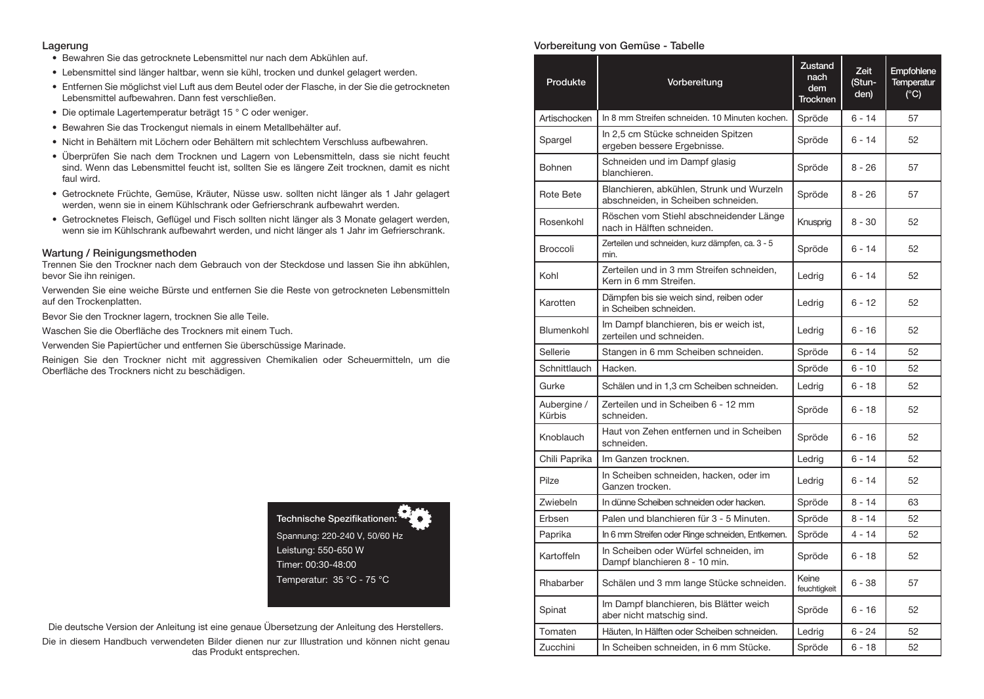#### Lagerung

- Bewahren Sie das getrocknete Lebensmittel nur nach dem Abkühlen auf.
- Lebensmittel sind länger haltbar, wenn sie kühl, trocken und dunkel gelagert werden.
- Entfernen Sie möglichst viel Luft aus dem Beutel oder der Flasche, in der Sie die getrockneten Lebensmittel aufbewahren. Dann fest verschließen.
- Die optimale Lagertemperatur beträgt 15 ° C oder weniger.
- Bewahren Sie das Trockengut niemals in einem Metallbehälter auf.
- Nicht in Behältern mit Löchern oder Behältern mit schlechtem Verschluss aufbewahren.
- Überprüfen Sie nach dem Trocknen und Lagern von Lebensmitteln, dass sie nicht feucht sind. Wenn das Lebensmittel feucht ist, sollten Sie es längere Zeit trocknen, damit es nicht faul wird.
- Getrocknete Früchte, Gemüse, Kräuter, Nüsse usw. sollten nicht länger als 1 Jahr gelagert werden, wenn sie in einem Kühlschrank oder Gefrierschrank aufbewahrt werden.
- Getrocknetes Fleisch, Geflügel und Fisch sollten nicht länger als 3 Monate gelagert werden, wenn sie im Kühlschrank aufbewahrt werden, und nicht länger als 1 Jahr im Gefrierschrank.

#### Wartung / Reinigungsmethoden

Trennen Sie den Trockner nach dem Gebrauch von der Steckdose und lassen Sie ihn abkühlen, bevor Sie ihn reinigen.

Verwenden Sie eine weiche Bürste und entfernen Sie die Reste von getrockneten Lebensmitteln auf den Trockenplatten.

Bevor Sie den Trockner lagern, trocknen Sie alle Teile.

Waschen Sie die Oberfläche des Trockners mit einem Tuch.

Verwenden Sie Papiertücher und entfernen Sie überschüssige Marinade.

Reinigen Sie den Trockner nicht mit aggressiven Chemikalien oder Scheuermitteln, um die Oberfläche des Trockners nicht zu beschädigen.

> Technische Spezifikationen: Spannung: 220-240 V, 50/60 Hz Leistung: 550-650 W Timer: 00:30-48:00 Temperatur: 35 °C - 75 °C

Die deutsche Version der Anleitung ist eine genaue Übersetzung der Anleitung des Herstellers. Die in diesem Handbuch verwendeten Bilder dienen nur zur Illustration und können nicht genau das Produkt entsprechen.

## Vorbereitung von Gemüse - Tabelle

| Produkte              | Vorbereitung                                                                     | <b>Zustand</b><br>nach<br>dem<br><b>Trocknen</b> | <b>Zeit</b><br>(Stun-<br>den) | Empfohlene<br>Temperatur<br>(C) |
|-----------------------|----------------------------------------------------------------------------------|--------------------------------------------------|-------------------------------|---------------------------------|
| Artischocken          | In 8 mm Streifen schneiden. 10 Minuten kochen.                                   | Spröde                                           | $6 - 14$                      | 57                              |
| Spargel               | In 2,5 cm Stücke schneiden Spitzen<br>ergeben bessere Ergebnisse.                | Spröde                                           | $6 - 14$                      | 52                              |
| <b>Bohnen</b>         | Schneiden und im Dampf glasig<br>blanchieren.                                    | Spröde                                           | $8 - 26$                      | 57                              |
| <b>Rote Bete</b>      | Blanchieren, abkühlen, Strunk und Wurzeln<br>abschneiden, in Scheiben schneiden. | Spröde                                           | $8 - 26$                      | 57                              |
| Rosenkohl             | Röschen vom Stiehl abschneidender Länge<br>nach in Hälften schneiden.            | Knusprig                                         | $8 - 30$                      | 52                              |
| <b>Broccoli</b>       | Zerteilen und schneiden, kurz dämpfen, ca. 3 - 5<br>min.                         | Spröde                                           | $6 - 14$                      | 52                              |
| Kohl                  | Zerteilen und in 3 mm Streifen schneiden,<br>Kern in 6 mm Streifen.              | Ledrig                                           | $6 - 14$                      | 52                              |
| Karotten              | Dämpfen bis sie weich sind, reiben oder<br>in Scheiben schneiden.                | Ledrig                                           | $6 - 12$                      | 52                              |
| Blumenkohl            | Im Dampf blanchieren, bis er weich ist,<br>zerteilen und schneiden.              | Ledrig                                           | $6 - 16$                      | 52                              |
| Sellerie              | Stangen in 6 mm Scheiben schneiden.                                              | Spröde                                           | $6 - 14$                      | 52                              |
| Schnittlauch          | Hacken.                                                                          | Spröde                                           | $6 - 10$                      | 52                              |
| Gurke                 | Schälen und in 1,3 cm Scheiben schneiden.                                        | Ledrig                                           | $6 - 18$                      | 52                              |
| Aubergine /<br>Kürbis | Zerteilen und in Scheiben 6 - 12 mm<br>schneiden.                                | Spröde                                           | $6 - 18$                      | 52                              |
| Knoblauch             | Haut von Zehen entfernen und in Scheiben<br>schneiden.                           | Spröde                                           | $6 - 16$                      | 52                              |
| Chili Paprika         | Im Ganzen trocknen.                                                              | Ledrig                                           | $6 - 14$                      | 52                              |
| Pilze                 | In Scheiben schneiden, hacken, oder im<br>Ganzen trocken.                        | Ledrig                                           | $6 - 14$                      | 52                              |
| Zwiebeln              | In dünne Scheiben schneiden oder hacken.                                         | Spröde                                           | $8 - 14$                      | 63                              |
| Erbsen                | Palen und blanchieren für 3 - 5 Minuten.                                         | Spröde                                           | $8 - 14$                      | 52                              |
| Paprika               | In 6 mm Streifen oder Ringe schneiden, Entkernen.                                | Spröde                                           | $4 - 14$                      | 52                              |
| Kartoffeln            | In Scheiben oder Würfel schneiden, im<br>Dampf blanchieren 8 - 10 min.           | Spröde                                           | $6 - 18$                      | 52                              |
| Rhabarber             | Schälen und 3 mm lange Stücke schneiden.                                         | Keine<br>feuchtigkeit                            | $6 - 38$                      | 57                              |
| Spinat                | Im Dampf blanchieren, bis Blätter weich<br>aber nicht matschig sind.             | Spröde                                           | $6 - 16$                      | 52                              |
| Tomaten               | Häuten, In Hälften oder Scheiben schneiden.                                      | Ledrig                                           | $6 - 24$                      | 52                              |
| Zucchini              | In Scheiben schneiden, in 6 mm Stücke.                                           | Spröde                                           | $6 - 18$                      | 52                              |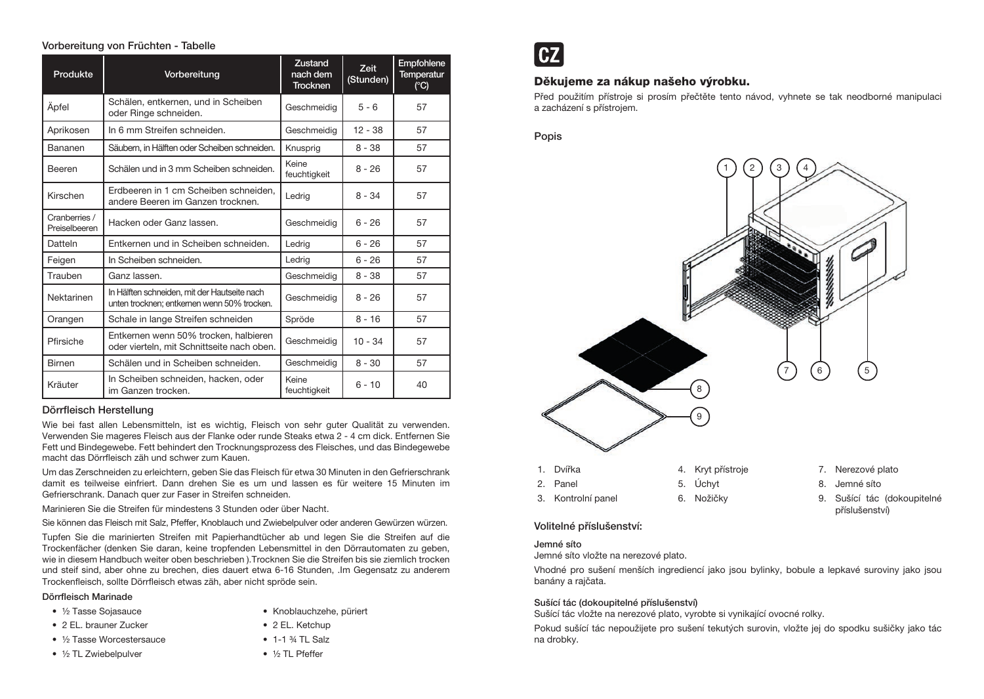## Vorbereitung von Früchten - Tabelle

| Produkte                       | Vorbereitung                                                                                | Zustand<br>nach dem<br><b>Trocknen</b> | <b>Zeit</b><br>(Stunden) | <b>Empfohlene</b><br><b>Temperatur</b><br>(C) |
|--------------------------------|---------------------------------------------------------------------------------------------|----------------------------------------|--------------------------|-----------------------------------------------|
| Äpfel                          | Schälen, entkernen, und in Scheiben<br>oder Ringe schneiden.                                | Geschmeidig                            | $5 - 6$                  | 57                                            |
| Aprikosen                      | In 6 mm Streifen schneiden.                                                                 | Geschmeidia                            | $12 - 38$                | 57                                            |
| Bananen                        | Säubern, in Hälften oder Scheiben schneiden.                                                | Knusprig                               | $8 - 38$                 | 57                                            |
| Beeren                         | Schälen und in 3 mm Scheiben schneiden.                                                     | Keine<br>feuchtigkeit                  | $8 - 26$                 | 57                                            |
| Kirschen                       | Erdbeeren in 1 cm Scheiben schneiden.<br>andere Beeren im Ganzen trocknen.                  | Ledrig                                 | $8 - 34$                 | 57                                            |
| Cranberries /<br>Preiselbeeren | Hacken oder Ganz lassen.                                                                    | Geschmeidig                            | $6 - 26$                 | 57                                            |
| Datteln                        | Entkernen und in Scheiben schneiden.                                                        | Ledrig                                 | $6 - 26$                 | 57                                            |
| Feigen                         | In Scheiben schneiden.                                                                      | Ledrig                                 | $6 - 26$                 | 57                                            |
| Trauben                        | Ganz lassen.                                                                                | Geschmeidia                            | $8 - 38$                 | 57                                            |
| Nektarinen                     | In Hälften schneiden, mit der Hautseite nach<br>unten trocknen; entkernen wenn 50% trocken. | Geschmeidig                            | $8 - 26$                 | 57                                            |
| Orangen                        | Schale in lange Streifen schneiden                                                          | Spröde                                 | $8 - 16$                 | 57                                            |
| Pfirsiche                      | Entkernen wenn 50% trocken, halbieren<br>oder vierteln, mit Schnittseite nach oben.         | Geschmeidig                            | $10 - 34$                | 57                                            |
| <b>Birnen</b>                  | Schälen und in Scheiben schneiden.                                                          | Geschmeidig                            | $8 - 30$                 | 57                                            |
| Kräuter                        | In Scheiben schneiden, hacken, oder<br>im Ganzen trocken.                                   | Keine<br>feuchtigkeit                  | $6 - 10$                 | 40                                            |

## Dörrfleisch Herstellung

Wie bei fast allen Lebensmitteln, ist es wichtig, Fleisch von sehr guter Qualität zu verwenden. Verwenden Sie mageres Fleisch aus der Flanke oder runde Steaks etwa 2 - 4 cm dick. Entfernen Sie Fett und Bindegewebe. Fett behindert den Trocknungsprozess des Fleisches, und das Bindegewebe macht das Dörrfleisch zäh und schwer zum Kauen.

Um das Zerschneiden zu erleichtern, geben Sie das Fleisch für etwa 30 Minuten in den Gefrierschrank damit es teilweise einfriert. Dann drehen Sie es um und lassen es für weitere 15 Minuten im Gefrierschrank. Danach quer zur Faser in Streifen schneiden.

Marinieren Sie die Streifen für mindestens 3 Stunden oder über Nacht.

Sie können das Fleisch mit Salz, Pfeffer, Knoblauch und Zwiebelpulver oder anderen Gewürzen würzen.

Tupfen Sie die marinierten Streifen mit Papierhandtücher ab und legen Sie die Streifen auf die Trockenfächer (denken Sie daran, keine tropfenden Lebensmittel in den Dörrautomaten zu geben, wie in diesem Handbuch weiter oben beschrieben ).Trocknen Sie die Streifen bis sie ziemlich trocken und steif sind, aber ohne zu brechen, dies dauert etwa 6-16 Stunden, .Im Gegensatz zu anderem Trockenfleisch, sollte Dörrfleisch etwas zäh, aber nicht spröde sein.

• Knoblauchzehe, püriert

• 2 EL. Ketchup • 1-1 ¾ TL Salz • 1/<sub>2</sub> TL Pfeffer

#### Dörrfleisch Marinade

- ½ Tasse Sojasauce
- 2 EL. brauner Zucker
- ½ Tasse Worcestersauce
- 1/2 TL Zwiebelpulver

**CZ** 

# Děkujeme za nákup našeho výrobku.

Před použitím přístroje si prosím přečtěte tento návod, vyhnete se tak neodborné manipulaci a zacházení s přístrojem.

Popis



## Volitelné příslušenství:

#### Jemné síto

Jemné síto vložte na nerezové plato.

Vhodné pro sušení menších ingrediencí jako jsou bylinky, bobule a lepkavé suroviny jako jsou banány a rajčata.

## Sušící tác (dokoupitelné příslušenství)

Sušící tác vložte na nerezové plato, vyrobte si vynikající ovocné rolky.

Pokud sušící tác nepoužijete pro sušení tekutých surovin, vložte jej do spodku sušičky jako tác na drobky.

- 
- 9. Sušící tác (dokoupitelné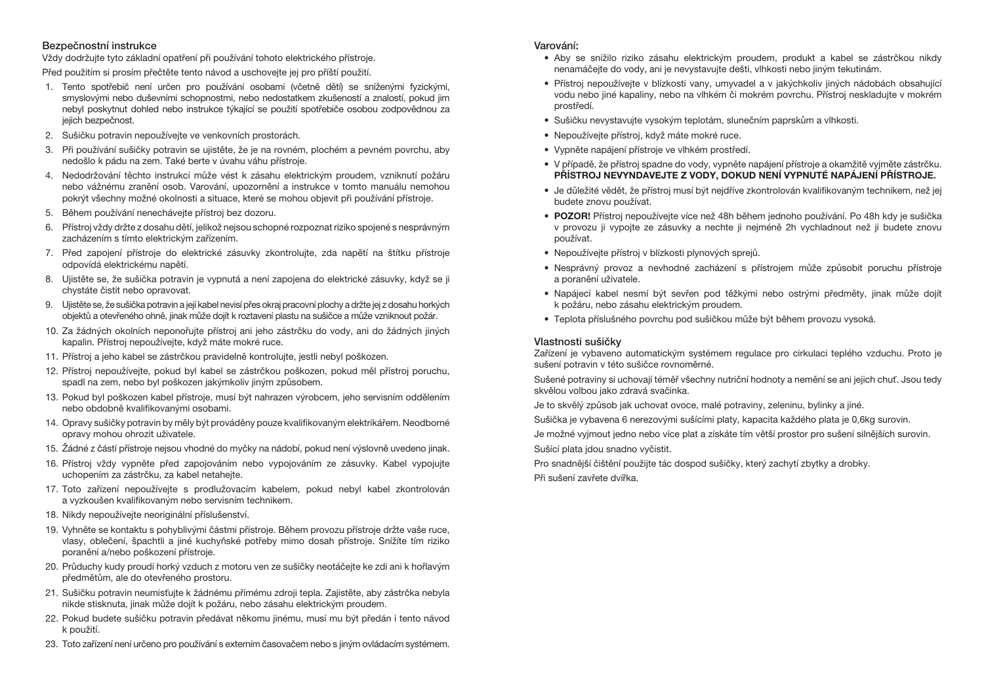#### Bezpečnostní instrukce

Vždy dodržujte tyto základní opatření při používání tohoto elektrického přístroje.

Před použitím si prosím přečtěte tento návod a uschovejte jej pro příští použití.

- 1. Tento spotřebič není určen pro používání osobami (včetně dětí) se sníženými fyzickými, smyslovými nebo duševními schopnostmi, nebo nedostatkem zkušeností a znalostí, pokud jim nebyl poskytnut dohled nebo instrukce týkající se použití spotřebiče osobou zodpovědnou za jejich bezpečnost.
- 2. Sušičku potravin nepoužívejte ve venkovních prostorách.
- 3. Při používání sušičky potravin se ujistěte, že je na rovném, plochém a pevném povrchu, aby nedošlo k pádu na zem. Také berte v úvahu váhu přístroje.
- 4. Nedodržování těchto instrukcí může vést k zásahu elektrickým proudem, vzniknutí požáru nebo vážnému zranění osob. Varování, upozornění a instrukce v tomto manuálu nemohou pokrýt všechny možné okolnosti a situace, které se mohou objevit při používání přístroje.
- 5. Během používání nenechávejte přístroj bez dozoru.
- 6. Přístroj vždy držte z dosahu dětí, jelikož nejsou schopné rozpoznat riziko spojené s nesprávným zacházením s tímto elektrickým zařízením.
- 7. Před zapojení přístroje do elektrické zásuvky zkontrolujte, zda napětí na štítku přístroje odpovídá elektrickému napětí.
- 8. Ujistěte se, že sušička potravin je vypnutá a není zapojena do elektrické zásuvky, když se ji chystáte čistit nebo opravovat.
- 9. Ujistěte se, že sušička potravin a její kabel nevisí přes okraj pracovní plochy a držte jej z dosahu horkých objektů a otevřeného ohně, jinak může dojít k roztavení plastu na sušičce a může vzniknout požár.
- 10. Za žádných okolních neponořujte přístroj ani jeho zástrčku do vody, ani do žádných jiných kapalin. Přístroj nepoužívejte, když máte mokré ruce.
- 11. Přístroj a jeho kabel se zástrčkou pravidelně kontrolujte, jestli nebyl poškozen.
- 12. Přístroj nepoužívejte, pokud byl kabel se zástrčkou poškozen, pokud měl přístroj poruchu, spadl na zem, nebo byl poškozen jakýmkoliv jiným způsobem.
- 13. Pokud byl poškozen kabel přístroje, musí být nahrazen výrobcem, jeho servisním oddělením nebo obdobně kvalifikovanými osobami.
- 14. Opravy sušičky potravin by měly být prováděny pouze kvalifikovaným elektrikářem. Neodborné opravy mohou ohrozit uživatele.
- 15. Žádné z částí přístroje nejsou vhodné do myčky na nádobí, pokud není výslovně uvedeno jinak.
- 16. Přístroj vždy vypněte před zapojováním nebo vypojováním ze zásuvky. Kabel vypojujte uchopením za zástrčku, za kabel netahejte.
- 17. Toto zařízení nepoužívejte s prodlužovacím kabelem, pokud nebyl kabel zkontrolován a vyzkoušen kvalifikovaným nebo servisním technikem.
- 18. Nikdy nepoužívejte neoriginální příslušenství.
- 19. Vyhněte se kontaktu s pohyblivými částmi přístroje. Během provozu přístroje držte vaše ruce, vlasy, oblečení, špachtli a jiné kuchyňské potřeby mimo dosah přístroje. Snížíte tím riziko poranění a/nebo poškození přístroje.
- 20. Průduchy kudy proudí horký vzduch z motoru ven ze sušičky neotáčejte ke zdi ani k hořlavým předmětům, ale do otevřeného prostoru.
- 21. Sušičku potravin neumisťujte k žádnému přímému zdroji tepla. Zajistěte, aby zástrčka nebyla nikde stisknuta, jinak může dojít k požáru, nebo zásahu elektrickým proudem.
- 22. Pokud budete sušičku potravin předávat někomu jinému, musí mu být předán i tento návod k použití.
- 23. Toto zařízení není určeno pro používání s externím časovačem nebo s jiným ovládacím systémem.

#### Varování:

- Aby se snížilo riziko zásahu elektrickým proudem, produkt a kabel se zástrčkou nikdy nenamáčejte do vody, ani je nevystavujte dešti, vlhkosti nebo jiným tekutinám.
- Přístroj nepoužívejte v blízkosti vany, umyvadel a v jakýchkoliv jiných nádobách obsahující vodu nebo jiné kapaliny, nebo na vlhkém či mokrém povrchu. Přístroj neskladujte v mokrém prostředí.
- Sušičku nevystavujte vysokým teplotám, slunečním paprskům a vlhkosti.
- Nepoužívejte přístroj, když máte mokré ruce.
- Vypněte napájení přístroje ve vlhkém prostředí.
- V případě, že přístroj spadne do vody, vypněte napájení přístroje a okamžitě vyjměte zástrčku. PŘÍSTROJ NEVYNDAVEJTE Z VODY, DOKUD NENÍ VYPNUTÉ NAPÁJENÍ PŘÍSTROJE.
- Je důležité vědět, že přístroj musí být nejdříve zkontrolován kvalifikovaným technikem, než jej budete znovu používat.
- POZOR! Přístroj nepoužívejte více než 48h během jednoho používání. Po 48h kdy je sušička v provozu ji vypojte ze zásuvky a nechte ji nejméně 2h vychladnout než ji budete znovu používat.
- Nepoužívejte přístroj v blízkosti plynových sprejů.
- Nesprávný provoz a nevhodné zacházení s přístrojem může způsobit poruchu přístroje a poranění uživatele.
- Napájecí kabel nesmí být sevřen pod těžkými nebo ostrými předměty, jinak může dojít k požáru, nebo zásahu elektrickým proudem.
- Teplota příslušného povrchu pod sušičkou může být během provozu vysoká.

## Vlastnosti sušičky

Zařízení je vybaveno automatickým systémem regulace pro cirkulaci teplého vzduchu. Proto je sušení potravin v této sušičce rovnoměrné.

Sušené potraviny si uchovají téměř všechny nutriční hodnoty a nemění se ani jejich chuť. Jsou tedy skvělou volbou jako zdravá svačinka.

Je to skvělý způsob jak uchovat ovoce, malé potraviny, zeleninu, bylinky a jiné.

Sušička je vybavena 6 nerezovými sušícími platy, kapacita každého plata je 0,6kg surovin.

Je možné vyjmout jedno nebo více plat a získáte tím větší prostor pro sušení silnějších surovin. Sušící plata jdou snadno vyčistit.

Pro snadnější čištění použijte tác dospod sušičky, který zachytí zbytky a drobky. Při sušení zavřete dvířka.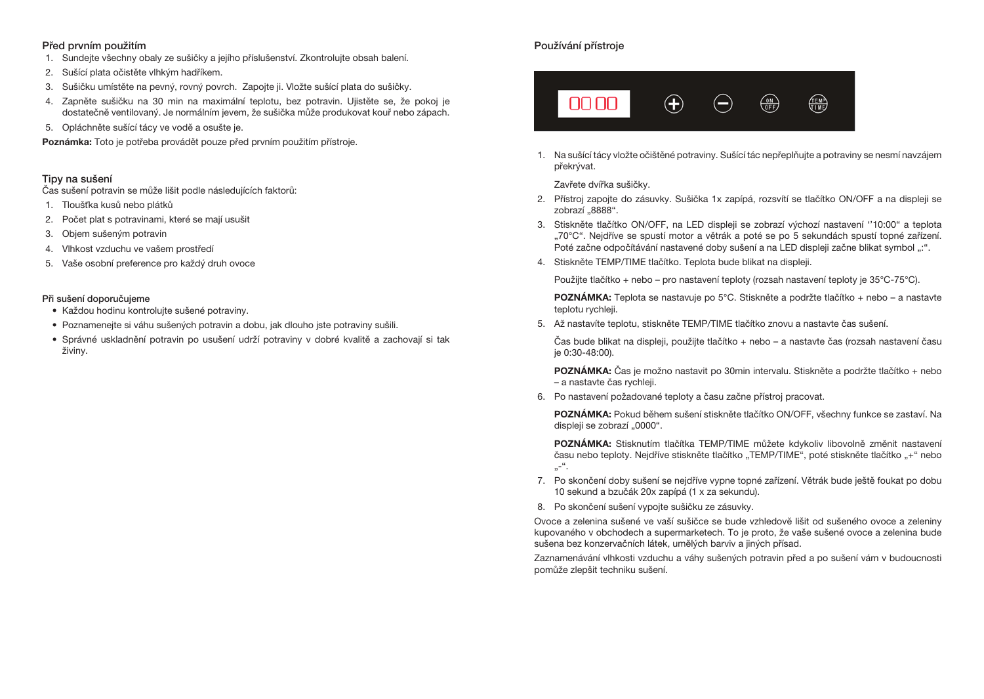## Před prvním použitím

- 1. Sundejte všechny obaly ze sušičky a jejího příslušenství. Zkontrolujte obsah balení.
- 2. Sušící plata očistěte vlhkým hadříkem.
- 3. Sušičku umístěte na pevný, rovný povrch. Zapojte ji. Vložte sušící plata do sušičky.
- 4. Zapněte sušičku na 30 min na maximální teplotu, bez potravin. Ujistěte se, že pokoj je dostatečně ventilovaný. Je normálním jevem, že sušička může produkovat kouř nebo zápach.
- 5. Opláchněte sušící tácy ve vodě a osušte je.

Poznámka: Toto je potřeba provádět pouze před prvním použitím přístroje.

#### Tipy na sušení

Čas sušení potravin se může lišit podle následujících faktorů:

- 1. Tloušťka kusů nebo plátků
- 2. Počet plat s potravinami, které se mají usušit
- 3. Objem sušeným potravin
- 4. Vlhkost vzduchu ve vašem prostředí
- 5. Vaše osobní preference pro každý druh ovoce

#### Při sušení doporučujeme

- Každou hodinu kontrolujte sušené potraviny.
- Poznamenejte si váhu sušených potravin a dobu, jak dlouho jste potraviny sušili.
- Správné uskladnění potravin po usušení udrží potraviny v dobré kvalitě a zachovají si tak živiny.

# Používání přístroje



1. Na sušící tácy vložte očištěné potraviny. Sušící tác nepřeplňujte a potraviny se nesmí navzájem překrývat.

Zavřete dvířka sušičky.

- 2. Přístroj zapojte do zásuvky. Sušička 1x zapípá, rozsvítí se tlačítko ON/OFF a na displeji se zobrazí "8888".
- 3. Stiskněte tlačítko ON/OFF, na LED displeji se zobrazí výchozí nastavení ''10:00" a teplota "70°C". Nejdříve se spustí motor a větrák a poté se po 5 sekundách spustí topné zařízení. Poté začne odpočítávání nastavené doby sušení a na LED displeji začne blikat symbol ":".
- 4. Stiskněte TEMP/TIME tlačítko. Teplota bude blikat na displeji.

Použijte tlačítko + nebo – pro nastavení teploty (rozsah nastavení teploty je 35°C-75°C).

POZNÁMKA: Teplota se nastavuje po 5°C. Stiskněte a podržte tlačítko + nebo – a nastavte teplotu rychleji.

5. Až nastavíte teplotu, stiskněte TEMP/TIME tlačítko znovu a nastavte čas sušení.

Čas bude blikat na displeji, použijte tlačítko + nebo – a nastavte čas (rozsah nastavení času je 0:30-48:00).

POZNÁMKA: Čas je možno nastavit po 30min intervalu. Stiskněte a podržte tlačítko + nebo – a nastavte čas rychleji.

6. Po nastavení požadované teploty a času začne přístroj pracovat.

POZNÁMKA: Pokud během sušení stiskněte tlačítko ON/OFF, všechny funkce se zastaví. Na displeji se zobrazí "0000".

POZNÁMKA: Stisknutím tlačítka TEMP/TIME můžete kdykoliv libovolně změnit nastavení času nebo teploty. Nejdříve stiskněte tlačítko "TEMP/TIME", poté stiskněte tlačítko "+" nebo  $\cdot$ ".

- 7. Po skončení doby sušení se nejdříve vypne topné zařízení. Větrák bude ještě foukat po dobu 10 sekund a bzučák 20x zapípá (1 x za sekundu).
- 8. Po skončení sušení vypojte sušičku ze zásuvky.

Ovoce a zelenina sušené ve vaší sušičce se bude vzhledově lišit od sušeného ovoce a zeleniny kupovaného v obchodech a supermarketech. To je proto, že vaše sušené ovoce a zelenina bude sušena bez konzervačních látek, umělých barviv a jiných přísad.

Zaznamenávání vlhkosti vzduchu a váhy sušených potravin před a po sušení vám v budoucnosti pomůže zlepšit techniku sušení.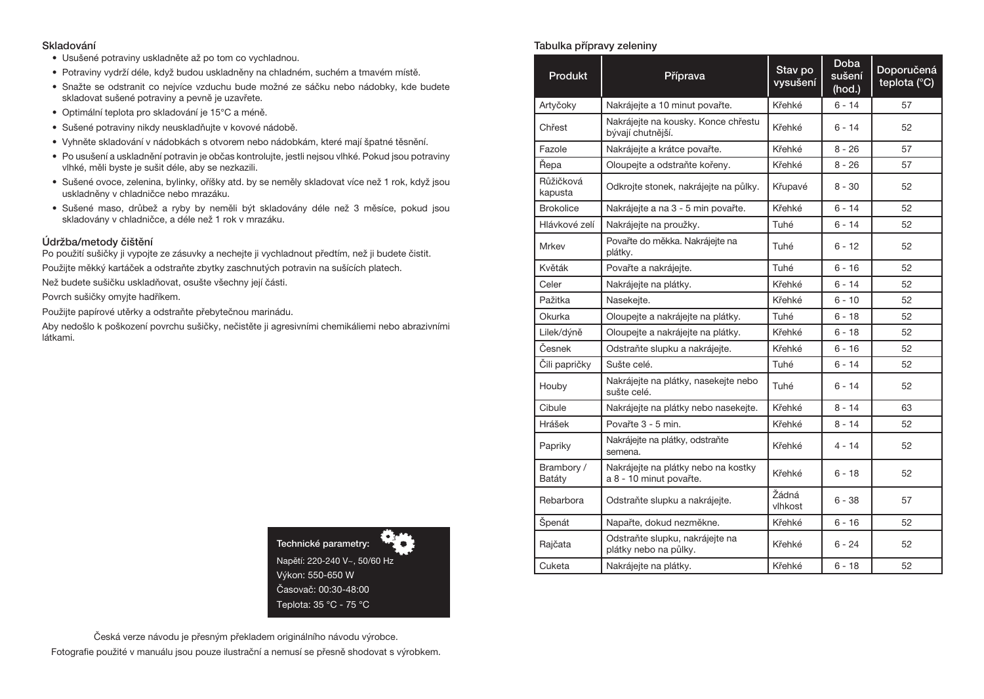#### Skladování

- Usušené potraviny uskladněte až po tom co vychladnou.
- Potraviny vydrží déle, když budou uskladněny na chladném, suchém a tmavém místě.
- Snažte se odstranit co nejvíce vzduchu bude možné ze sáčku nebo nádobky, kde budete skladovat sušené potraviny a pevně je uzavřete.
- Optimální teplota pro skladování je 15°C a méně.
- Sušené potraviny nikdy neuskladňujte v kovové nádobě.
- Vyhněte skladování v nádobkách s otvorem nebo nádobkám, které mají špatné těsnění.
- Po usušení a uskladnění potravin je občas kontrolujte, jestli nejsou vlhké. Pokud jsou potraviny vlhké, měli byste je sušit déle, aby se nezkazili.
- Sušené ovoce, zelenina, bylinky, oříšky atd. by se neměly skladovat více než 1 rok, když jsou uskladněny v chladničce nebo mrazáku.
- Sušené maso, drůbež a ryby by neměli být skladovány déle než 3 měsíce, pokud jsou skladovány v chladničce, a déle než 1 rok v mrazáku.

#### Údržba/metody čištění

Po použití sušičky ji vypojte ze zásuvky a nechejte ji vychladnout předtím, než ji budete čistit. Použijte měkký kartáček a odstraňte zbytky zaschnutých potravin na sušících platech.

Než budete sušičku uskladňovat, osušte všechny její části.

Povrch sušičky omyjte hadříkem.

Použijte papírové utěrky a odstraňte přebytečnou marinádu.

Aby nedošlo k poškození povrchu sušičky, nečistěte ji agresivními chemikáliemi nebo abrazivními látkami.



# Česká verze návodu je přesným překladem originálního návodu výrobce. Fotografie použité v manuálu jsou pouze ilustrační a nemusí se přesně shodovat s výrobkem.

#### Tabulka přípravy zeleniny

| <b>Produkt</b>       | Příprava                                                       | Stav po<br>vysušení | <b>Doba</b><br>sušení<br>(hod.) | Doporučená<br>teplota (°C) |
|----------------------|----------------------------------------------------------------|---------------------|---------------------------------|----------------------------|
| Artyčoky             | Nakrájejte a 10 minut povařte.                                 | Křehké              | $6 - 14$                        | 57                         |
| Chřest               | Nakrájejte na kousky. Konce chřestu<br>bývají chutnější.       | Křehké              | $6 - 14$                        | 52                         |
| Fazole               | Nakrájejte a krátce povařte.                                   | Křehké              | $8 - 26$                        | 57                         |
| Řepa                 | Oloupejte a odstraňte kořeny.                                  | Křehké              | $8 - 26$                        | 57                         |
| Růžičková<br>kapusta | Odkrojte stonek, nakrájejte na půlky.                          | Křupavé             | $8 - 30$                        | 52                         |
| <b>Brokolice</b>     | Nakrájejte a na 3 - 5 min povařte.                             | Křehké              | $6 - 14$                        | 52                         |
| Hlávkové zelí        | Nakrájejte na proužky.                                         | Tuhé                | $6 - 14$                        | 52                         |
| <b>Mrkev</b>         | Povařte do měkka. Nakrájejte na<br>plátky.                     | Tuhé                | $6 - 12$                        | 52                         |
| Květák               | Povařte a nakrájejte.                                          | Tuhé                | $6 - 16$                        | 52                         |
| Celer                | Nakrájejte na plátky.                                          | Křehké              | $6 - 14$                        | 52                         |
| Pažitka              | Nasekejte.                                                     | Křehké              | $6 - 10$                        | 52                         |
| Okurka               | Oloupejte a nakrájejte na plátky.                              | Tuhé                | $6 - 18$                        | 52                         |
| Lilek/dýně           | Oloupejte a nakrájejte na plátky.                              | Křehké              | 6 - 18                          | 52                         |
| Česnek               | Odstraňte slupku a nakrájejte.                                 | Křehké              | $6 - 16$                        | 52                         |
| Čili papričky        | Sušte celé.                                                    | Tuhé                | $6 - 14$                        | 52                         |
| Houby                | Nakrájejte na plátky, nasekejte nebo<br>sušte celé.            | Tuhé                | $6 - 14$                        | 52                         |
| Cibule               | Nakrájejte na plátky nebo nasekejte.                           | Křehké              | $8 - 14$                        | 63                         |
| Hrášek               | Povařte 3 - 5 min.                                             | Křehké              | $8 - 14$                        | 52                         |
| Papriky              | Nakrájejte na plátky, odstraňte<br>semena.                     | Křehké              | $4 - 14$                        | 52                         |
| Brambory /<br>Batáty | Nakrájejte na plátky nebo na kostky<br>a 8 - 10 minut povařte. | Křehké              | $6 - 18$                        | 52                         |
| Rebarbora            | Odstraňte slupku a nakrájejte.                                 | Žádná<br>vlhkost    | $6 - 38$                        | 57                         |
| Špenát               | Napařte, dokud nezměkne.                                       | Křehké              | $6 - 16$                        | 52                         |
| Rajčata              | Odstraňte slupku, nakrájejte na<br>plátky nebo na půlky.       | Křehké              | $6 - 24$                        | 52                         |
| Cuketa               | Nakrájejte na plátky.                                          | Křehké              | $6 - 18$                        | 52                         |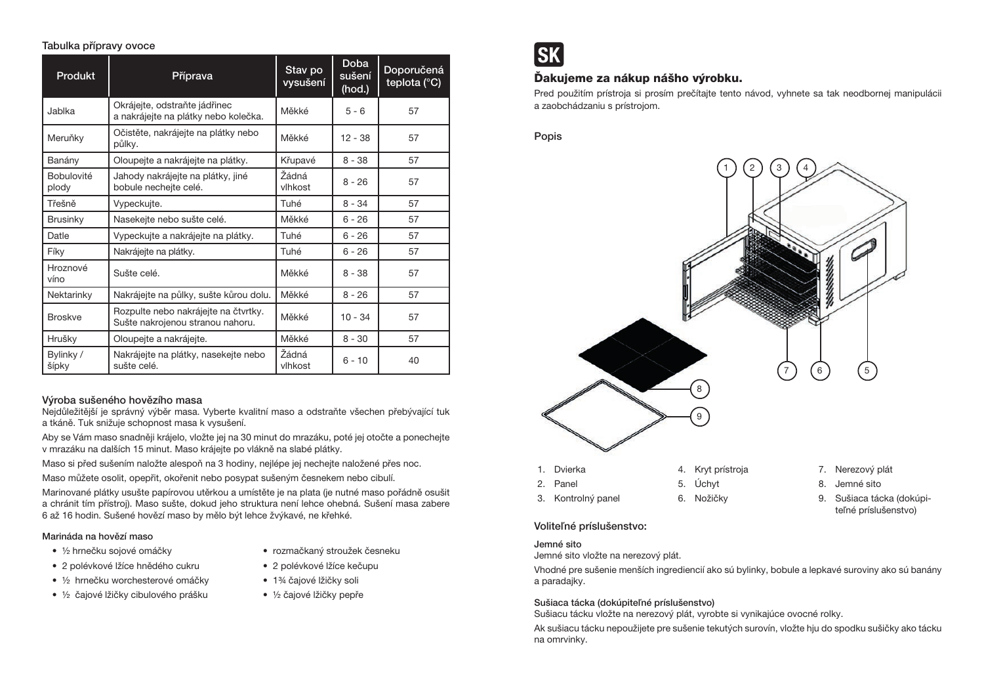#### Tabulka přípravy ovoce

| <b>Produkt</b>             | Příprava                                                                 | Stav po<br>vysušení | <b>Doba</b><br>sušení<br>(hod.) | Doporučená<br>teplota (°C) |
|----------------------------|--------------------------------------------------------------------------|---------------------|---------------------------------|----------------------------|
| Jablka                     | Okrájejte, odstraňte jádřinec<br>a nakrájejte na plátky nebo kolečka.    | Měkké               | $5 - 6$                         | 57                         |
| Meruňky                    | Očistěte, nakrájejte na plátky nebo<br>půlky.                            | Měkké               | $12 - 38$                       | 57                         |
| Banány                     | Oloupejte a nakrájejte na plátky.                                        | Křupavé             | $8 - 38$                        | 57                         |
| <b>Bobulovité</b><br>plody | Jahody nakrájejte na plátky, jiné<br>bobule necheite celé.               | Žádná<br>vlhkost    | $8 - 26$                        | 57                         |
| Třešně                     | Vypeckujte.                                                              | Tuhé                | $8 - 34$                        | 57                         |
| <b>Brusinky</b>            | Nasekejte nebo sušte celé.                                               | Měkké               | $6 - 26$                        | 57                         |
| Datle                      | Vypeckujte a nakrájejte na plátky.                                       | Tuhé                | $6 - 26$                        | 57                         |
| Fíky                       | Nakrájejte na plátky.                                                    | Tuhé                | $6 - 26$                        | 57                         |
| Hroznové<br>víno           | Sušte celé.                                                              | Měkké               | $8 - 38$                        | 57                         |
| Nektarinky                 | Nakrájejte na půlky, sušte kůrou dolu.                                   | Měkké               | $8 - 26$                        | 57                         |
| <b>Broskve</b>             | Rozpulte nebo nakrájejte na čtvrtky.<br>Sušte nakrojenou stranou nahoru. | Měkké               | $10 - 34$                       | 57                         |
| Hrušky                     | Oloupejte a nakrájejte.                                                  | Měkké               | $8 - 30$                        | 57                         |
| Bylinky /<br>šípky         | Nakrájejte na plátky, nasekejte nebo<br>sušte celé.                      | Žádná<br>vlhkost    | $6 - 10$                        | 40                         |

# Výroba sušeného hovězího masa

Nejdůležitější je správný výběr masa. Vyberte kvalitní maso a odstraňte všechen přebývající tuk a tkáně. Tuk snižuje schopnost masa k vysušení.

Aby se Vám maso snadněji krájelo, vložte jej na 30 minut do mrazáku, poté jej otočte a ponechejte v mrazáku na dalších 15 minut. Maso krájejte po vlákně na slabé plátky.

Maso si před sušením naložte alespoň na 3 hodiny, nejlépe jej nechejte naložené přes noc.

Maso můžete osolit, opepřit, okořenit nebo posypat sušeným česnekem nebo cibulí.

Marinované plátky usušte papírovou utěrkou a umístěte je na plata (je nutné maso pořádně osušit a chránit tím přístroj). Maso sušte, dokud jeho struktura není lehce ohebná. Sušení masa zabere 6 až 16 hodin. Sušené hovězí maso by mělo být lehce žvýkavé, ne křehké.

## Marináda na hovězí maso

- ½ hrnečku sojové omáčky
- 2 polévkové lžíce hnědého cukru
- ½ hrnečku worchesterové omáčky
- ½ čajové lžičky cibulového prášku
- rozmačkaný stroužek česneku
- 2 polévkové lžíce kečupu
- 1¾ čajové lžičky soli
- ½ čajové lžičky pepře



# Ďakujeme za nákup nášho výrobku.

Pred použitím prístroja si prosím prečítajte tento návod, vyhnete sa tak neodbornej manipulácii a zaobchádzaniu s prístrojom.

Popis



## Voliteľné príslušenstvo:

## Jemné sito

Jemné sito vložte na nerezový plát.

Vhodné pre sušenie menších ingrediencií ako sú bylinky, bobule a lepkavé suroviny ako sú banány a paradajky.

## Sušiaca tácka (dokúpiteľné príslušenstvo)

Sušiacu tácku vložte na nerezový plát, vyrobte si vynikajúce ovocné rolky.

Ak sušiacu tácku nepoužijete pre sušenie tekutých surovín, vložte hju do spodku sušičky ako tácku na omrvinky.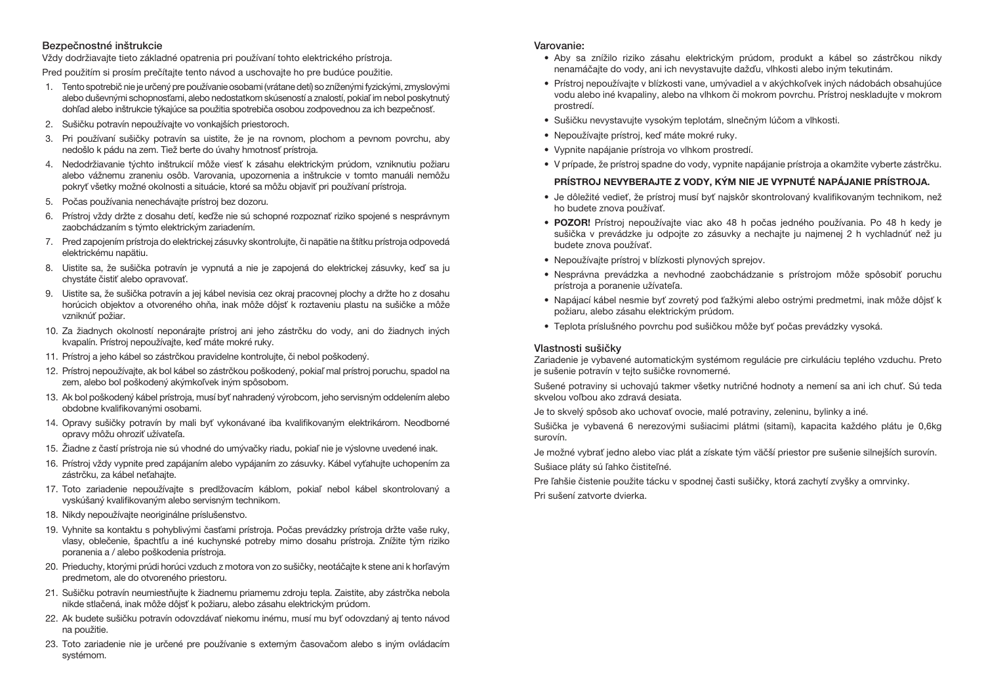#### Bezpečnostné inštrukcie

Vždy dodržiavajte tieto základné opatrenia pri používaní tohto elektrického prístroja.

Pred použitím si prosím prečítajte tento návod a uschovajte ho pre budúce použitie.

- 1. Tento spotrebič nie je určený pre používanie osobami (vrátane detí) so zníženými fyzickými, zmyslovými alebo duševnými schopnosťami, alebo nedostatkom skúseností a znalostí, pokiaľ im nebol poskytnutý dohľad alebo inštrukcie týkajúce sa použitia spotrebiča osobou zodpovednou za ich bezpečnosť.
- 2. Sušičku potravín nepoužívajte vo vonkajších priestoroch.
- 3. Pri používaní sušičky potravín sa uistite, že je na rovnom, plochom a pevnom povrchu, aby nedošlo k pádu na zem. Tiež berte do úvahy hmotnosť prístroja.
- 4. Nedodržiavanie týchto inštrukcií môže viesť k zásahu elektrickým prúdom, vzniknutiu požiaru alebo vážnemu zraneniu osôb. Varovania, upozornenia a inštrukcie v tomto manuáli nemôžu pokryť všetky možné okolnosti a situácie, ktoré sa môžu objaviť pri používaní prístroja.
- 5. Počas používania nenechávajte prístroj bez dozoru.
- 6. Prístroj vždy držte z dosahu detí, keďže nie sú schopné rozpoznať riziko spojené s nesprávnym zaobchádzaním s týmto elektrickým zariadením.
- 7. Pred zapojením prístroja do elektrickej zásuvky skontrolujte, či napätie na štítku prístroja odpovedá elektrickému napätiu.
- 8. Uistite sa, že sušička potravín je vypnutá a nie je zapojená do elektrickej zásuvky, keď sa ju chystáte čistiť alebo opravovať.
- 9. Uistite sa, že sušička potravín a jej kábel nevisia cez okraj pracovnej plochy a držte ho z dosahu horúcich objektov a otvoreného ohňa, inak môže dôjsť k roztaveniu plastu na sušičke a môže vzniknúť požiar.
- 10. Za žiadnych okolností neponárajte prístroj ani jeho zástrčku do vody, ani do žiadnych iných kvapalín. Prístroj nepoužívajte, keď máte mokré ruky.
- 11. Prístroj a jeho kábel so zástrčkou pravidelne kontrolujte, či nebol poškodený.
- 12. Prístroj nepoužívajte, ak bol kábel so zástrčkou poškodený, pokiaľ mal prístroj poruchu, spadol na zem, alebo bol poškodený akýmkoľvek iným spôsobom.
- 13. Ak bol poškodený kábel prístroja, musí byť nahradený výrobcom, jeho servisným oddelením alebo obdobne kvalifikovanými osobami.
- 14. Opravy sušičky potravín by mali byť vykonávané iba kvalifikovaným elektrikárom. Neodborné opravy môžu ohroziť užívateľa.
- 15. Žiadne z častí prístroja nie sú vhodné do umývačky riadu, pokiaľ nie je výslovne uvedené inak.
- 16. Prístroj vždy vypnite pred zapájaním alebo vypájaním zo zásuvky. Kábel vyťahujte uchopením za zástrčku, za kábel neťahajte.
- 17. Toto zariadenie nepoužívajte s predlžovacím káblom, pokiaľ nebol kábel skontrolovaný a vyskúšaný kvalifikovaným alebo servisným technikom.
- 18. Nikdy nepoužívajte neoriginálne príslušenstvo.
- 19. Vyhnite sa kontaktu s pohyblivými časťami prístroja. Počas prevádzky prístroja držte vaše ruky, vlasy, oblečenie, špachtľu a iné kuchynské potreby mimo dosahu prístroja. Znížite tým riziko poranenia a / alebo poškodenia prístroja.
- 20. Prieduchy, ktorými prúdi horúci vzduch z motora von zo sušičky, neotáčajte k stene ani k horľavým predmetom, ale do otvoreného priestoru.
- 21. Sušičku potravín neumiestňujte k žiadnemu priamemu zdroju tepla. Zaistite, aby zástrčka nebola nikde stlačená, inak môže dôjsť k požiaru, alebo zásahu elektrickým prúdom.
- 22. Ak budete sušičku potravín odovzdávať niekomu inému, musí mu byť odovzdaný aj tento návod na použitie.
- 23. Toto zariadenie nie je určené pre používanie s externým časovačom alebo s iným ovládacím systémom.

#### Varovanie:

- Aby sa znížilo riziko zásahu elektrickým prúdom, produkt a kábel so zástrčkou nikdy nenamáčajte do vody, ani ich nevystavujte dažďu, vlhkosti alebo iným tekutinám.
- Prístroj nepoužívajte v blízkosti vane, umývadiel a v akýchkoľvek iných nádobách obsahujúce vodu alebo iné kvapaliny, alebo na vlhkom či mokrom povrchu. Prístroj neskladujte v mokrom prostredí.
- Sušičku nevystavujte vysokým teplotám, slnečným lúčom a vlhkosti.
- Nepoužívajte prístroj, keď máte mokré ruky.
- Vypnite napájanie prístroja vo vlhkom prostredí.
- V prípade, že prístroj spadne do vody, vypnite napájanie prístroja a okamžite vyberte zástrčku.

# PRÍSTROJ NEVYBERAJTE Z VODY, KÝM NIE JE VYPNUTÉ NAPÁJANIE PRÍSTROJA.

- Je dôležité vedieť, že prístroj musí byť najskôr skontrolovaný kvalifikovaným technikom, než ho budete znova používať.
- POZOR! Prístroj nepoužívajte viac ako 48 h počas jedného používania. Po 48 h kedy je sušička v prevádzke ju odpojte zo zásuvky a nechajte ju najmenej 2 h vychladnúť než ju budete znova používať.
- Nepoužívajte prístroj v blízkosti plynových sprejov.
- Nesprávna prevádzka a nevhodné zaobchádzanie s prístrojom môže spôsobiť poruchu prístroja a poranenie užívateľa.
- Napájací kábel nesmie byť zovretý pod ťažkými alebo ostrými predmetmi, inak môže dôjsť k požiaru, alebo zásahu elektrickým prúdom.
- Teplota príslušného povrchu pod sušičkou môže byť počas prevádzky vysoká.

# Vlastnosti sušičky

Zariadenie je vybavené automatickým systémom regulácie pre cirkuláciu teplého vzduchu. Preto je sušenie potravín v tejto sušičke rovnomerné.

Sušené potraviny si uchovajú takmer všetky nutričné hodnoty a nemení sa ani ich chuť. Sú teda skvelou voľbou ako zdravá desiata.

Je to skvelý spôsob ako uchovať ovocie, malé potraviny, zeleninu, bylinky a iné.

Sušička je vybavená 6 nerezovými sušiacimi plátmi (sitami), kapacita každého plátu je 0,6kg surovín.

Je možné vybrať jedno alebo viac plát a získate tým väčší priestor pre sušenie silnejších surovín.

Sušiace pláty sú ľahko čistiteľné.

Pre ľahšie čistenie použite tácku v spodnej časti sušičky, ktorá zachytí zvyšky a omrvinky.

Pri sušení zatvorte dvierka.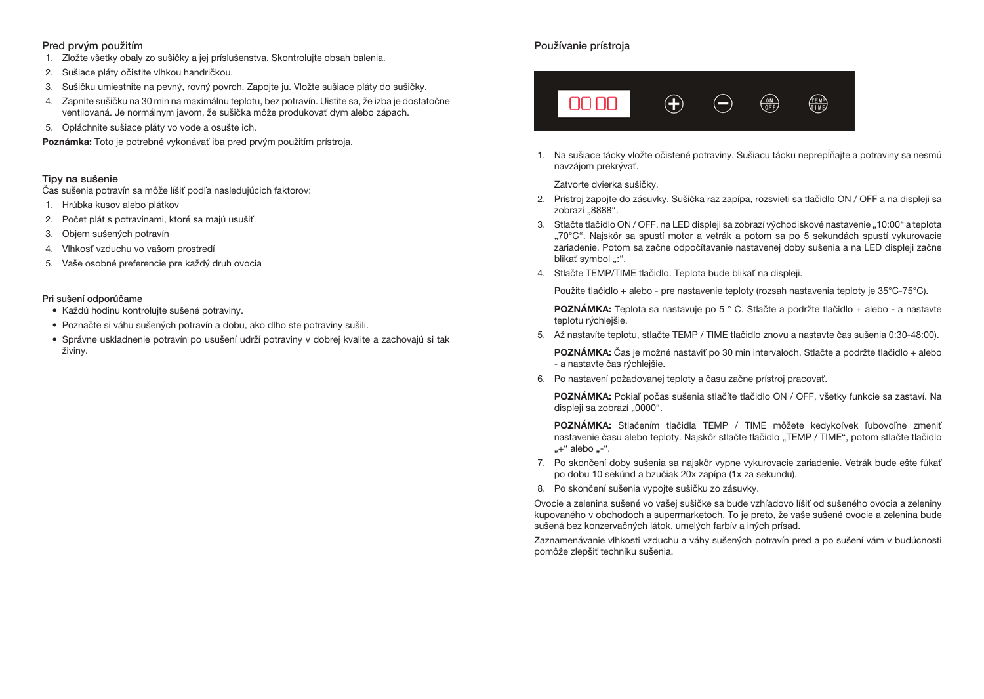## Pred prvým použitím

- 1. Zložte všetky obaly zo sušičky a jej príslušenstva. Skontrolujte obsah balenia.
- 2. Sušiace pláty očistite vlhkou handričkou.
- 3. Sušičku umiestnite na pevný, rovný povrch. Zapojte ju. Vložte sušiace pláty do sušičky.
- 4. Zapnite sušičku na 30 min na maximálnu teplotu, bez potravín. Uistite sa, že izba je dostatočne ventilovaná. Je normálnym javom, že sušička môže produkovať dym alebo zápach.
- 5. Opláchnite sušiace pláty vo vode a osušte ich.

Poznámka: Toto je potrebné vykonávať iba pred prvým použitím prístroja.

## Tipy na sušenie

Čas sušenia potravín sa môže líšiť podľa nasledujúcich faktorov:

- 1. Hrúbka kusov alebo plátkov
- 2. Počet plát s potravinami, ktoré sa majú usušiť
- 3. Objem sušených potravín
- 4. Vlhkosť vzduchu vo vašom prostredí
- 5. Vaše osobné preferencie pre každý druh ovocia

#### Pri sušení odporúčame

- Každú hodinu kontrolujte sušené potraviny.
- Poznačte si váhu sušených potravín a dobu, ako dlho ste potraviny sušili.
- Správne uskladnenie potravín po usušení udrží potraviny v dobrej kvalite a zachovajú si tak živiny.

# Používanie prístroja



1. Na sušiace tácky vložte očistené potraviny. Sušiacu tácku neprepĺňajte a potraviny sa nesmú navzájom prekrývať.

Zatvorte dvierka sušičky.

- 2. Prístroj zapojte do zásuvky. Sušička raz zapípa, rozsvieti sa tlačidlo ON / OFF a na displeji sa zobrazí "8888".
- 3. Stlačte tlačidlo ON / OFF, na LED displeji sa zobrazí východiskové nastavenie "10:00" a teplota "70°C". Najskôr sa spustí motor a vetrák a potom sa po 5 sekundách spustí vykurovacie zariadenie. Potom sa začne odpočítavanie nastavenej doby sušenia a na LED displeji začne blikať symbol ":".
- 4. Stlačte TEMP/TIME tlačidlo. Teplota bude blikať na displeji.

Použite tlačidlo + alebo - pre nastavenie teploty (rozsah nastavenia teploty je 35°C-75°C).

POZNÁMKA: Teplota sa nastavuje po 5 ° C. Stlačte a podržte tlačidlo + alebo - a nastavte teplotu rýchlejšie.

5. Až nastavíte teplotu, stlačte TEMP / TIME tlačidlo znovu a nastavte čas sušenia 0:30-48:00).

POZNÁMKA: Čas je možné nastaviť po 30 min intervaloch. Stlačte a podržte tlačidlo + alebo - a nastavte čas rýchlejšie.

6. Po nastavení požadovanej teploty a času začne prístroj pracovať.

POZNÁMKA: Pokiaľ počas sušenia stlačíte tlačidlo ON / OFF, všetky funkcie sa zastaví. Na displeji sa zobrazí "0000".

POZNÁMKA: Stlačením tlačidla TEMP / TIME môžete kedykoľvek ľubovoľne zmeniť nastavenie času alebo teploty. Najskôr stlačte tlačidlo "TEMP / TIME", potom stlačte tlačidlo "+" alebo "-".

- 7. Po skončení doby sušenia sa najskôr vypne vykurovacie zariadenie. Vetrák bude ešte fúkať po dobu 10 sekúnd a bzučiak 20x zapípa (1x za sekundu).
- 8. Po skončení sušenia vypojte sušičku zo zásuvky.

Ovocie a zelenina sušené vo vašej sušičke sa bude vzhľadovo líšiť od sušeného ovocia a zeleniny kupovaného v obchodoch a supermarketoch. To je preto, že vaše sušené ovocie a zelenina bude sušená bez konzervačných látok, umelých farbív a iných prísad.

Zaznamenávanie vlhkosti vzduchu a váhy sušených potravín pred a po sušení vám v budúcnosti pomôže zlepšiť techniku sušenia.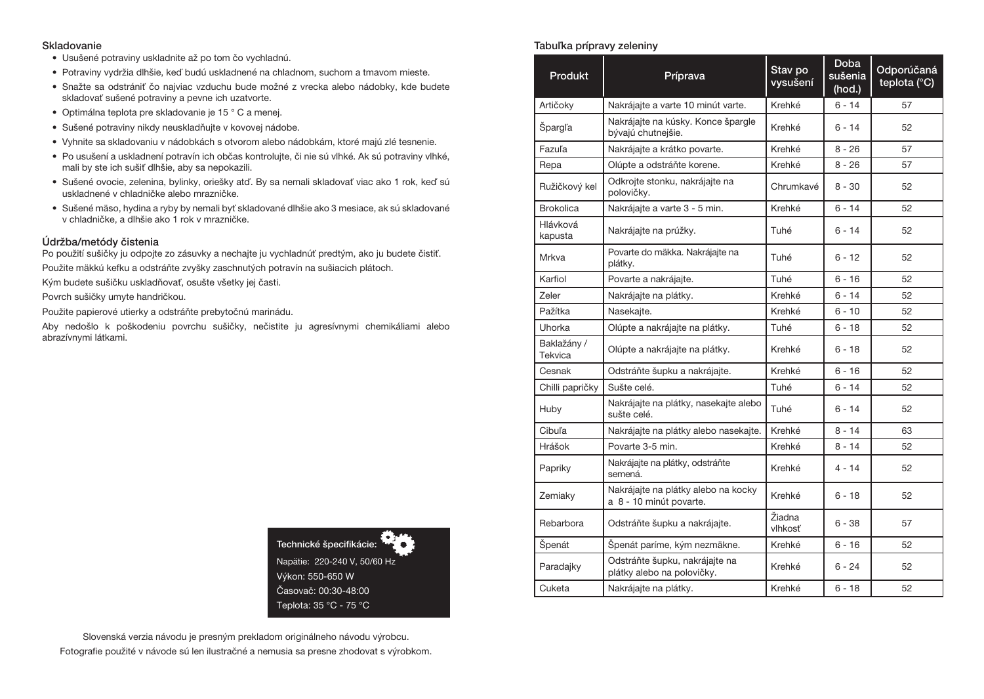#### Skladovanie

- Usušené potraviny uskladnite až po tom čo vychladnú.
- Potraviny vydržia dlhšie, keď budú uskladnené na chladnom, suchom a tmavom mieste.
- Snažte sa odstrániť čo najviac vzduchu bude možné z vrecka alebo nádobky, kde budete skladovať sušené potraviny a pevne ich uzatvorte.
- Optimálna teplota pre skladovanie je 15 ° C a menej.
- Sušené potraviny nikdy neuskladňujte v kovovej nádobe.
- Vyhnite sa skladovaniu v nádobkách s otvorom alebo nádobkám, ktoré majú zlé tesnenie.
- Po usušení a uskladnení potravín ich občas kontrolujte, či nie sú vlhké. Ak sú potraviny vlhké, mali by ste ich sušiť dlhšie, aby sa nepokazili.
- Sušené ovocie, zelenina, bylinky, oriešky atď. By sa nemali skladovať viac ako 1 rok, keď sú uskladnené v chladničke alebo mrazničke.
- Sušené mäso, hydina a ryby by nemali byť skladované dlhšie ako 3 mesiace, ak sú skladované v chladničke, a dlhšie ako 1 rok v mrazničke.

#### Údržba/metódy čistenia

Po použití sušičky ju odpojte zo zásuvky a nechajte ju vychladnúť predtým, ako ju budete čistiť. Použite mäkkú kefku a odstráňte zvyšky zaschnutých potravín na sušiacich plátoch.

Kým budete sušičku uskladňovať, osušte všetky jej časti.

Povrch sušičky umyte handričkou.

Použite papierové utierky a odstráňte prebytočnú marinádu.

Aby nedošlo k poškodeniu povrchu sušičky, nečistite ju agresívnymi chemikáliami alebo abrazívnymi látkami.



Slovenská verzia návodu je presným prekladom originálneho návodu výrobcu. Fotografie použité v návode sú len ilustračné a nemusia sa presne zhodovat s výrobkom.

#### Tabuľka prípravy zeleniny

| Produkt                | Príprava                                                       | Stav po<br>vysušení | <b>Doba</b><br>sušenia<br>(hod.) | Odporúčaná<br>teplota (°C) |
|------------------------|----------------------------------------------------------------|---------------------|----------------------------------|----------------------------|
| Artičoky               | Nakrájajte a varte 10 minút varte.                             | Krehké              | $6 - 14$                         | 57                         |
| Špargľa                | Nakrájajte na kúsky. Konce špargle<br>bývajú chutnejšie.       | Krehké              | $6 - 14$                         | 52                         |
| Fazuľa                 | Nakrájajte a krátko povarte.                                   | Krehké              | $8 - 26$                         | 57                         |
| Repa                   | Olúpte a odstráňte korene.                                     | Krehké              | $8 - 26$                         | 57                         |
| Ružičkový kel          | Odkrojte stonku, nakrájajte na<br>polovičky.                   | Chrumkavé           | 8 - 30                           | 52                         |
| <b>Brokolica</b>       | Nakrájajte a varte 3 - 5 min.                                  | Krehké              | 6 - 14                           | 52                         |
| Hlávková<br>kapusta    | Nakrájajte na prúžky.                                          | Tuhé                | 6 - 14                           | 52                         |
| <b>Mrkva</b>           | Povarte do mäkka. Nakrájajte na<br>plátky.                     | Tuhé                | 6 - 12                           | 52                         |
| Karfiol                | Povarte a nakrájajte.                                          | Tuhé                | $6 - 16$                         | 52                         |
| Zeler                  | Nakrájajte na plátky.                                          | Krehké              | $6 - 14$                         | 52                         |
| Pažítka                | Nasekajte.                                                     | Krehké              | $6 - 10$                         | 52                         |
| Uhorka                 | Olúpte a nakrájajte na plátky.                                 | Tuhé                | $6 - 18$                         | 52                         |
| Baklažány /<br>Tekvica | Olúpte a nakrájajte na plátky.                                 | Krehké              | $6 - 18$                         | 52                         |
| Cesnak                 | Odstráňte šupku a nakrájajte.                                  | Krehké              | $6 - 16$                         | 52                         |
| Chilli papričky        | Sušte celé.                                                    | Tuhé                | 6 - 14                           | 52                         |
| Huby                   | Nakrájajte na plátky, nasekajte alebo<br>sušte celé.           | Tuhé                | $6 - 14$                         | 52                         |
| Cibuľa                 | Nakrájajte na plátky alebo nasekajte.                          | Krehké              | $8 - 14$                         | 63                         |
| Hrášok                 | Povarte 3-5 min.                                               | Krehké              | $8 - 14$                         | 52                         |
| Papriky                | Nakrájajte na plátky, odstráňte<br>semená.                     | Krehké              | $4 - 14$                         | 52                         |
| Zemiaky                | Nakrájajte na plátky alebo na kocky<br>a 8 - 10 minút povarte. | Krehké              | 6 - 18                           | 52                         |
| Rebarbora              | Odstráňte šupku a nakrájajte.                                  | Žiadna<br>vlhkosť   | 6 - 38                           | 57                         |
| Špenát                 | Špenát paríme, kým nezmäkne.                                   | Krehké              | $6 - 16$                         | 52                         |
| Paradajky              | Odstráňte šupku, nakrájajte na<br>plátky alebo na polovičky.   | Krehké              | 6 - 24                           | 52                         |
| Cuketa                 | Nakrájajte na plátky.                                          | Krehké              | $6 - 18$                         | 52                         |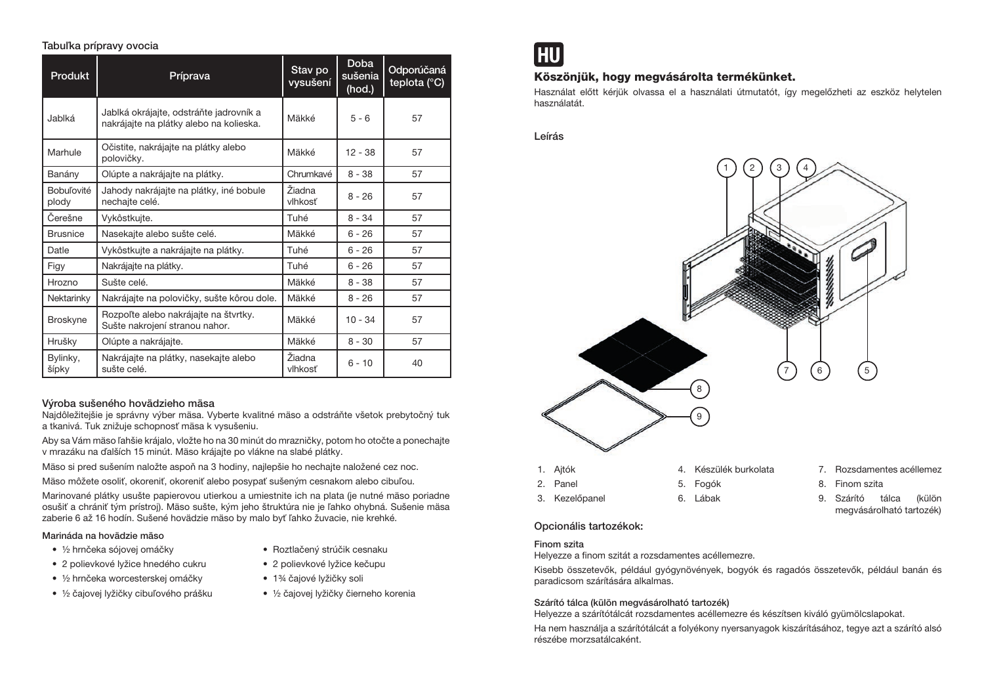#### Tabuľka prípravy ovocia

| <b>Produkt</b>             | Príprava                                                                           | Stav po<br>vysušení | <b>Doba</b><br>sušenia<br>$($ hod. $)$ | Odporúčaná<br>teplota (°C) |
|----------------------------|------------------------------------------------------------------------------------|---------------------|----------------------------------------|----------------------------|
| Jablká                     | Jablká okrájajte, odstráňte jadrovník a<br>nakrájajte na plátky alebo na kolieska. | Mäkké               | $5 - 6$                                | 57                         |
| Marhule                    | Očistite, nakrájajte na plátky alebo<br>polovičky.                                 | Mäkké               | $12 - 38$                              | 57                         |
| Banány                     | Olúpte a nakrájajte na plátky.                                                     | Chrumkavé           | $8 - 38$                               | 57                         |
| <b>Bobuľovité</b><br>plody | Jahody nakrájajte na plátky, iné bobule<br>nechajte celé.                          | Žiadna<br>vlhkosť   | $8 - 26$                               | 57                         |
| Čerešne                    | Vykôstkujte.                                                                       | Tuhé                | $8 - 34$                               | 57                         |
| <b>Brusnice</b>            | Nasekajte alebo sušte celé.                                                        | Mäkké               | $6 - 26$                               | 57                         |
| Datle                      | Vykôstkujte a nakrájajte na plátky.                                                | Tuhé                | $6 - 26$                               | 57                         |
| Figy                       | Nakrájajte na plátky.                                                              | Tuhé                | $6 - 26$                               | 57                         |
| Hrozno                     | Sušte celé.                                                                        | Mäkké               | $8 - 38$                               | 57                         |
| Nektarinky                 | Nakrájajte na polovičky, sušte kôrou dole.                                         | Mäkké               | $8 - 26$                               | 57                         |
| <b>Broskyne</b>            | Rozpoľte alebo nakrájajte na štvrtky.<br>Sušte nakrojení stranou nahor.            | Mäkké               | $10 - 34$                              | 57                         |
| Hrušky                     | Olúpte a nakrájajte.                                                               | Mäkké               | $8 - 30$                               | 57                         |
| Bylinky,<br>šípky          | Nakrájajte na plátky, nasekajte alebo<br>sušte celé.                               | Žiadna<br>vlhkosť   | $6 - 10$                               | 40                         |

# Výroba sušeného hovädzieho mäsa

Najdôležitejšie je správny výber mäsa. Vyberte kvalitné mäso a odstráňte všetok prebytočný tuk a tkanivá. Tuk znižuje schopnosť mäsa k vysušeniu.

Aby sa Vám mäso ľahšie krájalo, vložte ho na 30 minút do mrazničky, potom ho otočte a ponechajte v mrazáku na ďalších 15 minút. Mäso krájajte po vlákne na slabé plátky.

Mäso si pred sušením naložte aspoň na 3 hodiny, najlepšie ho nechajte naložené cez noc.

Mäso môžete osoliť, okoreniť, okoreniť alebo posypať sušeným cesnakom alebo cibuľou.

Marinované plátky usušte papierovou utierkou a umiestnite ich na plata (je nutné mäso poriadne osušiť a chrániť tým prístroj). Mäso sušte, kým jeho štruktúra nie je ľahko ohybná. Sušenie mäsa zaberie 6 až 16 hodín. Sušené hovädzie mäso by malo byť ľahko žuvacie, nie krehké.

#### Marináda na hovädzie mäso

- ½ hrnčeka sójovej omáčky
- 2 polievkové lyžice hnedého cukru • ½ hrnčeka worcesterskej omáčky
- 
- ½ čajovej lyžičky cibuľového prášku
- 2 polievkové lyžice kečupu • 1<sup>3</sup>/4 čajové lyžičky soli

• Roztlačený strúčik cesnaku

• ½ čajovej lyžičky čierneho korenia



# Köszönjük, hogy megvásárolta termékünket.

Használat előtt kérjük olvassa el a használati útmutatót, így megelőzheti az eszköz helytelen használatát.

Leírás



## Opcionális tartozékok:

#### Finom szita

Helyezze a finom szitát a rozsdamentes acéllemezre.

Kisebb összetevők, például gyógynövények, bogyók és ragadós összetevők, például banán és paradicsom szárítására alkalmas.

## Szárító tálca (külön megvásárolható tartozék)

Helyezze a szárítótálcát rozsdamentes acéllemezre és készítsen kiváló gyümölcslapokat.

Ha nem használja a szárítótálcát a folyékony nyersanyagok kiszárításához, tegye azt a szárító alsó részébe morzsatálcaként.

- 7. Rozsdamentes acéllemez
- 9. Szárító tálca (külön megvásárolható tartozék)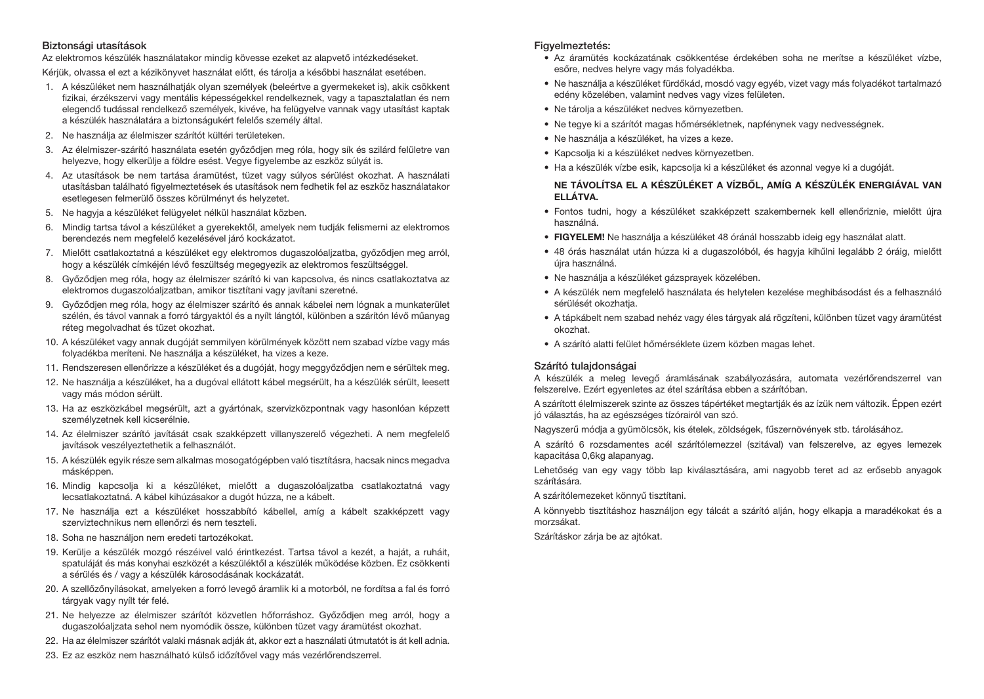## Biztonsági utasítások

Az elektromos készülék használatakor mindig kövesse ezeket az alapvető intézkedéseket.

Kérjük, olvassa el ezt a kézikönyvet használat előtt, és tárolja a későbbi használat esetében.

- 1. A készüléket nem használhatják olyan személyek (beleértve a gyermekeket is), akik csökkent fizikai, érzékszervi vagy mentális képességekkel rendelkeznek, vagy a tapasztalatlan és nem elegendő tudással rendelkező személyek, kivéve, ha felügyelve vannak vagy utasítást kaptak a készülék használatára a biztonságukért felelős személy által.
- 2. Ne használja az élelmiszer szárítót kültéri területeken.
- 3. Az élelmiszer-szárító használata esetén győződjen meg róla, hogy sík és szilárd felületre van helyezve, hogy elkerülje a földre esést. Vegye figyelembe az eszköz súlyát is.
- 4. Az utasítások be nem tartása áramütést, tüzet vagy súlyos sérülést okozhat. A használati utasításban található figyelmeztetések és utasítások nem fedhetik fel az eszköz használatakor esetlegesen felmerülő összes körülményt és helyzetet.
- 5. Ne hagyja a készüléket felügyelet nélkül használat közben.
- 6. Mindig tartsa távol a készüléket a gyerekektől, amelyek nem tudják felismerni az elektromos berendezés nem megfelelő kezelésével járó kockázatot.
- 7. Mielőtt csatlakoztatná a készüléket egy elektromos dugaszolóaljzatba, győződjen meg arról, hogy a készülék címkéjén lévő feszültség megegyezik az elektromos feszültséggel.
- 8. Győződjen meg róla, hogy az élelmiszer szárító ki van kapcsolva, és nincs csatlakoztatva az elektromos dugaszolóaljzatban, amikor tisztítani vagy javítani szeretné.
- 9. Győződjen meg róla, hogy az élelmiszer szárító és annak kábelei nem lógnak a munkaterület szélén, és távol vannak a forró tárgyaktól és a nyílt lángtól, különben a szárítón lévő műanyag réteg megolvadhat és tüzet okozhat.
- 10. A készüléket vagy annak dugóját semmilyen körülmények között nem szabad vízbe vagy más folyadékba meríteni. Ne használja a készüléket, ha vizes a keze.
- 11. Rendszeresen ellenőrizze a készüléket és a dugóját, hogy meggyőződjen nem e sérültek meg.
- 12. Ne használja a készüléket, ha a dugóval ellátott kábel megsérült, ha a készülék sérült, leesett vagy más módon sérült.
- 13. Ha az eszközkábel megsérült, azt a gyártónak, szervizközpontnak vagy hasonlóan képzett személyzetnek kell kicserélnie.
- 14. Az élelmiszer szárító javítását csak szakképzett villanyszerelő végezheti. A nem megfelelő javítások veszélyeztethetik a felhasználót.
- 15. A készülék egyik része sem alkalmas mosogatógépben való tisztításra, hacsak nincs megadva másképpen.
- 16. Mindig kapcsolja ki a készüléket, mielőtt a dugaszolóaljzatba csatlakoztatná vagy lecsatlakoztatná. A kábel kihúzásakor a dugót húzza, ne a kábelt.
- 17. Ne használja ezt a készüléket hosszabbító kábellel, amíg a kábelt szakképzett vagy szerviztechnikus nem ellenőrzi és nem teszteli.
- 18. Soha ne használjon nem eredeti tartozékokat.
- 19. Kerülje a készülék mozgó részéivel való érintkezést. Tartsa távol a kezét, a haját, a ruháit, spatuláját és más konyhai eszközét a készüléktől a készülék működése közben. Ez csökkenti a sérülés és / vagy a készülék károsodásának kockázatát.
- 20. A szellőzőnyílásokat, amelyeken a forró levegő áramlik ki a motorból, ne fordítsa a fal és forró tárgyak vagy nyílt tér felé.
- 21. Ne helyezze az élelmiszer szárítót közvetlen hőforráshoz. Győződjen meg arról, hogy a dugaszolóaljzata sehol nem nyomódik össze, különben tüzet vagy áramütést okozhat.
- 22. Ha az élelmiszer szárítót valaki másnak adják át, akkor ezt a használati útmutatót is át kell adnia.
- 23. Ez az eszköz nem használható külső időzítővel vagy más vezérlőrendszerrel.

#### Figyelmeztetés:

- Az áramütés kockázatának csökkentése érdekében soha ne merítse a készüléket vízbe, esőre, nedves helyre vagy más folyadékba.
- Ne használja a készüléket fürdőkád, mosdó vagy egyéb, vizet vagy más folyadékot tartalmazó edény közelében, valamint nedves vagy vizes felületen.
- Ne tárolja a készüléket nedves környezetben.
- Ne tegye ki a szárítót magas hőmérsékletnek, napfénynek vagy nedvességnek.
- Ne használja a készüléket, ha vizes a keze.
- Kapcsolja ki a készüléket nedves környezetben.
- Ha a készülék vízbe esik, kapcsolja ki a készüléket és azonnal vegye ki a dugóját.

## NE TÁVOLÍTSA EL A KÉSZÜLÉKET A VÍZBŐL, AMÍG A KÉSZÜLÉK ENERGIÁVAL VAN ELLÁTVA.

- Fontos tudni, hogy a készüléket szakképzett szakembernek kell ellenőriznie, mielőtt újra használná.
- FIGYELEM! Ne használja a készüléket 48 óránál hosszabb ideig egy használat alatt.
- 48 órás használat után húzza ki a dugaszolóból, és hagyja kihűlni legalább 2 óráig, mielőtt újra használná.
- Ne használja a készüléket gázsprayek közelében.
- A készülék nem megfelelő használata és helytelen kezelése meghibásodást és a felhasználó sérülését okozhatja.
- A tápkábelt nem szabad nehéz vagy éles tárgyak alá rögzíteni, különben tüzet vagy áramütést okozhat.
- A szárító alatti felület hőmérséklete üzem közben magas lehet.

## Szárító tulajdonságai

A készülék a meleg levegő áramlásának szabályozására, automata vezérlőrendszerrel van felszerelve. Ezért egyenletes az étel szárítása ebben a szárítóban.

A szárított élelmiszerek szinte az összes tápértéket megtartják és az ízük nem változik. Éppen ezért jó választás, ha az egészséges tízórairól van szó.

Nagyszerű módja a gyümölcsök, kis ételek, zöldségek, fűszernövények stb. tárolásához.

A szárító 6 rozsdamentes acél szárítólemezzel (szitával) van felszerelve, az egyes lemezek kapacitása 0,6kg alapanyag.

Lehetőség van egy vagy több lap kiválasztására, ami nagyobb teret ad az erősebb anyagok szárítására.

A szárítólemezeket könnyű tisztítani.

A könnyebb tisztításhoz használjon egy tálcát a szárító alján, hogy elkapja a maradékokat és a morzsákat.

Szárításkor zárja be az ajtókat.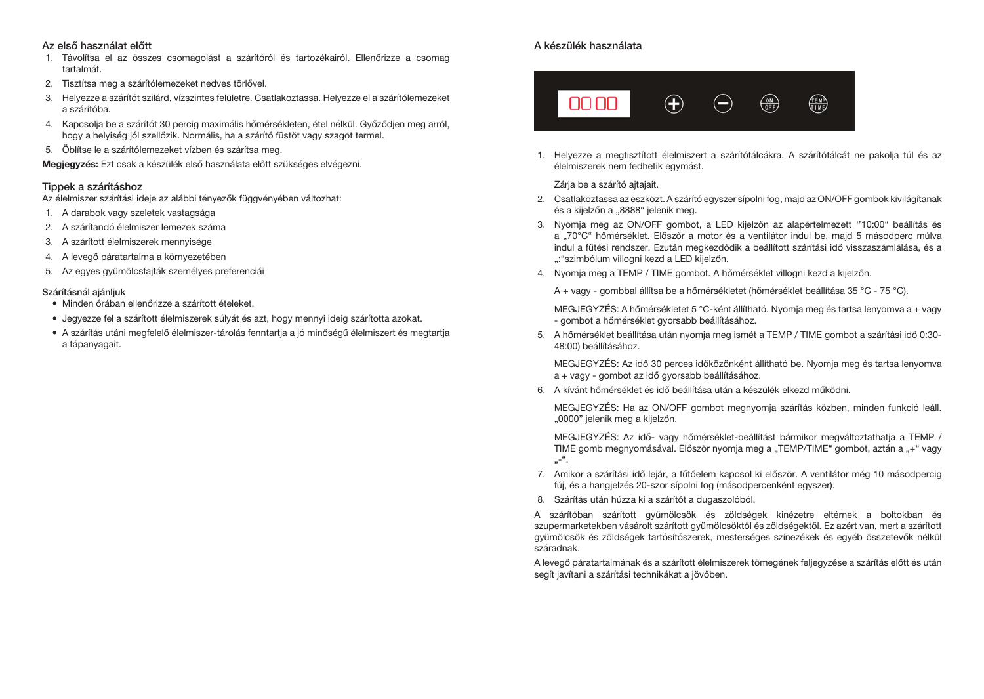#### Az első használat előtt

- 1. Távolítsa el az összes csomagolást a szárítóról és tartozékairól. Ellenőrizze a csomag tartalmát.
- 2. Tisztítsa meg a szárítólemezeket nedves törlővel.
- 3. Helyezze a szárítót szilárd, vízszintes felületre. Csatlakoztassa. Helyezze el a szárítólemezeket a szárítóba.
- 4. Kapcsolja be a szárítót 30 percig maximális hőmérsékleten, étel nélkül. Győződjen meg arról, hogy a helyiség jól szellőzik. Normális, ha a szárító füstöt vagy szagot termel.
- 5. Öblítse le a szárítólemezeket vízben és szárítsa meg.

Megjegyzés: Ezt csak a készülék első használata előtt szükséges elvégezni.

## Tippek a szárításhoz

Az élelmiszer szárítási ideje az alábbi tényezők függvényében változhat:

- 1. A darabok vagy szeletek vastagsága
- 2. A szárítandó élelmiszer lemezek száma
- 3. A szárított élelmiszerek mennyisége
- 4. A levegő páratartalma a környezetében
- 5. Az egyes gyümölcsfajták személyes preferenciái

#### Szárításnál ajánljuk

- Minden órában ellenőrizze a szárított ételeket.
- Jegyezze fel a szárított élelmiszerek súlyát és azt, hogy mennyi ideig szárította azokat.
- A szárítás utáni megfelelő élelmiszer-tárolás fenntartja a jó minőségű élelmiszert és megtartja a tápanyagait.

# A készülék használata



1. Helyezze a megtisztított élelmiszert a szárítótálcákra. A szárítótálcát ne pakolja túl és az élelmiszerek nem fedhetik egymást.

Zária be a szárító aitajait.

- 2. Csatlakoztassa az eszközt. A szárító egyszer sípolni fog, majd az ON/OFF gombok kivilágítanak és a kijelzőn a "8888" jelenik meg.
- 3. Nyomja meg az ON/OFF gombot, a LED kijelzőn az alapértelmezett ''10:00" beállítás és a "70°C" hőmérséklet. Előszőr a motor és a ventilátor indul be, majd 5 másodperc múlva indul a fűtési rendszer. Ezután megkezdődik a beállított szárítási idő visszaszámlálása, és a ": "szimbólum villogni kezd a LED kijelzőn.
- 4. Nyomja meg a TEMP / TIME gombot. A hőmérséklet villogni kezd a kijelzőn.

A + vagy - gombbal állítsa be a hőmérsékletet (hőmérséklet beállítása 35 °C - 75 °C).

MEGJEGYZÉS: A hőmérsékletet 5 °C-ként állítható. Nyomja meg és tartsa lenyomva a + vagy - gombot a hőmérséklet gyorsabb beállításához.

5. A hőmérséklet beállítása után nyomja meg ismét a TEMP / TIME gombot a szárítási idő 0:30- 48:00) beállításához.

MEGJEGYZÉS: Az idő 30 perces időközönként állítható be. Nyomja meg és tartsa lenyomva a + vagy - gombot az idő gyorsabb beállításához.

6. A kívánt hőmérséklet és idő beállítása után a készülék elkezd működni.

MEGJEGYZÉS: Ha az ON/OFF gombot megnyomja szárítás közben, minden funkció leáll. "0000" jelenik meg a kijelzőn.

MEGJEGYZÉS: Az idő- vagy hőmérséklet-beállítást bármikor megváltoztathatja a TEMP / TIME gomb megnyomásával. Először nyomja meg a "TEMP/TIME" gombot, aztán a "+" vagy  $...$ -".

- 7. Amikor a szárítási idő lejár, a fűtőelem kapcsol ki először. A ventilátor még 10 másodpercig fúj, és a hangjelzés 20-szor sípolni fog (másodpercenként egyszer).
- 8. Szárítás után húzza ki a szárítót a dugaszolóból.

A szárítóban szárított gyümölcsök és zöldségek kinézetre eltérnek a boltokban és szupermarketekben vásárolt szárított gyümölcsöktől és zöldségektől. Ez azért van, mert a szárított gyümölcsök és zöldségek tartósítószerek, mesterséges színezékek és egyéb összetevők nélkül száradnak.

A levegő páratartalmának és a szárított élelmiszerek tömegének feljegyzése a szárítás előtt és után segít javítani a szárítási technikákat a jövőben.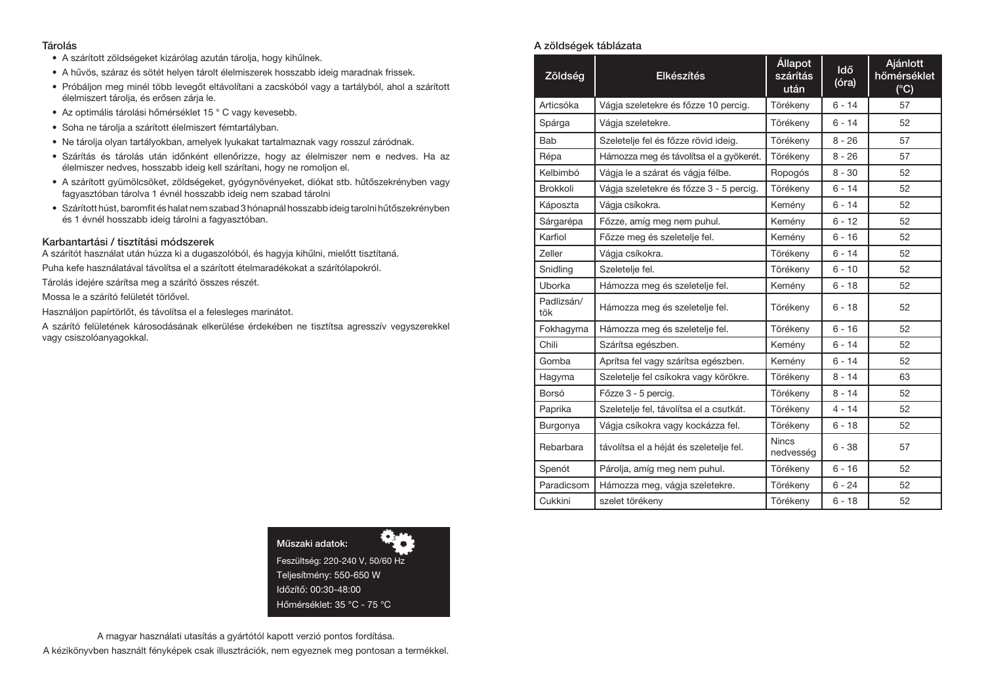#### Tárolás

- A szárított zöldségeket kizárólag azután tárolja, hogy kihűlnek.
- A hűvös, száraz és sötét helyen tárolt élelmiszerek hosszabb ideig maradnak frissek.
- Próbáljon meg minél több levegőt eltávolítani a zacskóból vagy a tartályból, ahol a szárított élelmiszert tárolja, és erősen zárja le.
- Az optimális tárolási hőmérséklet 15 ° C vagy kevesebb.
- Soha ne tárolja a szárított élelmiszert fémtartályban.
- Ne tárolja olyan tartályokban, amelyek lyukakat tartalmaznak vagy rosszul záródnak.
- Szárítás és tárolás után időnként ellenőrizze, hogy az élelmiszer nem e nedves. Ha az élelmiszer nedves, hosszabb ideig kell szárítani, hogy ne romoljon el.
- A szárított gyümölcsöket, zöldségeket, gyógynövényeket, diókat stb. hűtőszekrényben vagy fagyasztóban tárolva 1 évnél hosszabb ideig nem szabad tárolni
- Szárított húst, baromfit és halat nem szabad 3 hónapnál hosszabb ideig tarolni hűtőszekrényben és 1 évnél hosszabb ideig tárolni a fagyasztóban.

#### Karbantartási / tisztítási módszerek

A szárítót használat után húzza ki a dugaszolóból, és hagyja kihűlni, mielőtt tisztítaná. Puha kefe használatával távolítsa el a szárított ételmaradékokat a szárítólapokról.

Tárolás idejére szárítsa meg a szárító összes részét.

Mossa le a szárító felületét törlővel.

Használjon papírtörlőt, és távolítsa el a felesleges marinátot.

A szárító felületének károsodásának elkerülése érdekében ne tisztítsa agresszív vegyszerekkel vagy csiszolóanyagokkal.

> Műszaki adatok: Feszültség: 220-240 V, 50/60 Hz Teljesítmény: 550-650 W Időzítő: 00:30-48:00 Hőmérséklet: 35 °C - 75 °C

# A magyar használati utasítás a gyártótól kapott verzió pontos fordítása. A kézikönyvben használt fényképek csak illusztrációk, nem egyeznek meg pontosan a termékkel.

## A zöldségek táblázata

| Zöldség           | Elkészítés                              | <b>Állapot</b><br>szárítás<br>után | Idő<br>(óra) | Ajánlott<br>hőmérséklet<br>$(^{\circ}C)$ |
|-------------------|-----------------------------------------|------------------------------------|--------------|------------------------------------------|
| Articsóka         | Vágja szeletekre és főzze 10 percig.    | Törékeny                           | $6 - 14$     | 57                                       |
| Spárga            | Vágja szeletekre.                       | Törékeny                           | $6 - 14$     | 52                                       |
| Bab               | Szeletelje fel és főzze rövid ideig.    | Törékeny                           | $8 - 26$     | 57                                       |
| Répa              | Hámozza meg és távolítsa el a gyökerét. | Törékeny                           | $8 - 26$     | 57                                       |
| Kelbimbó          | Vágia le a szárat és vágia félbe.       | Ropogós                            | $8 - 30$     | 52                                       |
| <b>Brokkoli</b>   | Vágja szeletekre és főzze 3 - 5 percig. | Törékeny                           | $6 - 14$     | 52                                       |
| Káposzta          | Vágia csíkokra.                         | Kemény                             | $6 - 14$     | 52                                       |
| Sárgarépa         | Főzze, amíg meg nem puhul.              | Kemény                             | $6 - 12$     | 52                                       |
| Karfiol           | Főzze meg és szeletelje fel.            | Kemény                             | $6 - 16$     | 52                                       |
| Zeller            | Vágja csíkokra.                         | Törékeny                           | $6 - 14$     | 52                                       |
| Snidling          | Szeletelje fel.                         | Törékeny                           | $6 - 10$     | 52                                       |
| Uborka            | Hámozza meg és szeletelje fel.          | Kemény                             | $6 - 18$     | 52                                       |
| Padlizsán/<br>tök | Hámozza meg és szeletelje fel.          | Törékeny                           | $6 - 18$     | 52                                       |
| Fokhagyma         | Hámozza meg és szeletelje fel.          | Törékeny                           | $6 - 16$     | 52                                       |
| Chili             | Szárítsa egészben.                      | Kemény                             | $6 - 14$     | 52                                       |
| Gomba             | Aprítsa fel vagy szárítsa egészben.     | Kemény                             | $6 - 14$     | 52                                       |
| Hagyma            | Szeletelje fel csíkokra vagy körökre.   | Törékeny                           | $8 - 14$     | 63                                       |
| Borsó             | Főzze 3 - 5 percig.                     | Törékeny                           | $8 - 14$     | 52                                       |
| Paprika           | Szeletelje fel, távolítsa el a csutkát. | Törékeny                           | $4 - 14$     | 52                                       |
| Burgonya          | Vágja csíkokra vagy kockázza fel.       | Törékeny                           | $6 - 18$     | 52                                       |
| Rebarbara         | távolítsa el a héját és szeletelje fel. | <b>Nincs</b><br>nedvesség          | $6 - 38$     | 57                                       |
| Spenót            | Párolja, amíg meg nem puhul.            | Törékeny                           | $6 - 16$     | 52                                       |
| Paradicsom        | Hámozza meg, vágja szeletekre.          | Törékeny                           | 6 - 24       | 52                                       |
| Cukkini           | szelet törékeny                         | Törékeny                           | $6 - 18$     | 52                                       |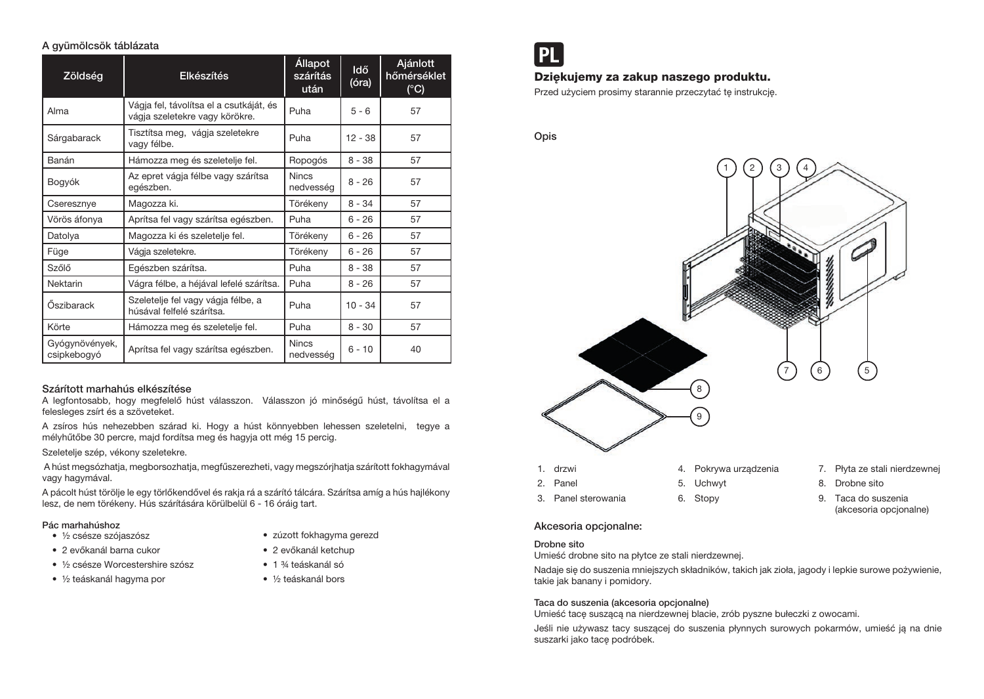## A gyümölcsök táblázata

| Zöldség                       | <b>Elkészítés</b>                                                         | <b>Állapot</b><br>szárítás<br>után | <b>Idő</b><br>(óra) | Ajánlott<br>hőmérséklet<br>$(^{\circ}C)$ |
|-------------------------------|---------------------------------------------------------------------------|------------------------------------|---------------------|------------------------------------------|
| Alma                          | Vágja fel, távolítsa el a csutkáját, és<br>vágja szeletekre vagy körökre. | Puha                               | $5 - 6$             | 57                                       |
| Sárgabarack                   | Tisztítsa meg, vágja szeletekre<br>vagy félbe.                            | Puha                               | $12 - 38$           | 57                                       |
| Banán                         | Hámozza meg és szeletelje fel.                                            | Ropogós                            | $8 - 38$            | 57                                       |
| Bogyók                        | Az epret vágja félbe vagy szárítsa<br>egészben.                           | <b>Nincs</b><br>nedvesség          | $8 - 26$            | 57                                       |
| Cseresznye                    | Magozza ki.                                                               | Törékeny                           | $8 - 34$            | 57                                       |
| Vörös áfonya                  | Aprítsa fel vagy szárítsa egészben.                                       | Puha                               | $6 - 26$            | 57                                       |
| Datolya                       | Magozza ki és szeletelje fel.                                             | Törékeny                           | $6 - 26$            | 57                                       |
| Füge                          | Vágja szeletekre.                                                         | Törékeny                           | $6 - 26$            | 57                                       |
| Szőlő                         | Egészben szárítsa.                                                        | Puha                               | $8 - 38$            | 57                                       |
| Nektarin                      | Vágra félbe, a héjával lefelé szárítsa.                                   | Puha                               | $8 - 26$            | 57                                       |
| Őszibarack                    | Szeletelje fel vagy vágja félbe, a<br>húsával felfelé szárítsa.           | Puha                               | $10 - 34$           | 57                                       |
| Körte                         | Hámozza meg és szeletelje fel.                                            | Puha                               | $8 - 30$            | 57                                       |
| Gyógynövények,<br>csipkebogyó | Aprítsa fel vagy szárítsa egészben.                                       | <b>Nincs</b><br>nedvesség          | $6 - 10$            | 40                                       |

# Szárított marhahús elkészítése

A legfontosabb, hogy megfelelő húst válasszon. Válasszon jó minőségű húst, távolítsa el a felesleges zsírt és a szöveteket.

A zsíros hús nehezebben szárad ki. Hogy a húst könnyebben lehessen szeletelni, tegye a mélyhűtőbe 30 percre, majd fordítsa meg és hagyja ott még 15 percig.

Szeletelje szép, vékony szeletekre.

 A húst megsózhatja, megborsozhatja, megfűszerezheti, vagy megszórjhatja szárított fokhagymával vagy hagymával.

A pácolt húst törölje le egy törlőkendővel és rakja rá a szárító tálcára. Szárítsa amíg a hús hajlékony lesz, de nem törékeny. Hús szárítására körülbelül 6 - 16 óráig tart.

## Pác marhahúshoz

- ½ csésze szójaszósz
- 2 evőkanál barna cukor
- ½ csésze Worcestershire szósz
- ½ teáskanál hagyma por

• 2 evőkanál ketchup • 1 ¾ teáskanál só

• zúzott fokhagyma gerezd

• ½ teáskanál bors



# Dziękujemy za zakup naszego produktu.

Przed użyciem prosimy starannie przeczytać tę instrukcję.

Opis



Akcesoria opcjonalne:

#### Drobne sito

Umieść drobne sito na płytce ze stali nierdzewnej.

Nadaje się do suszenia mniejszych składników, takich jak zioła, jagody i lepkie surowe pożywienie, takie jak banany i pomidory.

## Taca do suszenia (akcesoria opcjonalne)

Umieść tacę suszącą na nierdzewnej blacie, zrób pyszne bułeczki z owocami.

Jeśli nie używasz tacy suszącej do suszenia płynnych surowych pokarmów, umieść ją na dnie suszarki jako tacę podróbek.

- 
- 9. Taca do suszenia (akcesoria opcjonalne)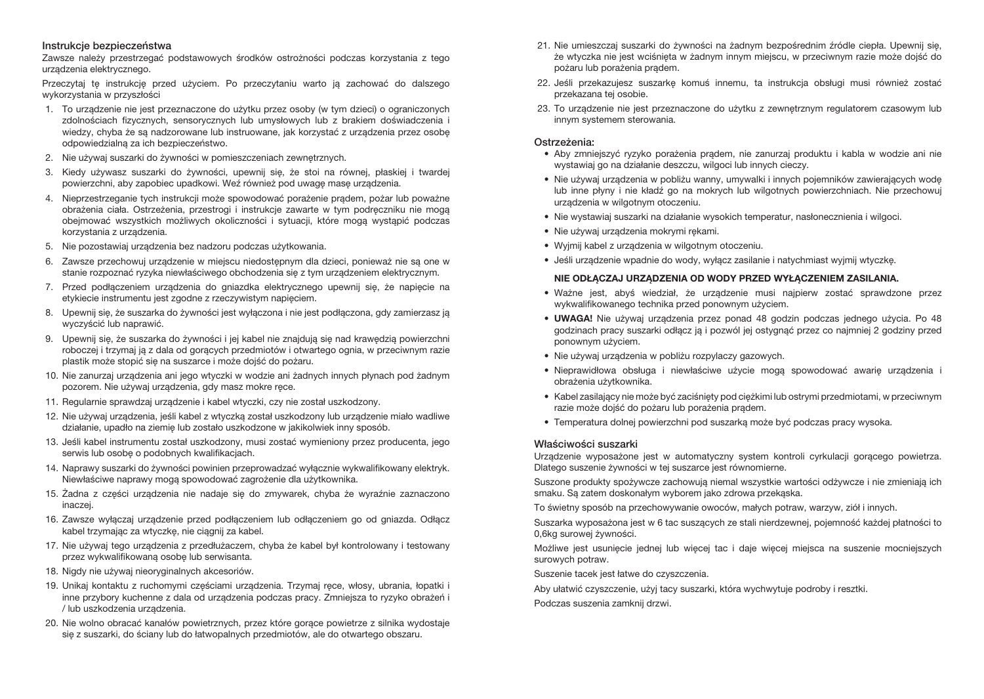#### Instrukcje bezpieczeństwa

Zawsze należy przestrzegać podstawowych środków ostrożności podczas korzystania z tego urządzenia elektrycznego.

Przeczytaj tę instrukcję przed użyciem. Po przeczytaniu warto ją zachować do dalszego wykorzystania w przyszłości

- 1. To urządzenie nie jest przeznaczone do użytku przez osoby (w tym dzieci) o ograniczonych zdolnościach fizycznych, sensorycznych lub umysłowych lub z brakiem doświadczenia i wiedzy, chyba że są nadzorowane lub instruowane, jak korzystać z urządzenia przez osobę odpowiedzialną za ich bezpieczeństwo.
- 2. Nie używaj suszarki do żywności w pomieszczeniach zewnętrznych.
- 3. Kiedy używasz suszarki do żywności, upewnij się, że stoi na równej, płaskiej i twardej powierzchni, aby zapobiec upadkowi. Weź również pod uwagę masę urządzenia.
- 4. Nieprzestrzeganie tych instrukcji może spowodować porażenie prądem, pożar lub poważne obrażenia ciała. Ostrzeżenia, przestrogi i instrukcje zawarte w tym podręczniku nie mogą obejmować wszystkich możliwych okoliczności i sytuacji, które mogą wystąpić podczas korzystania z urządzenia.
- 5. Nie pozostawiaj urządzenia bez nadzoru podczas użytkowania.
- 6. Zawsze przechowuj urządzenie w miejscu niedostępnym dla dzieci, ponieważ nie są one w stanie rozpoznać ryzyka niewłaściwego obchodzenia się z tym urządzeniem elektrycznym.
- 7. Przed podłączeniem urządzenia do gniazdka elektrycznego upewnij się, że napięcie na etykiecie instrumentu jest zgodne z rzeczywistym napięciem.
- 8. Upewnij się, że suszarka do żywności jest wyłączona i nie jest podłączona, gdy zamierzasz ją wyczyścić lub naprawić.
- 9. Upewnij się, że suszarka do żywności i jej kabel nie znajdują się nad krawędzią powierzchni roboczej i trzymaj ją z dala od gorących przedmiotów i otwartego ognia, w przeciwnym razie plastik może stopić się na suszarce i może dojść do pożaru.
- 10. Nie zanurzaj urządzenia ani jego wtyczki w wodzie ani żadnych innych płynach pod żadnym pozorem. Nie używaj urządzenia, gdy masz mokre ręce.
- 11. Regularnie sprawdzaj urządzenie i kabel wtyczki, czy nie został uszkodzony.
- 12. Nie używaj urządzenia, jeśli kabel z wtyczką został uszkodzony lub urządzenie miało wadliwe działanie, upadło na ziemię lub zostało uszkodzone w jakikolwiek inny sposób.
- 13. Jeśli kabel instrumentu został uszkodzony, musi zostać wymieniony przez producenta, jego serwis lub osobę o podobnych kwalifikacjach.
- 14. Naprawy suszarki do żywności powinien przeprowadzać wyłącznie wykwalifikowany elektryk. Niewłaściwe naprawy mogą spowodować zagrożenie dla użytkownika.
- 15. Żadna z części urządzenia nie nadaje się do zmywarek, chyba że wyraźnie zaznaczono inaczej.
- 16. Zawsze wyłączaj urządzenie przed podłączeniem lub odłączeniem go od gniazda. Odłącz kabel trzymając za wtyczke, nie ciągnij za kabel.
- 17. Nie używaj tego urządzenia z przedłużaczem, chyba że kabel był kontrolowany i testowany przez wykwalifikowaną osobę lub serwisanta.
- 18. Nigdy nie używaj nieoryginalnych akcesoriów.
- 19. Unikaj kontaktu z ruchomymi częściami urządzenia. Trzymaj ręce, włosy, ubrania, łopatki i inne przybory kuchenne z dala od urządzenia podczas pracy. Zmniejsza to ryzyko obrażeń i / lub uszkodzenia urządzenia.
- 20. Nie wolno obracać kanałów powietrznych, przez które gorące powietrze z silnika wydostaje się z suszarki, do ściany lub do łatwopalnych przedmiotów, ale do otwartego obszaru.
- 21. Nie umieszczaj suszarki do żywności na żadnym bezpośrednim źródle ciepła. Upewnij się, że wtyczka nie jest wciśnięta w żadnym innym miejscu, w przeciwnym razie może dojść do pożaru lub porażenia prądem.
- 22. Jeśli przekazujesz suszarkę komuś innemu, ta instrukcja obsługi musi również zostać przekazana tej osobie.
- 23. To urządzenie nie jest przeznaczone do użytku z zewnętrznym regulatorem czasowym lub innym systemem sterowania.

## Ostrzeżenia:

- Aby zmniejszyć ryzyko porażenia prądem, nie zanurzaj produktu i kabla w wodzie ani nie wystawiaj go na działanie deszczu, wilgoci lub innych cieczy.
- Nie używaj urządzenia w pobliżu wanny, umywalki i innych pojemników zawierających wodę lub inne płyny i nie kładź go na mokrych lub wilgotnych powierzchniach. Nie przechowuj urządzenia w wilgotnym otoczeniu.
- Nie wystawiaj suszarki na działanie wysokich temperatur, nasłonecznienia i wilgoci.
- Nie używaj urządzenia mokrymi rękami.
- Wyjmij kabel z urządzenia w wilgotnym otoczeniu.
- Jeśli urządzenie wpadnie do wody, wyłącz zasilanie i natychmiast wyjmij wtyczkę.

# NIE ODŁĄCZAJ URZĄDZENIA OD WODY PRZED WYŁĄCZENIEM ZASILANIA.

- Ważne jest, abyś wiedział, że urządzenie musi najpierw zostać sprawdzone przez wykwalifikowanego technika przed ponownym użyciem.
- UWAGA! Nie używaj urządzenia przez ponad 48 godzin podczas jednego użycia. Po 48 godzinach pracy suszarki odłącz ją i pozwól jej ostygnąć przez co najmniej 2 godziny przed ponownym użyciem.
- Nie używaj urządzenia w pobliżu rozpylaczy gazowych.
- Nieprawidłowa obsługa i niewłaściwe użycie mogą spowodować awarię urządzenia i obrażenia użytkownika.
- Kabel zasilający nie może być zaciśnięty pod ciężkimi lub ostrymi przedmiotami, w przeciwnym razie może dojść do pożaru lub porażenia prądem.
- Temperatura dolnej powierzchni pod suszarką może być podczas pracy wysoka.

# Właściwości suszarki

Urządzenie wyposażone jest w automatyczny system kontroli cyrkulacji gorącego powietrza. Dlatego suszenie żywności w tej suszarce jest równomierne.

Suszone produkty spożywcze zachowują niemal wszystkie wartości odżywcze i nie zmieniają ich smaku. Są zatem doskonałym wyborem jako zdrowa przekąska.

To świetny sposób na przechowywanie owoców, małych potraw, warzyw, ziół i innych.

Suszarka wyposażona jest w 6 tac suszących ze stali nierdzewnej, pojemność każdej płatności to 0,6kg surowej żywności.

Możliwe jest usunięcie jednej lub więcej tac i daje więcej miejsca na suszenie mocniejszych surowych potraw.

Suszenie tacek jest łatwe do czyszczenia.

Aby ułatwić czyszczenie, użyj tacy suszarki, która wychwytuje podroby i resztki.

Podczas suszenia zamknij drzwi.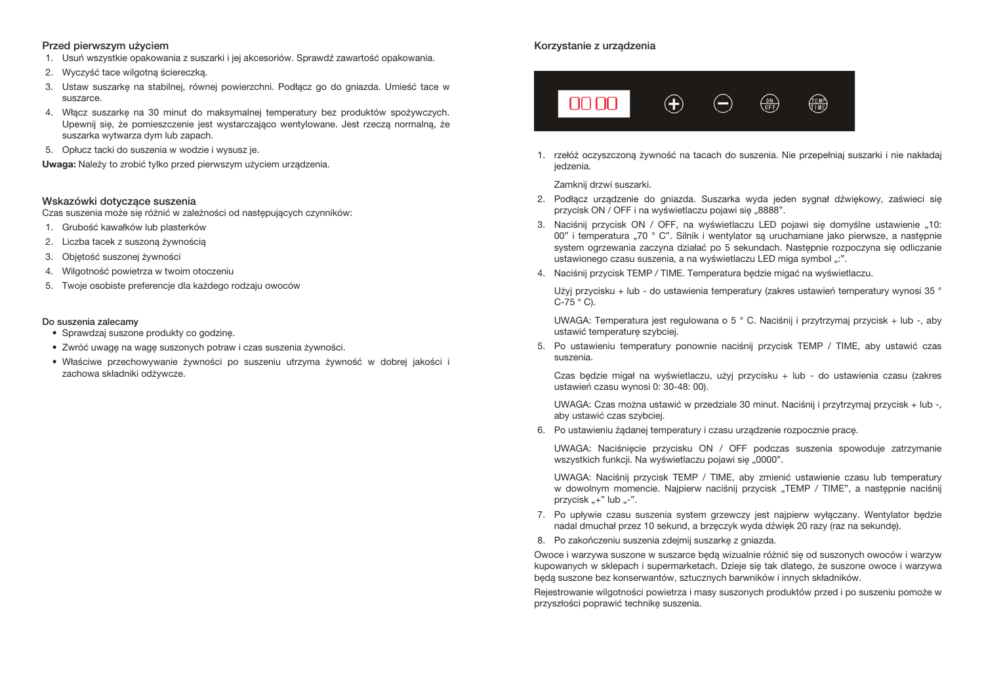#### Przed pierwszym użyciem

- 1. Usuń wszystkie opakowania z suszarki i jej akcesoriów. Sprawdź zawartość opakowania.
- 2. Wyczyść tace wilgotną ściereczką.
- 3. Ustaw suszarkę na stabilnej, równej powierzchni. Podłącz go do gniazda. Umieść tace w suszarce.
- 4. Włącz suszarkę na 30 minut do maksymalnej temperatury bez produktów spożywczych. Upewnij się, że pomieszczenie jest wystarczająco wentylowane. Jest rzeczą normalną, że suszarka wytwarza dym lub zapach.
- 5. Opłucz tacki do suszenia w wodzie i wysusz je.

Uwaga: Należy to zrobić tylko przed pierwszym użyciem urządzenia.

#### Wskazówki dotyczące suszenia

Czas suszenia może się różnić w zależności od następujących czynników:

- 1. Grubość kawałków lub plasterków
- 2. Liczba tacek z suszoną żywnością
- 3. Objętość suszonej żywności
- 4. Wilgotność powietrza w twoim otoczeniu
- 5. Twoje osobiste preferencje dla każdego rodzaju owoców

#### Do suszenia zalecamy

- Sprawdzaj suszone produkty co godzinę.
- Zwróć uwagę na wagę suszonych potraw i czas suszenia żywności.
- Właściwe przechowywanie żywności po suszeniu utrzyma żywność w dobrej jakości i zachowa składniki odżywcze.

## Korzystanie z urządzenia



1. rzełóż oczyszczoną żywność na tacach do suszenia. Nie przepełniaj suszarki i nie nakładaj iedzenia.

Zamknij drzwi suszarki.

- 2. Podłącz urządzenie do gniazda. Suszarka wyda jeden sygnał dźwiękowy, zaświeci się przycisk ON / OFF i na wyświetlaczu pojawi się "8888".
- 3. Naciśnij przycisk ON / OFF, na wyświetlaczu LED pojawi się domyślne ustawienie "10: 00" i temperatura "70 ° C". Silnik i wentylator są uruchamiane jako pierwsze, a następnie system ogrzewania zaczyna działać po 5 sekundach. Następnie rozpoczyna się odliczanie ustawionego czasu suszenia, a na wyświetlaczu LED miga symbol ":".
- 4. Naciśnij przycisk TEMP / TIME. Temperatura będzie migać na wyświetlaczu.

Użyj przycisku + lub - do ustawienia temperatury (zakres ustawień temperatury wynosi 35 °  $C-75$   $^{\circ}$  C).

UWAGA: Temperatura jest regulowana o 5 ° C. Naciśnij i przytrzymaj przycisk + lub -, aby ustawić temperaturę szybciej.

5. Po ustawieniu temperatury ponownie naciśnij przycisk TEMP / TIME, aby ustawić czas suszenia.

Czas będzie migał na wyświetlaczu, użyj przycisku + lub - do ustawienia czasu (zakres ustawień czasu wynosi 0: 30-48: 00).

UWAGA: Czas można ustawić w przedziale 30 minut. Naciśnij i przytrzymaj przycisk + lub -, aby ustawić czas szybciej.

6. Po ustawieniu żądanej temperatury i czasu urządzenie rozpocznie pracę.

UWAGA: Naciśnięcie przycisku ON / OFF podczas suszenia spowoduje zatrzymanie wszystkich funkcji. Na wyświetlaczu pojawi się "0000".

UWAGA: Naciśnij przycisk TEMP / TIME, aby zmienić ustawienie czasu lub temperatury w dowolnym momencie. Najpierw naciśnij przycisk "TEMP / TIME", a następnie naciśnij przycisk " $+$ " lub " $-$ ".

- 7. Po upływie czasu suszenia system grzewczy jest najpierw wyłączany. Wentylator będzie nadal dmuchał przez 10 sekund, a brzęczyk wyda dźwięk 20 razy (raz na sekundę).
- 8. Po zakończeniu suszenia zdejmij suszarkę z gniazda.

Owoce i warzywa suszone w suszarce będą wizualnie różnić się od suszonych owoców i warzyw kupowanych w sklepach i supermarketach. Dzieje się tak dlatego, że suszone owoce i warzywa będą suszone bez konserwantów, sztucznych barwników i innych składników.

Rejestrowanie wilgotności powietrza i masy suszonych produktów przed i po suszeniu pomoże w przyszłości poprawić technikę suszenia.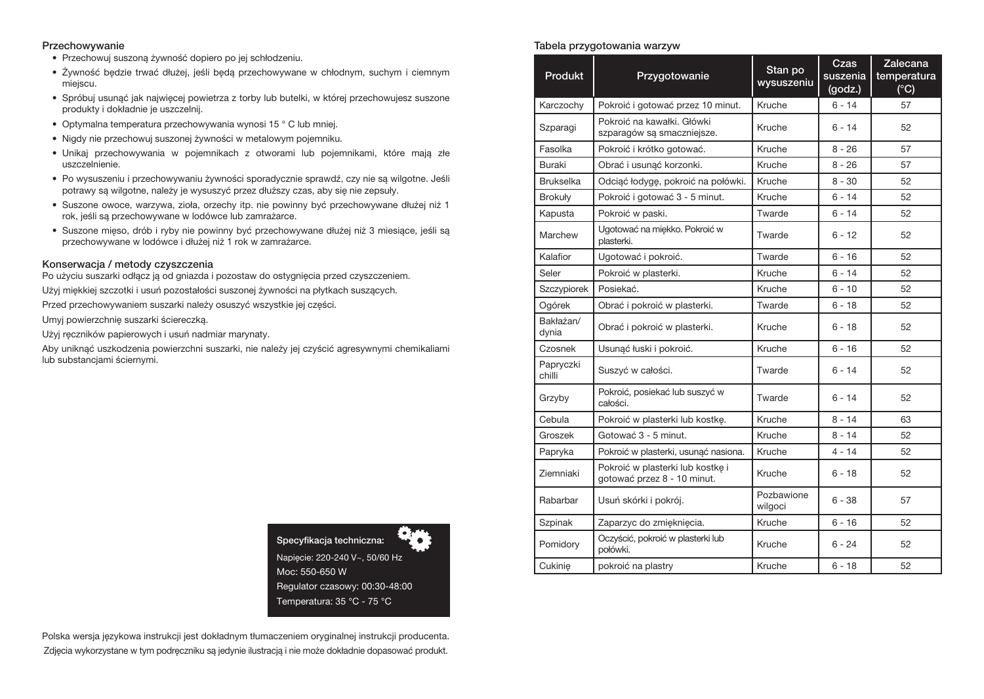#### Przechowywanie

- Przechowuj suszoną żywność dopiero po jej schłodzeniu.
- Żywność będzie trwać dłużej, jeśli będą przechowywane w chłodnym, suchym i ciemnym miejscu.
- Spróbuj usunąć jak najwięcej powietrza z torby lub butelki, w której przechowujesz suszone produkty i dokładnie je uszczelnij.
- Optymalna temperatura przechowywania wynosi 15 ° C lub mniej.
- Nigdy nie przechowuj suszonej żywności w metalowym pojemniku.
- Unikaj przechowywania w pojemnikach z otworami lub pojemnikami, które mają złe uszczelnienie.
- Po wysuszeniu i przechowywaniu żywności sporadycznie sprawdź, czy nie są wilgotne. Jeśli potrawy są wilgotne, należy je wysuszyć przez dłuższy czas, aby się nie zepsuły.
- Suszone owoce, warzywa, zioła, orzechy itp. nie powinny być przechowywane dłużej niż 1 rok, jeśli są przechowywane w lodówce lub zamrażarce.
- Suszone mięso, drób i ryby nie powinny być przechowywane dłużej niż 3 miesiące, jeśli są przechowywane w lodówce i dłużej niż 1 rok w zamrażarce.

## Konserwacja / metody czyszczenia

Po użyciu suszarki odłącz ją od gniazda i pozostaw do ostygnięcia przed czyszczeniem.

Użyj miękkiej szczotki i usuń pozostałości suszonej żywności na płytkach suszących.

Przed przechowywaniem suszarki należy osuszyć wszystkie jej części.

Umyj powierzchnię suszarki ściereczką.

Użyj ręczników papierowych i usuń nadmiar marynaty.

Aby uniknąć uszkodzenia powierzchni suszarki, nie należy jej czyścić agresywnymi chemikaliami lub substancjami ściernymi.



Polska wersja językowa instrukcji jest dokładnym tłumaczeniem oryginalnej instrukcji producenta. Zdjęcia wykorzystane w tym podręczniku są jedynie ilustracją i nie może dokładnie dopasować produkt.

## Tabela przygotowania warzyw

| <b>Produkt</b>      | Przygotowanie                                                   | Stan po<br>wysuszeniu | Czas<br>suszenia<br>(godz.) | Zalecana<br>temperatura<br>$(^{\circ}C)$ |
|---------------------|-----------------------------------------------------------------|-----------------------|-----------------------------|------------------------------------------|
| Karczochy           | Pokroić i gotować przez 10 minut.                               | Kruche                | $6 - 14$                    | 57                                       |
| Szparagi            | Pokroić na kawałki. Główki<br>szparagów są smaczniejsze.        | Kruche                | $6 - 14$                    | 52                                       |
| Fasolka             | Pokroić i krótko gotować.                                       | Kruche                | $8 - 26$                    | 57                                       |
| Buraki              | Obrać i usunąć korzonki.                                        | Kruche                | $8 - 26$                    | 57                                       |
| <b>Brukselka</b>    | Odciąć łodygę, pokroić na połówki.                              | Kruche                | $8 - 30$                    | 52                                       |
| <b>Brokuły</b>      | Pokroić i gotować 3 - 5 minut.                                  | Kruche                | $6 - 14$                    | 52                                       |
| Kapusta             | Pokroić w paski.                                                | Twarde                | $6 - 14$                    | 52                                       |
| Marchew             | Ugotować na miekko. Pokroić w<br>plasterki.                     | Twarde                | $6 - 12$                    | 52                                       |
| Kalafior            | Ugotować i pokroić.                                             | Twarde                | $6 - 16$                    | 52                                       |
| Seler               | Pokroić w plasterki.                                            | Kruche                | $6 - 14$                    | 52                                       |
| Szczypiorek         | Posiekać.                                                       | Kruche                | $6 - 10$                    | 52                                       |
| Ogórek              | Obrać i pokroić w plasterki.                                    | Twarde                | $6 - 18$                    | 52                                       |
| Bakłażan/<br>dynia  | Obrać i pokroić w plasterki.                                    | Kruche                | $6 - 18$                    | 52                                       |
| Czosnek             | Usunąć łuski i pokroić.                                         | Kruche                | $6 - 16$                    | 52                                       |
| Papryczki<br>chilli | Suszyć w całości.                                               | Twarde                | $6 - 14$                    | 52                                       |
| Grzyby              | Pokroić, posiekać lub suszyć w<br>całości.                      | Twarde                | $6 - 14$                    | 52                                       |
| Cebula              | Pokroić w plasterki lub kostkę.                                 | Kruche                | $8 - 14$                    | 63                                       |
| Groszek             | Gotować 3 - 5 minut.                                            | Kruche                | $8 - 14$                    | 52                                       |
| Papryka             | Pokroić w plasterki, usunąć nasiona.                            | Kruche                | $4 - 14$                    | 52                                       |
| Ziemniaki           | Pokroić w plasterki lub kostke i<br>gotować przez 8 - 10 minut. | Kruche                | $6 - 18$                    | 52                                       |
| Rabarbar            | Usuń skórki i pokrój.                                           | Pozbawione<br>wilgoci | $6 - 38$                    | 57                                       |
| Szpinak             | Zaparzyc do zmięknięcia.                                        | Kruche                | $6 - 16$                    | 52                                       |
| Pomidory            | Oczyścić, pokroić w plasterki lub<br>połówki.                   | Kruche                | $6 - 24$                    | 52                                       |
| Cukinie             | pokroić na plastry                                              | Kruche                | $6 - 18$                    | 52                                       |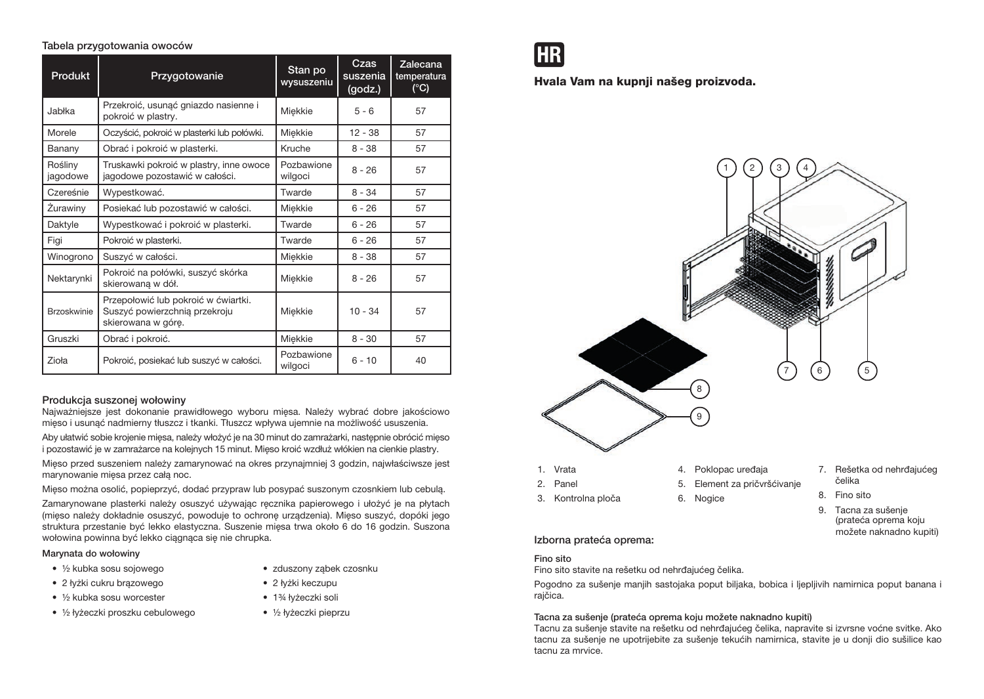## Tabela przygotowania owoców

| <b>Produkt</b>      | Przygotowanie                                                                              | Stan po<br>wysuszeniu | Czas<br>suszenia<br>(godz.) | Zalecana<br>temperatura<br>$(^{\circ}C)$ |
|---------------------|--------------------------------------------------------------------------------------------|-----------------------|-----------------------------|------------------------------------------|
| Jabłka              | Przekroić, usunąć gniazdo nasienne i<br>pokroić w plastry.                                 | Miękkie               | $5 - 6$                     | 57                                       |
| Morele              | Oczyścić, pokroić w plasterki lub połówki.                                                 | Miekkie               | $12 - 38$                   | 57                                       |
| Banany              | Obrać i pokroić w plasterki.                                                               | Kruche                | $8 - 38$                    | 57                                       |
| Rośliny<br>jagodowe | Truskawki pokroić w plastry, inne owoce<br>jagodowe pozostawić w całości.                  | Pozbawione<br>wilgoci | $8 - 26$                    | 57                                       |
| Czereśnie           | Wypestkować.                                                                               | Twarde                | $8 - 34$                    | 57                                       |
| Zurawiny            | Posiekać lub pozostawić w całości.                                                         | Miekkie               | $6 - 26$                    | 57                                       |
| Daktyle             | Wypestkować i pokroić w plasterki.                                                         | Twarde                | $6 - 26$                    | 57                                       |
| Figi                | Pokroić w plasterki.                                                                       | Twarde                | $6 - 26$                    | 57                                       |
| Winogrono           | Suszyć w całości.                                                                          | Miekkie               | $8 - 38$                    | 57                                       |
| Nektarynki          | Pokroić na połówki, suszyć skórka<br>skierowaną w dół.                                     | Miekkie               | $8 - 26$                    | 57                                       |
| <b>Brzoskwinie</b>  | Przepołowić lub pokroić w ćwiartki.<br>Suszyć powierzchnią przekroju<br>skierowana w górę. | Miekkie               | $10 - 34$                   | 57                                       |
| Gruszki             | Obrać i pokroić.                                                                           | Miekkie               | $8 - 30$                    | 57                                       |
| Zioła               | Pokroić, posiekać lub suszyć w całości.                                                    | Pozbawione<br>wilgoci | $6 - 10$                    | 40                                       |

## Produkcja suszonej wołowiny

Najważniejsze jest dokonanie prawidłowego wyboru mięsa. Należy wybrać dobre jakościowo mięso i usunąć nadmierny tłuszcz i tkanki. Tłuszcz wpływa ujemnie na możliwość ususzenia.

Aby ułatwić sobie krojenie mięsa, należy włożyć je na 30 minut do zamrażarki, następnie obrócić mięso i pozostawić je w zamrażarce na kolejnych 15 minut. Mięso kroić wzdłuż włókien na cienkie plastry.

Mięso przed suszeniem należy zamarynować na okres przynajmniej 3 godzin, najwłaściwsze jest marynowanie mięsa przez całą noc.

Mięso można osolić, popieprzyć, dodać przypraw lub posypać suszonym czosnkiem lub cebulą.

Zamarynowane plasterki należy osuszyć używając ręcznika papierowego i ułożyć je na płytach (mięso należy dokładnie osuszyć, powoduje to ochronę urządzenia). Mięso suszyć, dopóki jego struktura przestanie być lekko elastyczna. Suszenie mięsa trwa około 6 do 16 godzin. Suszona wołowina powinna być lekko ciągnąca się nie chrupka.

#### Marynata do wołowiny

• ½ kubka sosu sojowego • 2 łyżki cukru brązowego

• ½ kubka sosu worcester

- zduszony ząbek czosnku • 2 łyżki keczupu
- 1<sup>3</sup>/<sub>4</sub> łyżeczki soli
- ½ łyżeczki proszku cebulowego
- ½ łyżeczki pieprzu

**HR** 

Hvala Vam na kupnji našeg proizvoda.



- 7. Rešetka od nehrđajućeg
- 8. Fino sito
- 9. Tacna za sušenje (prateća oprema koju možete naknadno kupiti)

## Izborna prateća oprema:

#### Fino sito

Fino sito stavite na rešetku od nehrđajućeg čelika.

Pogodno za sušenje manjih sastojaka poput biljaka, bobica i ljepljivih namirnica poput banana i rajčica.

#### Tacna za sušenje (prateća oprema koju možete naknadno kupiti)

Tacnu za sušenje stavite na rešetku od nehrđajućeg čelika, napravite si izvrsne voćne svitke. Ako tacnu za sušenje ne upotrijebite za sušenje tekućih namirnica, stavite je u donji dio sušilice kao tacnu za mrvice.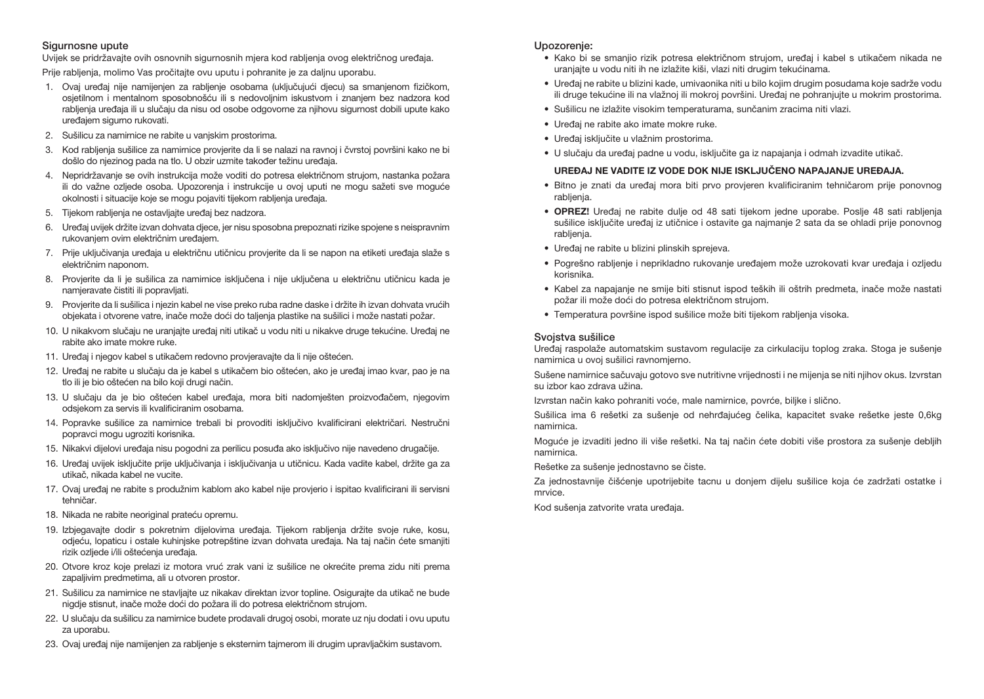## Sigurnosne upute

Uvijek se pridržavajte ovih osnovnih sigurnosnih mjera kod rabljenja ovog električnog uređaja.

Prije rabljenja, molimo Vas pročitajte ovu uputu i pohranite je za daljnu uporabu.

- 1. Ovaj uređaj nije namijenjen za rabljenje osobama (uključujući djecu) sa smanjenom fizičkom, osjetilnom i mentalnom sposobnošću ili s nedovoljnim iskustvom i znanjem bez nadzora kod rabljenja uređaja ili u slučaju da nisu od osobe odgovorne za njihovu sigurnost dobili upute kako uređajem sigurno rukovati.
- 2. Sušilicu za namirnice ne rabite u vanjskim prostorima.
- 3. Kod rabljenja sušilice za namirnice provjerite da li se nalazi na ravnoj i čvrstoj površini kako ne bi došlo do njezinog pada na tlo. U obzir uzmite također težinu uređaja.
- 4. Nepridržavanje se ovih instrukcija može voditi do potresa električnom strujom, nastanka požara ili do važne ozljede osoba. Upozorenja i instrukcije u ovoj uputi ne mogu sažeti sve moguće okolnosti i situacije koje se mogu pojaviti tijekom rabljenja uređaja.
- 5. Tijekom rabljenja ne ostavljajte uređaj bez nadzora.
- 6. Uređaj uvijek držite izvan dohvata djece, jer nisu sposobna prepoznati rizike spojene s neispravnim rukovanjem ovim električnim uređajem.
- 7. Prije uključivanja uređaja u električnu utičnicu provjerite da li se napon na etiketi uređaja slaže s električnim naponom.
- 8. Provjerite da li je sušilica za namirnice isključena i nije uključena u električnu utičnicu kada je namjeravate čistiti ili popravljati.
- 9. Provjerite da li sušilica i njezin kabel ne vise preko ruba radne daske i držite ih izvan dohvata vrućih objekata i otvorene vatre, inače može doći do taljenja plastike na sušilici i može nastati požar.
- 10. U nikakvom slučaju ne uranjajte uređaj niti utikač u vodu niti u nikakve druge tekućine. Uređaj ne rabite ako imate mokre ruke.
- 11. Uređaj i njegov kabel s utikačem redovno provjeravajte da li nije oštećen.
- 12. Uređaj ne rabite u slučaju da je kabel s utikačem bio oštećen, ako je uređaj imao kvar, pao je na tlo ili je bio oštećen na bilo koji drugi način.
- 13. U slučaju da je bio oštećen kabel uređaja, mora biti nadomješten proizvođačem, njegovim odsjekom za servis ili kvalificiranim osobama.
- 14. Popravke sušilice za namirnice trebali bi provoditi isključivo kvalificirani električari. Nestručni popravci mogu ugroziti korisnika.
- 15. Nikakvi dijelovi uređaja nisu pogodni za perilicu posuđa ako isključivo nije navedeno drugačije.
- 16. Uređaj uvijek isključite prije uključivanja i isključivanja u utičnicu. Kada vadite kabel, držite ga za utikač, nikada kabel ne vucite.
- 17. Ovaj uređaj ne rabite s produžnim kablom ako kabel nije provjerio i ispitao kvalificirani ili servisni tehničar.
- 18. Nikada ne rabite neoriginal prateću opremu.
- 19. Izbjegavajte dodir s pokretnim dijelovima uređaja. Tijekom rabljenja držite svoje ruke, kosu, odjeću, lopaticu i ostale kuhinjske potrepštine izvan dohvata uređaja. Na taj način ćete smanjiti rizik ozljede i/ili oštećenja uređaja.
- 20. Otvore kroz koje prelazi iz motora vruć zrak vani iz sušilice ne okrećite prema zidu niti prema zapaljivim predmetima, ali u otvoren prostor.
- 21. Sušilicu za namirnice ne stavljajte uz nikakav direktan izvor topline. Osigurajte da utikač ne bude nigdje stisnut, inače može doći do požara ili do potresa električnom strujom.
- 22. U slučaju da sušilicu za namirnice budete prodavali drugoj osobi, morate uz nju dodati i ovu uputu za uporabu.
- 23. Ovaj uređaj nije namijenjen za rabljenje s eksternim tajmerom ili drugim upravljačkim sustavom.

#### Upozorenje:

- Kako bi se smanjio rizik potresa električnom strujom, uređaj i kabel s utikačem nikada ne uranjajte u vodu niti ih ne izlažite kiši, vlazi niti drugim tekućinama.
- Uređaj ne rabite u blizini kade, umivaonika niti u bilo kojim drugim posudama koje sadrže vodu ili druge tekućine ili na vlažnoj ili mokroj površini. Uređaj ne pohranjujte u mokrim prostorima.
- Sušilicu ne izlažite visokim temperaturama, sunčanim zracima niti vlazi.
- Uređaj ne rabite ako imate mokre ruke.
- Uređaj isključite u vlažnim prostorima.
- U slučaju da uređaj padne u vodu, isključite ga iz napajanja i odmah izvadite utikač.

#### UREĐAJ NE VADITE IZ VODE DOK NIJE ISKLJUČENO NAPAJANJE UREĐAJA.

- Bitno je znati da uređaj mora biti prvo provjeren kvalificiranim tehničarom prije ponovnog rablienia.
- OPREZ! Uređaj ne rabite dulje od 48 sati tijekom jedne uporabe. Poslje 48 sati rabljenja sušilice isključite uređaj iz utičnice i ostavite ga najmanje 2 sata da se ohladi prije ponovnog rablienia.
- Uređaj ne rabite u blizini plinskih sprejeva.
- Pogrešno rabljenje i neprikladno rukovanje uređajem može uzrokovati kvar uređaja i ozljedu korisnika.
- Kabel za napajanje ne smije biti stisnut ispod teških ili oštrih predmeta, inače može nastati požar ili može doći do potresa električnom strujom.
- Temperatura površine ispod sušilice može biti tijekom rabljenja visoka.

#### Svojstva sušilice

Uređaj raspolaže automatskim sustavom regulacije za cirkulaciju toplog zraka. Stoga je sušenje namirnica u ovoj sušilici ravnomjerno.

Sušene namirnice sačuvaju gotovo sve nutritivne vrijednosti i ne mijenja se niti njihov okus. Izvrstan su izbor kao zdrava užina.

Izvrstan način kako pohraniti voće, male namirnice, povrće, biljke i slično.

Sušilica ima 6 rešetki za sušenje od nehrđajućeg čelika, kapacitet svake rešetke jeste 0,6kg namirnica.

Moguće je izvaditi jedno ili više rešetki. Na taj način ćete dobiti više prostora za sušenje debljih namirnica.

Rešetke za sušenje jednostavno se čiste.

Za jednostavnije čišćenje upotrijebite tacnu u donjem dijelu sušilice koja će zadržati ostatke i mrvice.

Kod sušenja zatvorite vrata uređaja.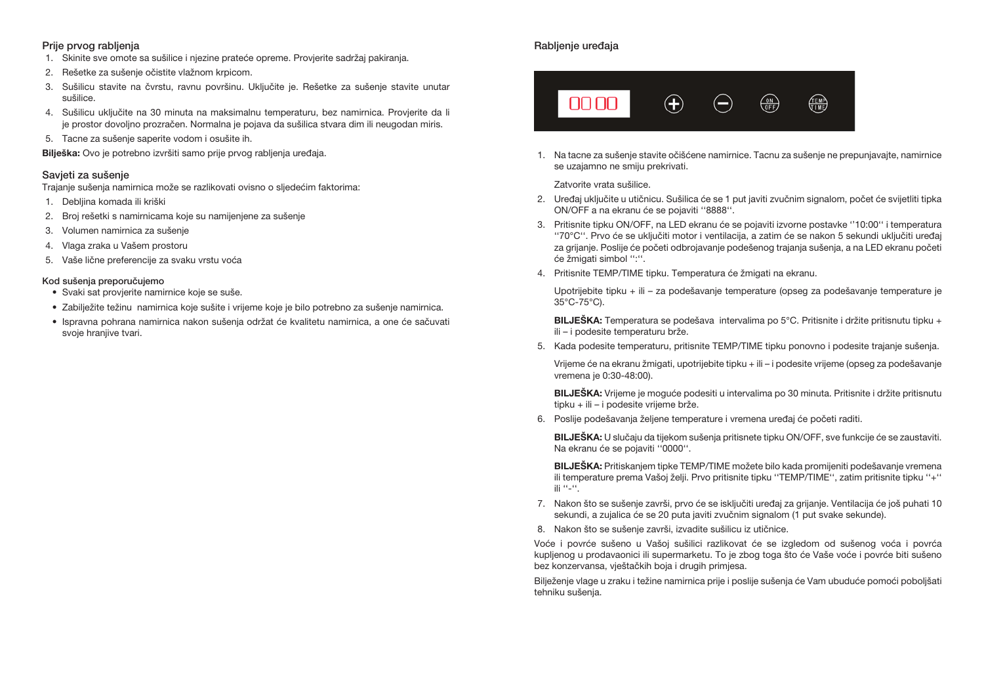## Prije prvog rabljenja

- 1. Skinite sve omote sa sušilice i njezine prateće opreme. Provjerite sadržaj pakiranja.
- 2. Rešetke za sušenje očistite vlažnom krpicom.
- 3. Sušilicu stavite na čvrstu, ravnu površinu. Uključite je. Rešetke za sušenje stavite unutar sušilice.
- 4. Sušilicu uključite na 30 minuta na maksimalnu temperaturu, bez namirnica. Provjerite da li je prostor dovoljno prozračen. Normalna je pojava da sušilica stvara dim ili neugodan miris.
- 5. Tacne za sušenje saperite vodom i osušite ih.

Bilješka: Ovo je potrebno izvršiti samo prije prvog rabljenja uređaja.

#### Savjeti za sušenje

Trajanje sušenja namirnica može se razlikovati ovisno o sljedećim faktorima:

- 1. Debljina komada ili kriški
- 2. Broj rešetki s namirnicama koje su namijenjene za sušenje
- 3. Volumen namirnica za sušenje
- 4. Vlaga zraka u Vašem prostoru
- 5. Vaše lične preferencije za svaku vrstu voća

#### Kod sušenja preporučujemo

- Svaki sat provjerite namirnice koje se suše.
- Zabilježite težinu namirnica koje sušite i vrijeme koje je bilo potrebno za sušenje namirnica.
- Ispravna pohrana namirnica nakon sušenja održat će kvalitetu namirnica, a one će sačuvati svoje hranjive tvari.

# Rabljenje uređaja



1. Na tacne za sušenje stavite očišćene namirnice. Tacnu za sušenje ne prepunjavajte, namirnice se uzajamno ne smiju prekrivati.

Zatvorite vrata sušilice.

- 2. Uređaj uključite u utičnicu. Sušilica će se 1 put javiti zvučnim signalom, počet će svijetliti tipka ON/OFF a na ekranu će se pojaviti ''8888''.
- 3. Pritisnite tipku ON/OFF, na LED ekranu će se pojaviti izvorne postavke ''10:00'' i temperatura ''70°C''. Prvo će se uključiti motor i ventilacija, a zatim će se nakon 5 sekundi uključiti uređaj za grijanje. Poslije će početi odbrojavanje podešenog trajanja sušenja, a na LED ekranu početi će žmigati simbol '':''.
- 4. Pritisnite TEMP/TIME tipku. Temperatura će žmigati na ekranu.

Upotrijebite tipku + ili – za podešavanje temperature (opseg za podešavanje temperature je 35°C-75°C).

BILJEŠKA: Temperatura se podešava intervalima po 5°C. Pritisnite i držite pritisnutu tipku + ili – i podesite temperaturu brže.

5. Kada podesite temperaturu, pritisnite TEMP/TIME tipku ponovno i podesite trajanje sušenja.

Vrijeme će na ekranu žmigati, upotrijebite tipku + ili – i podesite vrijeme (opseg za podešavanje vremena je 0:30-48:00).

BILJEŠKA: Vrijeme je moguće podesiti u intervalima po 30 minuta. Pritisnite i držite pritisnutu tipku + ili – i podesite vrijeme brže.

6. Poslije podešavanja željene temperature i vremena uređaj će početi raditi.

BILJEŠKA: U slučaju da tijekom sušenja pritisnete tipku ON/OFF, sve funkcije će se zaustaviti. Na ekranu će se pojaviti ''0000''.

BILJEŠKA: Pritiskanjem tipke TEMP/TIME možete bilo kada promijeniti podešavanje vremena ili temperature prema Vašoj želji. Prvo pritisnite tipku ''TEMP/TIME'', zatim pritisnite tipku ''+'' ili ''-''.

- 7. Nakon što se sušenje završi, prvo će se isključiti uređaj za grijanje. Ventilacija će još puhati 10 sekundi, a zujalica će se 20 puta javiti zvučnim signalom (1 put svake sekunde).
- 8. Nakon što se sušenje završi, izvadite sušilicu iz utičnice.

Voće i povrće sušeno u Vašoj sušilici razlikovat će se izgledom od sušenog voća i povrća kupljenog u prodavaonici ili supermarketu. To je zbog toga što će Vaše voće i povrće biti sušeno bez konzervansa, vještačkih boja i drugih primjesa.

Bilježenje vlage u zraku i težine namirnica prije i poslije sušenja će Vam ubuduće pomoći poboljšati tehniku sušenja.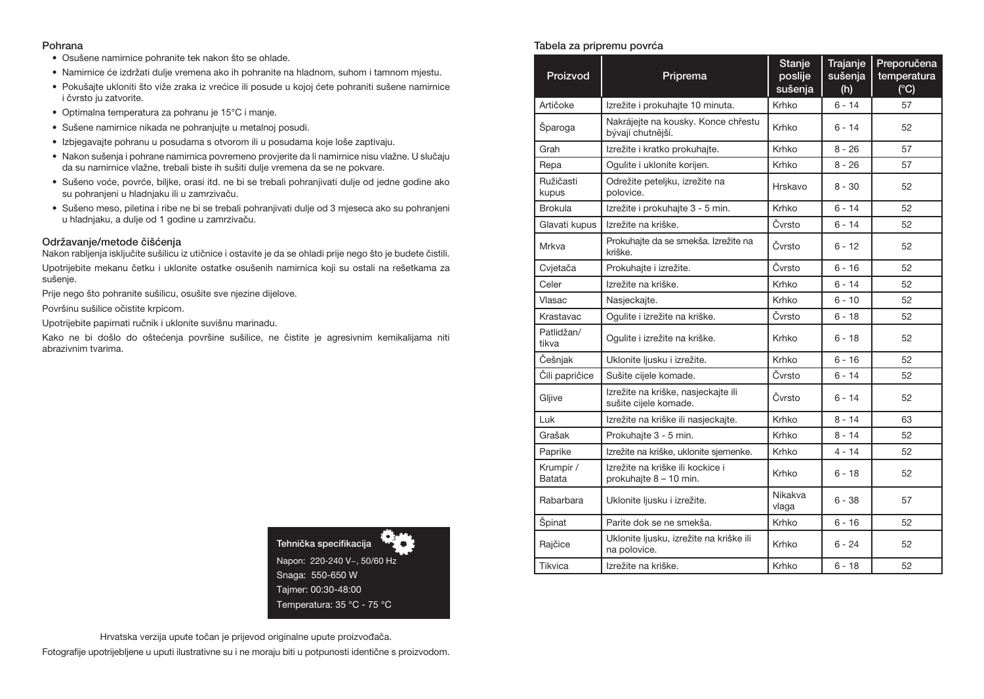#### Pohrana

- Osušene namirnice pohranite tek nakon što se ohlade.
- Namirnice će izdržati dulje vremena ako ih pohranite na hladnom, suhom i tamnom mjestu.
- Pokušajte ukloniti što viže zraka iz vrećice ili posude u kojoj ćete pohraniti sušene namirnice i čvrsto ju zatvorite.
- Optimalna temperatura za pohranu je 15°C i manje.
- Sušene namirnice nikada ne pohranjujte u metalnoj posudi.
- Izbjegavajte pohranu u posudama s otvorom ili u posudama koje loše zaptivaju.
- Nakon sušenja i pohrane namirnica povremeno provjerite da li namirnice nisu vlažne. U slučaju da su namirnice vlažne, trebali biste ih sušiti dulje vremena da se ne pokvare.
- Sušeno voće, povrće, biljke, orasi itd. ne bi se trebali pohranjivati dulje od jedne godine ako su pohranjeni u hladnjaku ili u zamrzivaču.
- Sušeno meso, piletina i ribe ne bi se trebali pohranjivati dulje od 3 mjeseca ako su pohranjeni u hladnjaku, a dulje od 1 godine u zamrzivaču.

#### Održavanje/metode čišćenja

Nakon rabljenja isključite sušilicu iz utičnice i ostavite je da se ohladi prije nego što je budete čistili. Upotrijebite mekanu četku i uklonite ostatke osušenih namirnica koji su ostali na rešetkama za sušenje.

Prije nego što pohranite sušilicu, osušite sve njezine dijelove.

Površinu sušilice očistite krpicom.

Upotrijebite papirnati ručnik i uklonite suvišnu marinadu.

Kako ne bi došlo do oštećenja površine sušilice, ne čistite je agresivnim kemikalijama niti abrazivnim tvarima.



Hrvatska verzija upute točan je prijevod originalne upute proizvođača. Fotografije upotrijebljene u uputi ilustrativne su i ne moraju biti u potpunosti identične s proizvodom.

## Tabela za pripremu povrća

| Proizvod            | Priprema                                                     | Stanje<br>poslije<br>sušenja | Trajanje<br>sušenja<br>(h) | Preporučena<br>temperatura<br>(C) |
|---------------------|--------------------------------------------------------------|------------------------------|----------------------------|-----------------------------------|
| Artičoke            | Izrežite i prokuhajte 10 minuta.                             | Krhko                        | $6 - 14$                   | 57                                |
| Sparoga             | Nakrájejte na kousky. Konce chřestu<br>bývají chutnější.     | Krhko                        | $6 - 14$                   | 52                                |
| Grah                | Izrežite i kratko prokuhajte.                                | Krhko                        | $8 - 26$                   | 57                                |
| Repa                | Ogulite i uklonite korijen.                                  | Krhko                        | $8 - 26$                   | 57                                |
| Ružičasti<br>kupus  | Odrežite peteljku, izrežite na<br>polovice.                  | Hrskavo                      | $8 - 30$                   | 52                                |
| <b>Brokula</b>      | Izrežite i prokuhajte 3 - 5 min.                             | Krhko                        | $6 - 14$                   | 52                                |
| Glavati kupus       | Izrežite na kriške.                                          | Čvrsto                       | $6 - 14$                   | 52                                |
| Mrkva               | Prokuhajte da se smekša. Izrežite na<br>kriške.              | Čvrsto                       | $6 - 12$                   | 52                                |
| Cvjetača            | Prokuhajte i izrežite.                                       | Čvrsto                       | $6 - 16$                   | 52                                |
| Celer               | Izrežite na kriške.                                          | Krhko                        | $6 - 14$                   | 52                                |
| Vlasac              | Nasjeckajte.                                                 | Krhko                        | $6 - 10$                   | 52                                |
| Krastavac           | Ogulite i izrežite na kriške.                                | Čvrsto                       | $6 - 18$                   | 52                                |
| Patlidžan/<br>tikva | Ogulite i izrežite na kriške.                                | Krhko                        | $6 - 18$                   | 52                                |
| Češnjak             | Uklonite ljusku i izrežite.                                  | Krhko                        | $6 - 16$                   | 52                                |
| Čili papričice      | Sušite cijele komade.                                        | Čvrsto                       | $6 - 14$                   | 52                                |
| Gljive              | Izrežite na kriške, nasjeckajte ili<br>sušite cijele komade. | Čvrsto                       | $6 - 14$                   | 52                                |
| Luk                 | Izrežite na kriške ili nasjeckajte.                          | Krhko                        | $8 - 14$                   | 63                                |
| Grašak              | Prokuhajte 3 - 5 min.                                        | Krhko                        | $8 - 14$                   | 52                                |
| Paprike             | Izrežite na kriške, uklonite sjemenke.                       | Krhko                        | $4 - 14$                   | 52                                |
| Krumpir /<br>Batata | Izrežite na kriške ili kockice i<br>prokuhajte 8 - 10 min.   | Krhko                        | $6 - 18$                   | 52                                |
| Rabarbara           | Uklonite ljusku i izrežite.                                  | Nikakva<br>vlaga             | $6 - 38$                   | 57                                |
| Špinat              | Parite dok se ne smekša.                                     | Krhko                        | $6 - 16$                   | 52                                |
| Rajčice             | Uklonite ljusku, izrežite na kriške ili<br>na polovice.      | Krhko                        | $6 - 24$                   | 52                                |
| Tikvica             | Izrežite na kriške.                                          | Krhko                        | $6 - 18$                   | 52                                |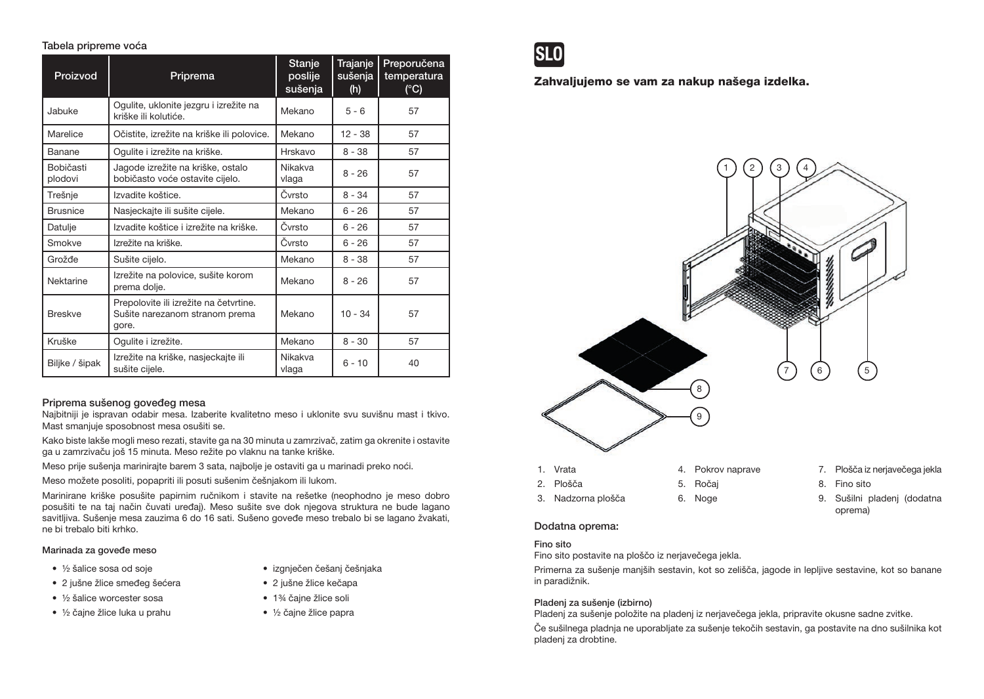## Tabela pripreme voća

| Proizvod             | Priprema                                                                          | Stanje<br>poslije<br>sušenja | Trajanje<br>sušenja<br>(h) | Preporučena<br>temperatura<br>(C) |
|----------------------|-----------------------------------------------------------------------------------|------------------------------|----------------------------|-----------------------------------|
| Jabuke               | Ogulite, uklonite jezgru i izrežite na<br>kriške ili kolutiće.                    | Mekano                       | $5 - 6$                    | 57                                |
| Marelice             | Očistite, izrežite na kriške ili polovice.                                        | Mekano                       | 12 - 38                    | 57                                |
| Banane               | Ogulite i izrežite na kriške.                                                     | Hrskavo                      | $8 - 38$                   | 57                                |
| Bobičasti<br>plodovi | Jagode izrežite na kriške, ostalo<br>bobičasto voće ostavite cijelo.              | Nikakva<br>vlaga             | $8 - 26$                   | 57                                |
| Trešnje              | Izvadite koštice.                                                                 | Čvrsto                       | $8 - 34$                   | 57                                |
| <b>Brusnice</b>      | Nasjeckajte ili sušite cijele.                                                    | Mekano                       | $6 - 26$                   | 57                                |
| Datulje              | Izvadite koštice i izrežite na kriške.                                            | Čvrsto                       | $6 - 26$                   | 57                                |
| Smokve               | Izrežite na kriške.                                                               | Čvrsto                       | $6 - 26$                   | 57                                |
| Grožđe               | Sušite cijelo.                                                                    | Mekano                       | $8 - 38$                   | 57                                |
| Nektarine            | Izrežite na polovice, sušite korom<br>prema dolje.                                | Mekano                       | $8 - 26$                   | 57                                |
| <b>Breskve</b>       | Prepolovite ili izrežite na četvrtine.<br>Sušite narezanom stranom prema<br>gore. | Mekano                       | $10 - 34$                  | 57                                |
| Kruške               | Ogulite i izrežite.                                                               | Mekano                       | $8 - 30$                   | 57                                |
| Biljke / šipak       | Izrežite na kriške, nasjeckajte ili<br>sušite cijele.                             | Nikakva<br>vlaga             | $6 - 10$                   | 40                                |

## Priprema sušenog goveđeg mesa

Najbitniji je ispravan odabir mesa. Izaberite kvalitetno meso i uklonite svu suvišnu mast i tkivo. Mast smanjuje sposobnost mesa osušiti se.

Kako biste lakše mogli meso rezati, stavite ga na 30 minuta u zamrzivač, zatim ga okrenite i ostavite ga u zamrzivaču još 15 minuta. Meso režite po vlaknu na tanke kriške.

Meso prije sušenja marinirajte barem 3 sata, najbolje je ostaviti ga u marinadi preko noći.

Meso možete posoliti, popapriti ili posuti sušenim češnjakom ili lukom.

Marinirane kriške posušite papirnim ručnikom i stavite na rešetke (neophodno je meso dobro posušiti te na taj način čuvati uređaj). Meso sušite sve dok njegova struktura ne bude lagano savitljiva. Sušenje mesa zauzima 6 do 16 sati. Sušeno goveđe meso trebalo bi se lagano žvakati, ne bi trebalo biti krhko.

#### Marinada za goveđe meso

- ½ šalice sosa od soje
- 2 jušne žlice smeđeg šećera
- 1/2 šalice worcester sosa
- ½ čajne žlice luka u prahu
- izgnječen češanj češnjaka
- 2 jušne žlice kečapa
- 1<sup>3</sup>⁄4 čaine žlice soli
- ½ čajne žlice papra



Zahvaljujemo se vam za nakup našega izdelka.



## Dodatna oprema:

#### Fino sito

Fino sito postavite na ploščo iz nerjavečega jekla.

Primerna za sušenje manjših sestavin, kot so zelišča, jagode in lepljive sestavine, kot so banane in paradižnik.

## Pladenj za sušenje (izbirno)

Pladenj za sušenje položite na pladenj iz nerjavečega jekla, pripravite okusne sadne zvitke.

Če sušilnega pladnja ne uporabljate za sušenje tekočih sestavin, ga postavite na dno sušilnika kot pladenj za drobtine.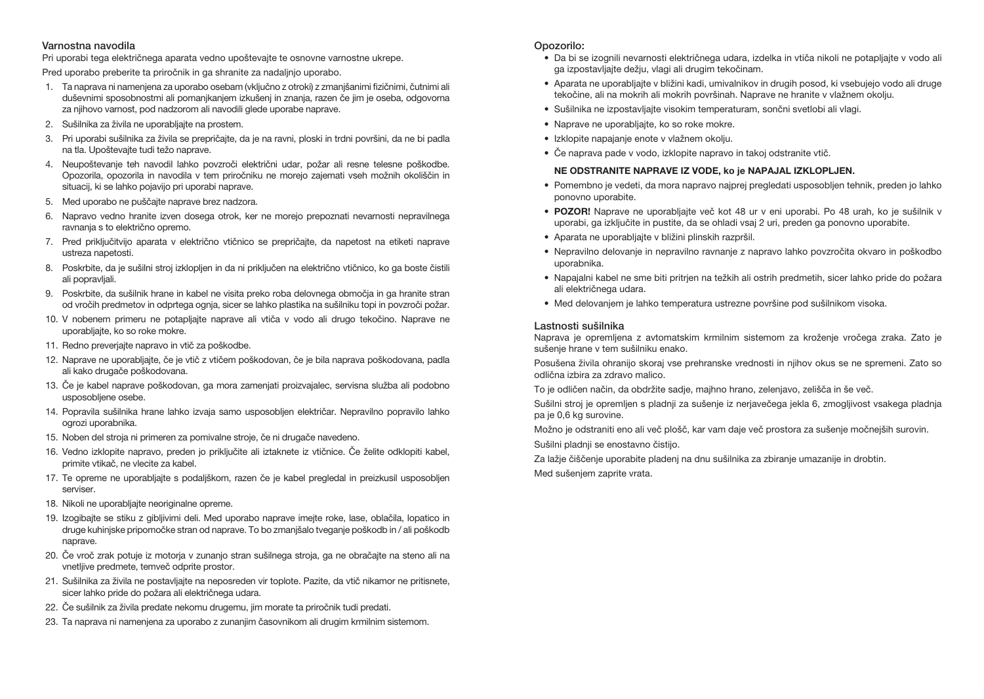#### Varnostna navodila

Pri uporabi tega električnega aparata vedno upoštevajte te osnovne varnostne ukrepe.

Pred uporabo preberite ta priročnik in ga shranite za nadaljnjo uporabo.

- 1. Ta naprava ni namenjena za uporabo osebam (vključno z otroki) z zmanjšanimi fizičnimi, čutnimi ali duševnimi sposobnostmi ali pomanjkanjem izkušenj in znanja, razen če jim je oseba, odgovorna za njihovo varnost, pod nadzorom ali navodili glede uporabe naprave.
- 2. Sušilnika za živila ne uporabljajte na prostem.
- 3. Pri uporabi sušilnika za živila se prepričajte, da je na ravni, ploski in trdni površini, da ne bi padla na tla. Upoštevajte tudi težo naprave.
- 4. Neupoštevanje teh navodil lahko povzroči električni udar, požar ali resne telesne poškodbe. Opozorila, opozorila in navodila v tem priročniku ne morejo zajemati vseh možnih okoliščin in situacij, ki se lahko pojavijo pri uporabi naprave.
- 5. Med uporabo ne puščajte naprave brez nadzora.
- 6. Napravo vedno hranite izven dosega otrok, ker ne morejo prepoznati nevarnosti nepravilnega ravnanja s to električno opremo.
- 7. Pred priključitvijo aparata v električno vtičnico se prepričajte, da napetost na etiketi naprave ustreza napetosti.
- 8. Poskrbite, da je sušilni stroj izklopljen in da ni priključen na električno vtičnico, ko ga boste čistili ali popravljali.
- 9. Poskrbite, da sušilnik hrane in kabel ne visita preko roba delovnega območja in ga hranite stran od vročih predmetov in odprtega ognja, sicer se lahko plastika na sušilniku topi in povzroči požar.
- 10. V nobenem primeru ne potapljajte naprave ali vtiča v vodo ali drugo tekočino. Naprave ne uporabljajte, ko so roke mokre.
- 11. Redno preverjajte napravo in vtič za poškodbe.
- 12. Naprave ne uporabljajte, če je vtič z vtičem poškodovan, če je bila naprava poškodovana, padla ali kako drugače poškodovana.
- 13. Če je kabel naprave poškodovan, ga mora zamenjati proizvajalec, servisna služba ali podobno usposobljene osebe.
- 14. Popravila sušilnika hrane lahko izvaja samo usposobljen električar. Nepravilno popravilo lahko ogrozi uporabnika.
- 15. Noben del stroja ni primeren za pomivalne stroje, če ni drugače navedeno.
- 16. Vedno izklopite napravo, preden jo priključite ali iztaknete iz vtičnice. Če želite odklopiti kabel, primite vtikač, ne vlecite za kabel.
- 17. Te opreme ne uporabljajte s podaljškom, razen če je kabel pregledal in preizkusil usposobljen serviser.
- 18. Nikoli ne uporabljajte neoriginalne opreme.
- 19. Izogibajte se stiku z gibljivimi deli. Med uporabo naprave imejte roke, lase, oblačila, lopatico in druge kuhinjske pripomočke stran od naprave. To bo zmanjšalo tveganje poškodb in / ali poškodb naprave.
- 20. Če vroč zrak potuje iz motorja v zunanjo stran sušilnega stroja, ga ne obračajte na steno ali na vnetljive predmete, temveč odprite prostor.
- 21. Sušilnika za živila ne postavljajte na neposreden vir toplote. Pazite, da vtič nikamor ne pritisnete, sicer lahko pride do požara ali električnega udara.
- 22. Če sušilnik za živila predate nekomu drugemu, jim morate ta priročnik tudi predati.
- 23. Ta naprava ni namenjena za uporabo z zunanjim časovnikom ali drugim krmilnim sistemom.

## Opozorilo:

- Da bi se izognili nevarnosti električnega udara, izdelka in vtiča nikoli ne potapljajte v vodo ali ga izpostavljajte dežju, vlagi ali drugim tekočinam.
- Aparata ne uporabljajte v bližini kadi, umivalnikov in drugih posod, ki vsebujejo vodo ali druge tekočine, ali na mokrih ali mokrih površinah. Naprave ne hranite v vlažnem okolju.
- Sušilnika ne izpostavljajte visokim temperaturam, sončni svetlobi ali vlagi.
- Naprave ne uporabljajte, ko so roke mokre.
- Izklopite napajanje enote v vlažnem okolju.
- Če naprava pade v vodo, izklopite napravo in takoj odstranite vtič.

# NE ODSTRANITE NAPRAVE IZ VODE, ko je NAPAJAL IZKLOPLJEN.

- Pomembno je vedeti, da mora napravo najprej pregledati usposobljen tehnik, preden jo lahko ponovno uporabite.
- POZOR! Naprave ne uporabljajte več kot 48 ur v eni uporabi. Po 48 urah, ko je sušilnik v uporabi, ga izključite in pustite, da se ohladi vsaj 2 uri, preden ga ponovno uporabite.
- Aparata ne uporabljajte v bližini plinskih razpršil.
- Nepravilno delovanje in nepravilno ravnanje z napravo lahko povzročita okvaro in poškodbo uporabnika.
- Napajalni kabel ne sme biti pritrjen na težkih ali ostrih predmetih, sicer lahko pride do požara ali električnega udara.
- Med delovanjem je lahko temperatura ustrezne površine pod sušilnikom visoka.

## Lastnosti sušilnika

Naprava je opremljena z avtomatskim krmilnim sistemom za kroženje vročega zraka. Zato je sušenje hrane v tem sušilniku enako.

Posušena živila ohranijo skoraj vse prehranske vrednosti in njihov okus se ne spremeni. Zato so odlična izbira za zdravo malico.

To je odličen način, da obdržite sadje, majhno hrano, zelenjavo, zelišča in še več.

Sušilni stroj je opremljen s pladnji za sušenje iz nerjavečega jekla 6, zmogljivost vsakega pladnja pa je 0,6 kg surovine.

Možno je odstraniti eno ali več plošč, kar vam daje več prostora za sušenje močnejših surovin.

Sušilni pladnji se enostavno čistijo.

Za lažje čiščenje uporabite pladenj na dnu sušilnika za zbiranje umazanije in drobtin.

Med sušenjem zaprite vrata.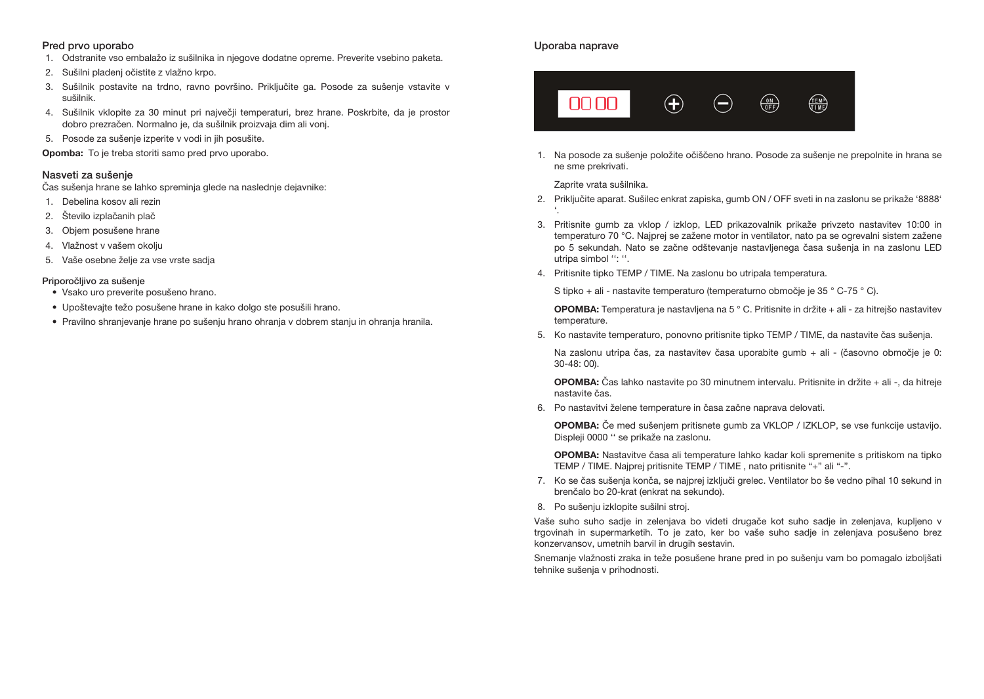#### Pred prvo uporabo

- 1. Odstranite vso embalažo iz sušilnika in njegove dodatne opreme. Preverite vsebino paketa.
- 2. Sušilni pladenj očistite z vlažno krpo.
- 3. Sušilnik postavite na trdno, ravno površino. Priključite ga. Posode za sušenje vstavite v sušilnik.
- 4. Sušilnik vklopite za 30 minut pri največji temperaturi, brez hrane. Poskrbite, da je prostor dobro prezračen. Normalno je, da sušilnik proizvaja dim ali vonj.
- 5. Posode za sušenje izperite v vodi in jih posušite.

Opomba: To je treba storiti samo pred prvo uporabo.

#### Nasveti za sušenje

Čas sušenja hrane se lahko spreminja glede na naslednje dejavnike:

- 1. Debelina kosov ali rezin
- 2. Število izplačanih plač
- 3. Objem posušene hrane
- 4. Vlažnost v vašem okolju
- 5. Vaše osebne želje za vse vrste sadja

#### Priporočljivo za sušenje

- Vsako uro preverite posušeno hrano.
- Upoštevajte težo posušene hrane in kako dolgo ste posušili hrano.
- Pravilno shranjevanje hrane po sušenju hrano ohranja v dobrem stanju in ohranja hranila.

#### Uporaba naprave



1. Na posode za sušenje položite očiščeno hrano. Posode za sušenje ne prepolnite in hrana se ne sme prekrivati.

Zaprite vrata sušilnika.

- 2. Priključite aparat. Sušilec enkrat zapiska, gumb ON / OFF sveti in na zaslonu se prikaže '8888' '.
- 3. Pritisnite gumb za vklop / izklop, LED prikazovalnik prikaže privzeto nastavitev 10:00 in temperaturo 70 °C. Najprej se zažene motor in ventilator, nato pa se ogrevalni sistem zažene po 5 sekundah. Nato se začne odštevanje nastavljenega časa sušenja in na zaslonu LED utripa simbol '': ''.
- 4. Pritisnite tipko TEMP / TIME. Na zaslonu bo utripala temperatura.

S tipko + ali - nastavite temperaturo (temperaturno območje je 35 ° C-75 ° C).

OPOMBA: Temperatura je nastavljena na 5 ° C. Pritisnite in držite + ali - za hitrejšo nastavitev temperature.

5. Ko nastavite temperaturo, ponovno pritisnite tipko TEMP / TIME, da nastavite čas sušenja.

Na zaslonu utripa čas, za nastavitev časa uporabite gumb + ali - (časovno območje je 0: 30-48: 00).

OPOMBA: Čas lahko nastavite po 30 minutnem intervalu. Pritisnite in držite + ali -, da hitreje nastavite čas.

6. Po nastavitvi želene temperature in časa začne naprava delovati.

OPOMBA: Če med sušenjem pritisnete gumb za VKLOP / IZKLOP, se vse funkcije ustavijo. Displeji 0000 '' se prikaže na zaslonu.

OPOMBA: Nastavitve časa ali temperature lahko kadar koli spremenite s pritiskom na tipko TEMP / TIME. Najprej pritisnite TEMP / TIME , nato pritisnite "+" ali "-".

- 7. Ko se čas sušenja konča, se najprej izključi grelec. Ventilator bo še vedno pihal 10 sekund in brenčalo bo 20-krat (enkrat na sekundo).
- 8. Po sušenju izklopite sušilni stroj.

Vaše suho suho sadje in zelenjava bo videti drugače kot suho sadje in zelenjava, kupljeno v trgovinah in supermarketih. To je zato, ker bo vaše suho sadje in zelenjava posušeno brez konzervansov, umetnih barvil in drugih sestavin.

Snemanje vlažnosti zraka in teže posušene hrane pred in po sušenju vam bo pomagalo izboljšati tehnike sušenja v prihodnosti.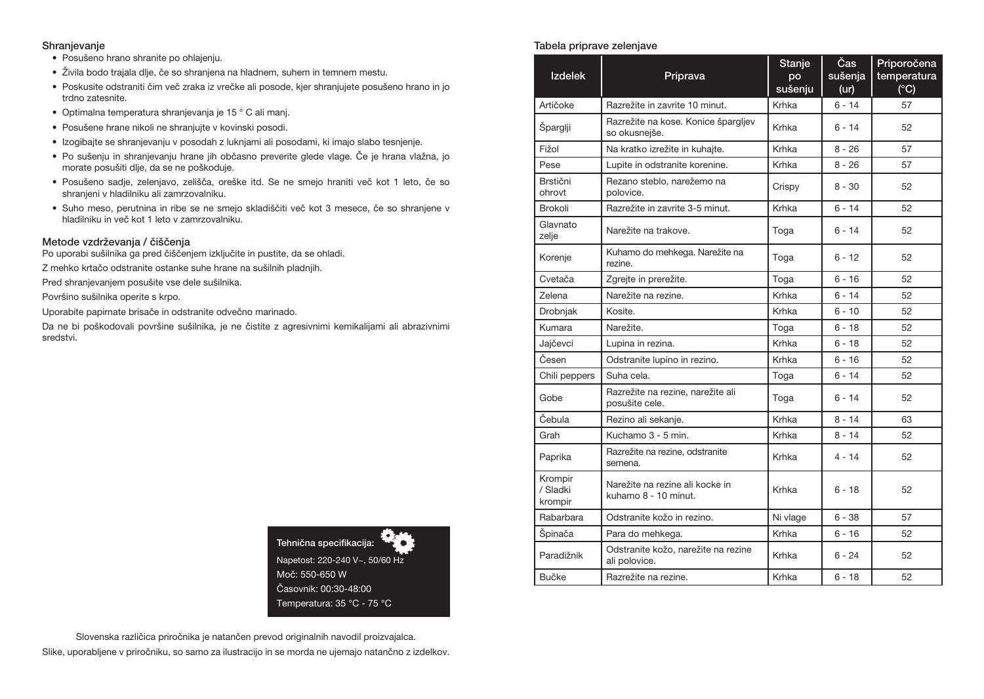#### Shranjevanje

- Posušeno hrano shranite po ohlajenju.
- Živila bodo trajala dlje, če so shranjena na hladnem, suhem in temnem mestu.
- Poskusite odstraniti čim več zraka iz vrečke ali posode, kjer shranjujete posušeno hrano in jo trdno zatesnite.
- Optimalna temperatura shranjevanja je 15 ° C ali manj.
- Posušene hrane nikoli ne shranjujte v kovinski posodi.
- Izogibajte se shranjevanju v posodah z luknjami ali posodami, ki imajo slabo tesnjenje.
- Po sušenju in shranjevanju hrane jih občasno preverite glede vlage. Če je hrana vlažna, jo morate posušiti dlje, da se ne poškoduje.
- Posušeno sadje, zelenjavo, zelišča, oreške itd. Se ne smejo hraniti več kot 1 leto, če so shranjeni v hladilniku ali zamrzovalniku.
- Suho meso, perutnina in ribe se ne smejo skladiščiti več kot 3 mesece, če so shranjene v hladilniku in več kot 1 leto v zamrzovalniku.

#### Metode vzdrževanja / čiščenja

Po uporabi sušilnika ga pred čiščenjem izključite in pustite, da se ohladi.

Z mehko krtačo odstranite ostanke suhe hrane na sušilnih pladnjih.

Pred shranjevanjem posušite vse dele sušilnika.

Površino sušilnika operite s krpo.

Uporabite papirnate brisače in odstranite odvečno marinado.

Da ne bi poškodovali površine sušilnika, je ne čistite z agresivnimi kemikalijami ali abrazivnimi sredstvi.



Slovenska različica priročnika je natančen prevod originalnih navodil proizvajalca. Slike, uporabljene v priročniku, so samo za ilustracijo in se morda ne ujemajo natančno z izdelkov.

#### Tabela priprave zelenjave

| <b>Izdelek</b>                 | Priprava                                                | <b>Stanje</b><br>po<br>sušenju | Čas<br>sušenja<br>(ur) | Priporočena<br>temperatura<br>$(^{\circ}C)$ |
|--------------------------------|---------------------------------------------------------|--------------------------------|------------------------|---------------------------------------------|
| Artičoke                       | Razrežite in zavrite 10 minut.                          | Krhka                          | $6 - 14$               | 57                                          |
| Šparglji                       | Razrežite na kose. Konice špargljev<br>so okusnejše.    | Krhka                          | $6 - 14$               | 52                                          |
| Fižol                          | Na kratko izrežite in kuhajte.                          | Krhka                          | $8 - 26$               | 57                                          |
| Pese                           | Lupite in odstranite korenine.                          | Krhka                          | $8 - 26$               | 57                                          |
| Brstični<br>ohrovt             | Rezano steblo, narežemo na<br>polovice.                 | Crispy                         | $8 - 30$               | 52                                          |
| Brokoli                        | Razrežite in zavrite 3-5 minut.                         | Krhka                          | $6 - 14$               | 52                                          |
| Glavnato<br>zelje              | Narežite na trakove.                                    | Toga                           | $6 - 14$               | 52                                          |
| Korenje                        | Kuhamo do mehkega. Narežite na<br>rezine.               | Toga                           | $6 - 12$               | 52                                          |
| Cvetača                        | Zgrejte in prerežite.                                   | Toga                           | $6 - 16$               | 52                                          |
| Zelena                         | Narežite na rezine.                                     | Krhka                          | $6 - 14$               | 52                                          |
| Drobnjak                       | Kosite.                                                 | Krhka                          | $6 - 10$               | 52                                          |
| Kumara                         | Narežite.                                               | Toga                           | $6 - 18$               | 52                                          |
| Jajčevci                       | Lupina in rezina.                                       | Krhka                          | $6 - 18$               | 52                                          |
| Česen                          | Odstranite lupino in rezino.                            | Krhka                          | $6 - 16$               | 52                                          |
| Chili peppers                  | Suha cela.                                              | Toga                           | $6 - 14$               | 52                                          |
| Gobe                           | Razrežite na rezine, narežite ali<br>posušite cele.     | Toga                           | $6 - 14$               | 52                                          |
| Čebula                         | Rezino ali sekanje.                                     | Krhka                          | $8 - 14$               | 63                                          |
| Grah                           | Kuchamo 3 - 5 min.                                      | Krhka                          | $8 - 14$               | 52                                          |
| Paprika                        | Razrežite na rezine, odstranite<br>semena.              | Krhka                          | $4 - 14$               | 52                                          |
| Krompir<br>/ Sladki<br>krompir | Narežite na rezine ali kocke in<br>kuhamo 8 - 10 minut. | Krhka                          | $6 - 18$               | 52                                          |
| Rabarbara                      | Odstranite kožo in rezino.                              | Ni vlage                       | $6 - 38$               | 57                                          |
| Špinača                        | Para do mehkega.                                        | Krhka                          | $6 - 16$               | 52                                          |
| Paradižnik                     | Odstranite kožo, narežite na rezine<br>ali polovice.    | Krhka                          | $6 - 24$               | 52                                          |
| Bučke                          | Razrežite na rezine.                                    | Krhka                          | $6 - 18$               | 52                                          |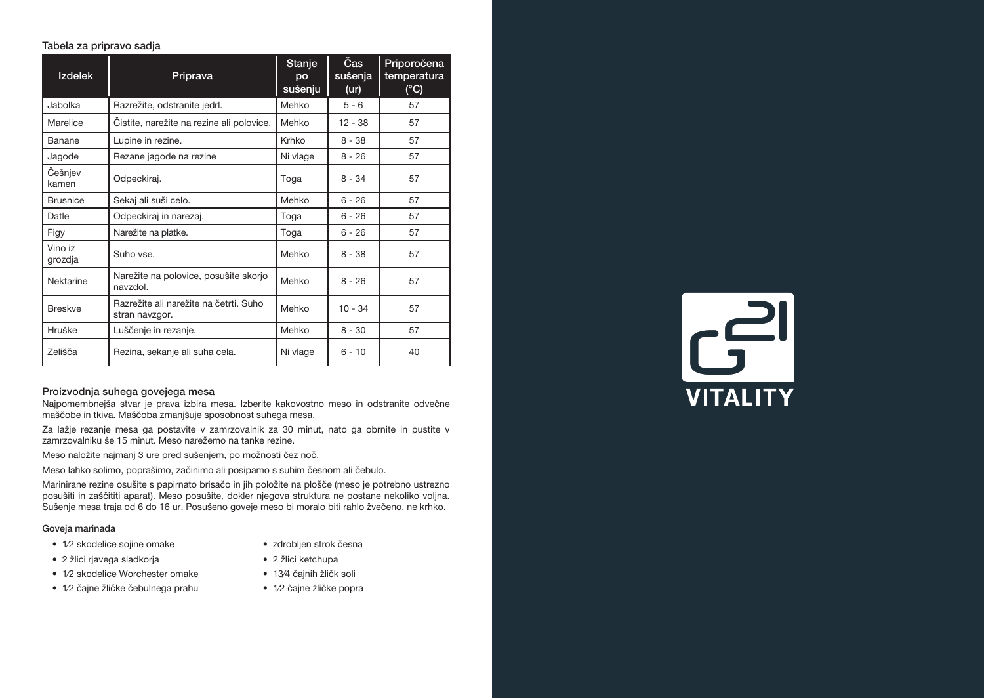#### Tabela za pripravo sadja

| <b>Izdelek</b>     | Priprava                                                 | Stanje<br>po<br>sušenju | Čas<br>sušenja<br>(ur) | Priporočena<br>temperatura<br>$(^{\circ}C)$ |
|--------------------|----------------------------------------------------------|-------------------------|------------------------|---------------------------------------------|
| Jabolka            | Razrežite, odstranite jedrl.                             | Mehko                   | $5 - 6$                | 57                                          |
| Marelice           | Cistite, narežite na rezine ali polovice.                | Mehko                   | $12 - 38$              | 57                                          |
| Banane             | Lupine in rezine.                                        | Krhko                   | $8 - 38$               | 57                                          |
| Jagode             | Rezane jagode na rezine                                  | Ni vlage                | $8 - 26$               | 57                                          |
| Češnjev<br>kamen   | Odpeckiraj.                                              | Toga                    | $8 - 34$               | 57                                          |
| <b>Brusnice</b>    | Sekaj ali suši celo.                                     | Mehko                   | $6 - 26$               | 57                                          |
| Datle              | Odpeckiraj in narezaj.                                   | Toga                    | $6 - 26$               | 57                                          |
| Figy               | Narežite na platke.                                      | Toga                    | $6 - 26$               | 57                                          |
| Vino iz<br>grozdja | Suho vse.                                                | Mehko                   | $8 - 38$               | 57                                          |
| Nektarine          | Narežite na polovice, posušite skorjo<br>navzdol.        | Mehko                   | $8 - 26$               | 57                                          |
| <b>Breskve</b>     | Razrežite ali narežite na četrti. Suho<br>stran navzgor. | Mehko                   | $10 - 34$              | 57                                          |
| Hruške             | Luščenje in rezanje.                                     | Mehko                   | $8 - 30$               | 57                                          |
| Zelišča            | Rezina, sekanje ali suha cela.                           | Ni vlage                | $6 - 10$               | 40                                          |

## Proizvodnja suhega govejega mesa

Najpomembnejša stvar je prava izbira mesa. Izberite kakovostno meso in odstranite odvečne maščobe in tkiva. Maščoba zmanjšuje sposobnost suhega mesa.

Za lažje rezanje mesa ga postavite v zamrzovalnik za 30 minut, nato ga obrnite in pustite v zamrzovalniku še 15 minut. Meso narežemo na tanke rezine.

Meso naložite najmanj 3 ure pred sušenjem, po možnosti čez noč.

Meso lahko solimo, poprašimo, začinimo ali posipamo s suhim česnom ali čebulo.

Marinirane rezine osušite s papirnato brisačo in jih položite na plošče (meso je potrebno ustrezno posušiti in zaščititi aparat). Meso posušite, dokler njegova struktura ne postane nekoliko voljna. Sušenje mesa traja od 6 do 16 ur. Posušeno goveje meso bi moralo biti rahlo žvečeno, ne krhko.

#### Goveja marinada

- 1⁄2 skodelice sojine omake
- 2 žlici rjavega sladkorja
- 1⁄2 skodelice Worchester omake
- 2 žlici ketchupa

• zdrobljen strok česna

- 13⁄4 čajnih žličk soli
- 1⁄2 čajne žličke čebulnega prahu
- 1⁄2 čajne žličke popra